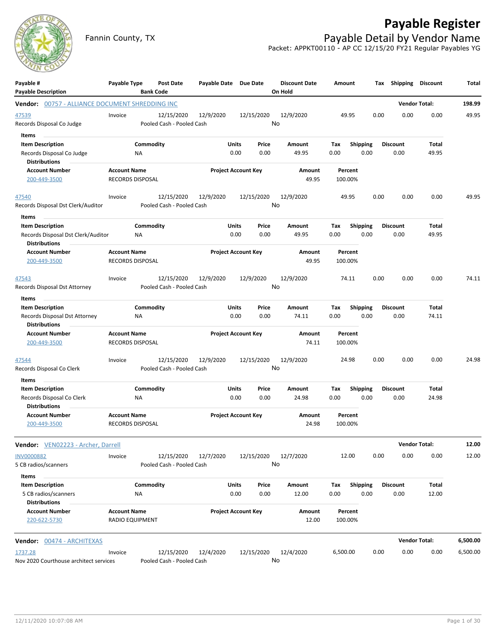

# **Payable Register**

Fannin County, TX **Payable Detail by Vendor Name** Packet: APPKT00110 - AP CC 12/15/20 FY21 Regular Payables YG

| Payable #<br><b>Payable Description</b>                                               | Payable Type                                   |                 | <b>Post Date</b><br><b>Bank Code</b>    | Payable Date Due Date      |                            |               | <b>Discount Date</b><br>On Hold | Amount             |                         |      | Tax Shipping Discount   |                | Total    |
|---------------------------------------------------------------------------------------|------------------------------------------------|-----------------|-----------------------------------------|----------------------------|----------------------------|---------------|---------------------------------|--------------------|-------------------------|------|-------------------------|----------------|----------|
| Vendor: 00757 - ALLIANCE DOCUMENT SHREDDING INC                                       |                                                |                 |                                         |                            |                            |               |                                 |                    |                         |      | <b>Vendor Total:</b>    |                | 198.99   |
| 47539<br>Records Disposal Co Judge<br>Items                                           | Invoice                                        |                 | 12/15/2020<br>Pooled Cash - Pooled Cash | 12/9/2020                  |                            | 12/15/2020    | 12/9/2020<br>No                 | 49.95              |                         | 0.00 | 0.00                    | 0.00           | 49.95    |
| <b>Item Description</b><br>Records Disposal Co Judge<br><b>Distributions</b>          |                                                | Commodity<br>ΝA |                                         |                            | Units<br>0.00              | Price<br>0.00 | Amount<br>49.95                 | Tax<br>0.00        | <b>Shipping</b><br>0.00 |      | <b>Discount</b><br>0.00 | Total<br>49.95 |          |
| <b>Account Number</b><br>200-449-3500                                                 | <b>Account Name</b><br>RECORDS DISPOSAL        |                 |                                         | <b>Project Account Key</b> |                            |               | Amount<br>49.95                 | Percent<br>100.00% |                         |      |                         |                |          |
| <u>47540</u><br>Records Disposal Dst Clerk/Auditor                                    | Invoice                                        |                 | 12/15/2020<br>Pooled Cash - Pooled Cash | 12/9/2020                  |                            | 12/15/2020    | 12/9/2020<br>No                 | 49.95              |                         | 0.00 | 0.00                    | 0.00           | 49.95    |
| Items                                                                                 |                                                |                 |                                         |                            |                            |               |                                 |                    |                         |      |                         |                |          |
| <b>Item Description</b><br>Records Disposal Dst Clerk/Auditor<br><b>Distributions</b> |                                                | Commodity<br>ΝA |                                         |                            | Units<br>0.00              | Price<br>0.00 | Amount<br>49.95                 | Tax<br>0.00        | Shipping<br>0.00        |      | <b>Discount</b><br>0.00 | Total<br>49.95 |          |
| <b>Account Number</b><br>200-449-3500                                                 | <b>Account Name</b><br>RECORDS DISPOSAL        |                 |                                         | <b>Project Account Key</b> |                            |               | Amount<br>49.95                 | Percent<br>100.00% |                         |      |                         |                |          |
| 47543<br>Records Disposal Dst Attorney                                                | Invoice                                        |                 | 12/15/2020<br>Pooled Cash - Pooled Cash | 12/9/2020                  |                            | 12/9/2020     | 12/9/2020<br>No                 | 74.11              |                         | 0.00 | 0.00                    | 0.00           | 74.11    |
| <b>Items</b>                                                                          |                                                |                 |                                         |                            |                            |               |                                 |                    |                         |      |                         |                |          |
| <b>Item Description</b><br>Records Disposal Dst Attorney<br><b>Distributions</b>      |                                                | Commodity<br>NA |                                         |                            | Units<br>0.00              | Price<br>0.00 | Amount<br>74.11                 | Tax<br>0.00        | <b>Shipping</b><br>0.00 |      | <b>Discount</b><br>0.00 | Total<br>74.11 |          |
| <b>Account Number</b><br>200-449-3500                                                 | <b>Account Name</b><br><b>RECORDS DISPOSAL</b> |                 |                                         | <b>Project Account Key</b> |                            |               | Amount<br>74.11                 | Percent<br>100.00% |                         |      |                         |                |          |
| 47544<br>Records Disposal Co Clerk                                                    | Invoice                                        |                 | 12/15/2020<br>Pooled Cash - Pooled Cash | 12/9/2020                  |                            | 12/15/2020    | 12/9/2020<br>No                 | 24.98              |                         | 0.00 | 0.00                    | 0.00           | 24.98    |
| Items<br><b>Item Description</b><br>Records Disposal Co Clerk<br><b>Distributions</b> |                                                | Commodity<br>ΝA |                                         |                            | Units<br>0.00              | Price<br>0.00 | Amount<br>24.98                 | Tax<br>0.00        | <b>Shipping</b><br>0.00 |      | Discount<br>0.00        | Total<br>24.98 |          |
| <b>Account Number</b><br>200-449-3500                                                 | <b>Account Name</b><br><b>RECORDS DISPOSAL</b> |                 |                                         |                            | <b>Project Account Key</b> |               | Amount<br>24.98                 | Percent<br>100.00% |                         |      |                         |                |          |
| Vendor: VEN02223 - Archer, Darrell                                                    |                                                |                 |                                         |                            |                            |               |                                 |                    |                         |      | <b>Vendor Total:</b>    |                | 12.00    |
| <b>INV0000882</b><br>5 CB radios/scanners                                             | Invoice                                        |                 | 12/15/2020<br>Pooled Cash - Pooled Cash | 12/7/2020                  |                            | 12/15/2020    | 12/7/2020<br>No                 | 12.00              |                         | 0.00 | 0.00                    | 0.00           | 12.00    |
| Items                                                                                 |                                                |                 |                                         |                            |                            |               |                                 |                    |                         |      |                         |                |          |
| <b>Item Description</b><br>5 CB radios/scanners<br><b>Distributions</b>               |                                                | Commodity<br>NA |                                         |                            | <b>Units</b><br>0.00       | Price<br>0.00 | Amount<br>12.00                 | Tax<br>0.00        | <b>Shipping</b><br>0.00 |      | <b>Discount</b><br>0.00 | Total<br>12.00 |          |
| <b>Account Number</b><br>220-622-5730                                                 | <b>Account Name</b><br>RADIO EQUIPMENT         |                 |                                         | <b>Project Account Key</b> |                            |               | Amount<br>12.00                 | Percent<br>100.00% |                         |      |                         |                |          |
| <b>Vendor:</b> 00474 - ARCHITEXAS                                                     |                                                |                 |                                         |                            |                            |               |                                 |                    |                         |      | <b>Vendor Total:</b>    |                | 6,500.00 |
| 1737.28<br>Nov 2020 Courthouse architect services                                     | Invoice                                        |                 | 12/15/2020<br>Pooled Cash - Pooled Cash | 12/4/2020                  |                            | 12/15/2020    | 12/4/2020<br>No                 | 6,500.00           |                         | 0.00 | 0.00                    | 0.00           | 6,500.00 |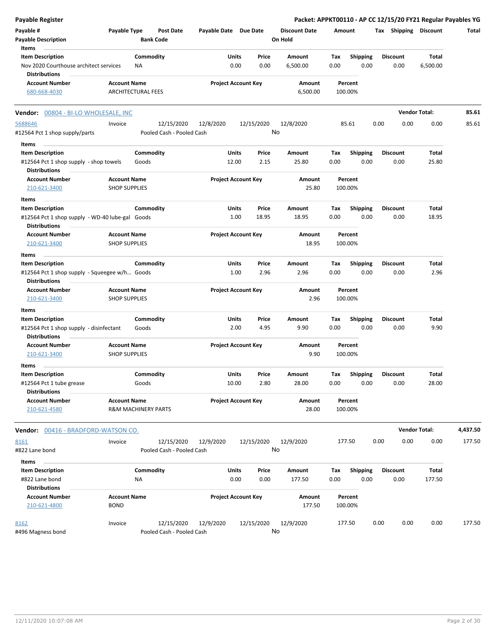| Payable Register                                |                      |                                |                           |                       |                            |               |                      |             |                         |      |                         | Packet: APPKT00110 - AP CC 12/15/20 FY21 Regular Payables YG |          |
|-------------------------------------------------|----------------------|--------------------------------|---------------------------|-----------------------|----------------------------|---------------|----------------------|-------------|-------------------------|------|-------------------------|--------------------------------------------------------------|----------|
| Payable #                                       | Payable Type         |                                | <b>Post Date</b>          | Payable Date Due Date |                            |               | <b>Discount Date</b> |             | Amount                  |      | Tax Shipping Discount   |                                                              | Total    |
| <b>Payable Description</b>                      |                      | <b>Bank Code</b>               |                           |                       |                            |               | On Hold              |             |                         |      |                         |                                                              |          |
| Items                                           |                      |                                |                           |                       |                            |               |                      |             |                         |      |                         |                                                              |          |
| <b>Item Description</b>                         |                      | Commodity                      |                           |                       | Units                      | Price         | Amount               | Tax         | <b>Shipping</b>         |      | <b>Discount</b>         | Total                                                        |          |
| Nov 2020 Courthouse architect services          |                      | ΝA                             |                           |                       | 0.00                       | 0.00          | 6,500.00             | 0.00        | 0.00                    |      | 0.00                    | 6,500.00                                                     |          |
| <b>Distributions</b>                            |                      |                                |                           |                       |                            |               |                      |             |                         |      |                         |                                                              |          |
| <b>Account Number</b>                           | <b>Account Name</b>  |                                |                           |                       | <b>Project Account Key</b> |               | Amount               |             | Percent                 |      |                         |                                                              |          |
| 680-668-4030                                    |                      | <b>ARCHITECTURAL FEES</b>      |                           |                       |                            |               | 6,500.00             |             | 100.00%                 |      |                         |                                                              |          |
| Vendor: 00804 - BI-LO WHOLESALE, INC            |                      |                                |                           |                       |                            |               |                      |             |                         |      |                         | <b>Vendor Total:</b>                                         | 85.61    |
| 5688646                                         | Invoice              |                                | 12/15/2020                | 12/8/2020             |                            | 12/15/2020    | 12/8/2020            |             | 85.61                   | 0.00 | 0.00                    | 0.00                                                         | 85.61    |
| #12564 Pct 1 shop supply/parts                  |                      |                                | Pooled Cash - Pooled Cash |                       |                            |               | No                   |             |                         |      |                         |                                                              |          |
| Items                                           |                      |                                |                           |                       |                            |               |                      |             |                         |      |                         |                                                              |          |
| <b>Item Description</b>                         |                      | Commodity                      |                           |                       | <b>Units</b>               | Price         | Amount               | Tax         | <b>Shipping</b>         |      | <b>Discount</b>         | Total                                                        |          |
| #12564 Pct 1 shop supply - shop towels          |                      | Goods                          |                           |                       | 12.00                      | 2.15          | 25.80                | 0.00        | 0.00                    |      | 0.00                    | 25.80                                                        |          |
| <b>Distributions</b>                            |                      |                                |                           |                       |                            |               |                      |             |                         |      |                         |                                                              |          |
| <b>Account Number</b>                           | <b>Account Name</b>  |                                |                           |                       | <b>Project Account Key</b> |               | Amount               |             | Percent                 |      |                         |                                                              |          |
| 210-621-3400                                    | <b>SHOP SUPPLIES</b> |                                |                           |                       |                            |               | 25.80                |             | 100.00%                 |      |                         |                                                              |          |
| Items                                           |                      |                                |                           |                       |                            |               |                      |             |                         |      |                         |                                                              |          |
| <b>Item Description</b>                         |                      | Commodity                      |                           |                       | <b>Units</b>               | Price         | Amount               | Tax         | <b>Shipping</b>         |      | <b>Discount</b>         | Total                                                        |          |
| #12564 Pct 1 shop supply - WD-40 lube-gal Goods |                      |                                |                           |                       | 1.00                       | 18.95         | 18.95                | 0.00        | 0.00                    |      | 0.00                    | 18.95                                                        |          |
| <b>Distributions</b>                            |                      |                                |                           |                       |                            |               |                      |             |                         |      |                         |                                                              |          |
| <b>Account Number</b>                           | <b>Account Name</b>  |                                |                           |                       | <b>Project Account Key</b> |               | Amount               |             | Percent                 |      |                         |                                                              |          |
| 210-621-3400                                    | <b>SHOP SUPPLIES</b> |                                |                           |                       |                            |               | 18.95                |             | 100.00%                 |      |                         |                                                              |          |
| Items                                           |                      |                                |                           |                       |                            |               |                      |             |                         |      |                         |                                                              |          |
| <b>Item Description</b>                         |                      | Commodity                      |                           |                       | <b>Units</b>               | Price         | Amount               | Tax         | Shipping                |      | <b>Discount</b>         | Total                                                        |          |
| #12564 Pct 1 shop supply - Squeegee w/h Goods   |                      |                                |                           |                       | 1.00                       | 2.96          | 2.96                 | 0.00        | 0.00                    |      | 0.00                    | 2.96                                                         |          |
| <b>Distributions</b>                            |                      |                                |                           |                       |                            |               |                      |             |                         |      |                         |                                                              |          |
| <b>Account Number</b>                           | <b>Account Name</b>  |                                |                           |                       | <b>Project Account Key</b> |               | Amount               |             | Percent                 |      |                         |                                                              |          |
| 210-621-3400                                    | <b>SHOP SUPPLIES</b> |                                |                           |                       |                            |               | 2.96                 |             | 100.00%                 |      |                         |                                                              |          |
| Items                                           |                      |                                |                           |                       |                            |               |                      |             |                         |      |                         |                                                              |          |
| <b>Item Description</b>                         |                      | Commodity                      |                           |                       | <b>Units</b>               | Price         | Amount               | Tax         | <b>Shipping</b>         |      | <b>Discount</b>         | Total                                                        |          |
| #12564 Pct 1 shop supply - disinfectant         |                      | Goods                          |                           |                       | 2.00                       | 4.95          | 9.90                 | 0.00        | 0.00                    |      | 0.00                    | 9.90                                                         |          |
| <b>Distributions</b>                            |                      |                                |                           |                       |                            |               |                      |             |                         |      |                         |                                                              |          |
| <b>Account Number</b>                           | <b>Account Name</b>  |                                |                           |                       | <b>Project Account Key</b> |               | Amount               |             | Percent                 |      |                         |                                                              |          |
| 210-621-3400                                    | <b>SHOP SUPPLIES</b> |                                |                           |                       |                            |               | 9.90                 |             | 100.00%                 |      |                         |                                                              |          |
| Items                                           |                      |                                |                           |                       |                            |               |                      |             |                         |      |                         |                                                              |          |
| <b>Item Description</b>                         |                      | Commodity                      |                           |                       | Units                      | Price         | Amount               | Tax         | <b>Shipping</b>         |      | <b>Discount</b>         | Total                                                        |          |
| #12564 Pct 1 tube grease                        |                      | Goods                          |                           |                       | 10.00                      | 2.80          | 28.00                | 0.00        | 0.00                    |      | 0.00                    | 28.00                                                        |          |
| <b>Distributions</b>                            |                      |                                |                           |                       |                            |               |                      |             |                         |      |                         |                                                              |          |
| <b>Account Number</b>                           | <b>Account Name</b>  |                                |                           |                       | <b>Project Account Key</b> |               | Amount               |             | Percent                 |      |                         |                                                              |          |
| 210-621-4580                                    |                      | <b>R&amp;M MACHINERY PARTS</b> |                           |                       |                            |               | 28.00                |             | 100.00%                 |      |                         |                                                              |          |
| <b>Vendor:</b> 00416 - BRADFORD-WATSON CO.      |                      |                                |                           |                       |                            |               |                      |             |                         |      |                         | <b>Vendor Total:</b>                                         | 4,437.50 |
| 8161                                            | Invoice              |                                | 12/15/2020                | 12/9/2020             |                            | 12/15/2020    | 12/9/2020            |             | 177.50                  | 0.00 | 0.00                    | 0.00                                                         | 177.50   |
| #822 Lane bond                                  |                      |                                | Pooled Cash - Pooled Cash |                       |                            |               | No                   |             |                         |      |                         |                                                              |          |
|                                                 |                      |                                |                           |                       |                            |               |                      |             |                         |      |                         |                                                              |          |
| Items                                           |                      |                                |                           |                       |                            |               |                      |             |                         |      |                         |                                                              |          |
| <b>Item Description</b><br>#822 Lane bond       |                      | Commodity<br>ΝA                |                           |                       | <b>Units</b><br>0.00       | Price<br>0.00 | Amount<br>177.50     | Tax<br>0.00 | <b>Shipping</b><br>0.00 |      | <b>Discount</b><br>0.00 | Total<br>177.50                                              |          |
| <b>Distributions</b>                            |                      |                                |                           |                       |                            |               |                      |             |                         |      |                         |                                                              |          |
| <b>Account Number</b>                           | <b>Account Name</b>  |                                |                           |                       | <b>Project Account Key</b> |               | Amount               |             | Percent                 |      |                         |                                                              |          |
| 210-621-4800                                    | <b>BOND</b>          |                                |                           |                       |                            |               | 177.50               |             | 100.00%                 |      |                         |                                                              |          |

12/15/2020 12/9/2020 12/15/2020 8162 Invoice 12/9/2020 177.50 0.00 0.00 0.00 177.50 #496 Magness bond Pooled Cash - Pooled Cash No

210-621-4800 BOND 177.50 100.00%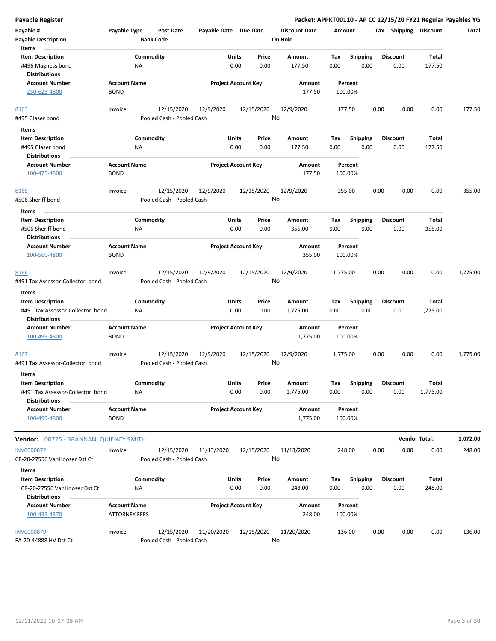| Payable Register                                                             |                                             |                        |                                         |                       |                            |                  |                                 |                    |                         |      |                         |                          | Packet: APPKT00110 - AP CC 12/15/20 FY21 Regular Payables YG |
|------------------------------------------------------------------------------|---------------------------------------------|------------------------|-----------------------------------------|-----------------------|----------------------------|------------------|---------------------------------|--------------------|-------------------------|------|-------------------------|--------------------------|--------------------------------------------------------------|
| Payable #<br><b>Payable Description</b>                                      | Payable Type                                | <b>Bank Code</b>       | <b>Post Date</b>                        | Payable Date Due Date |                            |                  | <b>Discount Date</b><br>On Hold | Amount             |                         |      | Tax Shipping Discount   |                          | Total                                                        |
| Items<br><b>Item Description</b><br>#496 Magness bond                        |                                             | Commodity<br>ΝA        |                                         |                       | Units<br>0.00              | Price<br>0.00    | Amount<br>177.50                | Tax<br>0.00        | <b>Shipping</b><br>0.00 |      | <b>Discount</b><br>0.00 | <b>Total</b><br>177.50   |                                                              |
| <b>Distributions</b><br><b>Account Number</b><br>230-623-4800                | <b>Account Name</b><br><b>BOND</b>          |                        |                                         |                       | <b>Project Account Key</b> |                  | Amount<br>177.50                | Percent<br>100.00% |                         |      |                         |                          |                                                              |
| 8163<br>#495 Glaser bond                                                     | Invoice                                     |                        | 12/15/2020<br>Pooled Cash - Pooled Cash | 12/9/2020             |                            | 12/15/2020<br>No | 12/9/2020                       | 177.50             |                         | 0.00 | 0.00                    | 0.00                     | 177.50                                                       |
|                                                                              |                                             |                        |                                         |                       |                            |                  |                                 |                    |                         |      |                         |                          |                                                              |
| Items<br><b>Item Description</b><br>#495 Glaser bond<br><b>Distributions</b> |                                             | Commodity<br><b>NA</b> |                                         |                       | Units<br>0.00              | Price<br>0.00    | Amount<br>177.50                | Tax<br>0.00        | <b>Shipping</b><br>0.00 |      | <b>Discount</b><br>0.00 | Total<br>177.50          |                                                              |
| <b>Account Number</b><br>100-475-4800                                        | <b>Account Name</b><br><b>BOND</b>          |                        |                                         |                       | <b>Project Account Key</b> |                  | Amount<br>177.50                | Percent<br>100.00% |                         |      |                         |                          |                                                              |
| 8165<br>#506 Sheriff bond                                                    | Invoice                                     |                        | 12/15/2020<br>Pooled Cash - Pooled Cash | 12/9/2020             |                            | 12/15/2020<br>No | 12/9/2020                       | 355.00             |                         | 0.00 | 0.00                    | 0.00                     | 355.00                                                       |
| Items<br><b>Item Description</b><br>#506 Sheriff bond                        |                                             | Commodity<br><b>NA</b> |                                         |                       | Units<br>0.00              | Price<br>0.00    | Amount<br>355.00                | Tax<br>0.00        | <b>Shipping</b><br>0.00 |      | <b>Discount</b><br>0.00 | Total<br>355.00          |                                                              |
| <b>Distributions</b>                                                         | <b>Account Name</b>                         |                        |                                         |                       |                            |                  |                                 |                    |                         |      |                         |                          |                                                              |
| <b>Account Number</b><br>100-560-4800                                        | <b>BOND</b>                                 |                        |                                         |                       | <b>Project Account Key</b> |                  | Amount<br>355.00                | Percent<br>100.00% |                         |      |                         |                          |                                                              |
| 8166<br>#491 Tax Assessor-Collector bond                                     | Invoice                                     |                        | 12/15/2020<br>Pooled Cash - Pooled Cash | 12/9/2020             |                            | 12/15/2020<br>No | 12/9/2020                       | 1,775.00           |                         | 0.00 | 0.00                    | 0.00                     | 1,775.00                                                     |
| Items                                                                        |                                             |                        |                                         |                       |                            |                  |                                 |                    |                         |      |                         |                          |                                                              |
| <b>Item Description</b><br>#491 Tax Assessor-Collector bond                  |                                             | Commodity<br><b>NA</b> |                                         |                       | Units<br>0.00              | Price<br>0.00    | Amount<br>1,775.00              | Tax<br>0.00        | <b>Shipping</b><br>0.00 |      | <b>Discount</b><br>0.00 | <b>Total</b><br>1,775.00 |                                                              |
| <b>Distributions</b><br><b>Account Number</b>                                | <b>Account Name</b>                         |                        |                                         |                       | <b>Project Account Key</b> |                  | Amount                          | Percent            |                         |      |                         |                          |                                                              |
| 100-499-4800                                                                 | <b>BOND</b>                                 |                        |                                         |                       |                            |                  | 1,775.00                        | 100.00%            |                         |      |                         |                          |                                                              |
| 8167<br>#491 Tax Assessor-Collector bond                                     | Invoice                                     |                        | 12/15/2020<br>Pooled Cash - Pooled Cash | 12/9/2020             |                            | 12/15/2020<br>No | 12/9/2020                       | 1,775.00           |                         | 0.00 | 0.00                    | 0.00                     | 1,775.00                                                     |
| Items<br><b>Item Description</b><br>#491 Tax Assessor-Collector bond         |                                             | Commodity<br><b>NA</b> |                                         |                       | Units<br>0.00              | Price<br>0.00    | Amount<br>1,775.00              | Tax<br>0.00        | Shipping<br>0.00        |      | <b>Discount</b><br>0.00 | <b>Total</b><br>1,775.00 |                                                              |
| <b>Distributions</b><br><b>Account Number</b><br>100-499-4800                | <b>Account Name</b><br><b>BOND</b>          |                        |                                         |                       | <b>Project Account Key</b> |                  | Amount<br>1,775.00              | Percent<br>100.00% |                         |      |                         |                          |                                                              |
| Vendor: 00725 - BRANNAN, QUIENCY SMITH                                       |                                             |                        |                                         |                       |                            |                  |                                 |                    |                         |      |                         | <b>Vendor Total:</b>     | 1,072.00                                                     |
| <b>INV0000872</b><br>CR-20-27556 VanHooser Dst Ct                            | Invoice                                     |                        | 12/15/2020<br>Pooled Cash - Pooled Cash | 11/13/2020            |                            | 12/15/2020<br>No | 11/13/2020                      | 248.00             |                         | 0.00 | 0.00                    | 0.00                     | 248.00                                                       |
| Items<br><b>Item Description</b>                                             |                                             | Commodity              |                                         |                       | Units                      | Price            | Amount                          | Tax                | Shipping                |      | Discount                | Total                    |                                                              |
| CR-20-27556 VanHooser Dst Ct<br><b>Distributions</b>                         |                                             | ΝA                     |                                         |                       | 0.00                       | 0.00             | 248.00                          | 0.00               | 0.00                    |      | 0.00                    | 248.00                   |                                                              |
| <b>Account Number</b><br>100-435-4370                                        | <b>Account Name</b><br><b>ATTORNEY FEES</b> |                        |                                         |                       | <b>Project Account Key</b> |                  | Amount<br>248.00                | Percent<br>100.00% |                         |      |                         |                          |                                                              |
| <b>INV0000879</b><br>FA-20-44888 HV Dst Ct                                   | Invoice                                     |                        | 12/15/2020<br>Pooled Cash - Pooled Cash | 11/20/2020            |                            | 12/15/2020<br>No | 11/20/2020                      | 136.00             |                         | 0.00 | 0.00                    | 0.00                     | 136.00                                                       |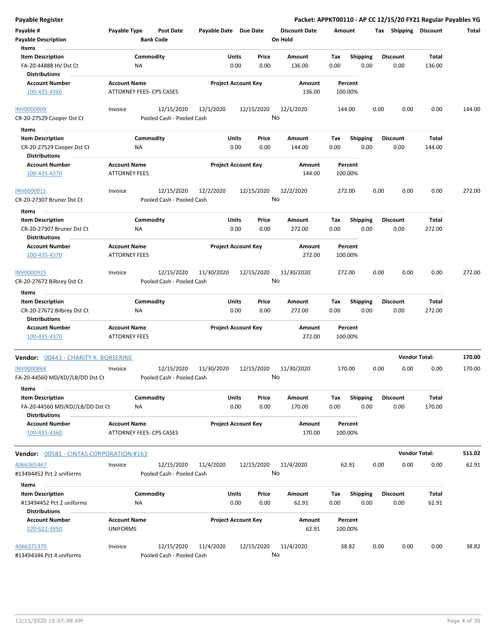| <b>Payable Register</b>                                 |                                                 |                                         |                       |                            |                      | Packet: APPKT00110 - AP CC 12/15/20 FY21 Regular Payables YG |      |                       |                      |        |
|---------------------------------------------------------|-------------------------------------------------|-----------------------------------------|-----------------------|----------------------------|----------------------|--------------------------------------------------------------|------|-----------------------|----------------------|--------|
| Payable #                                               | Payable Type                                    | <b>Post Date</b>                        | Payable Date Due Date |                            | <b>Discount Date</b> | Amount                                                       |      | Tax Shipping Discount |                      | Total  |
| <b>Payable Description</b>                              |                                                 | <b>Bank Code</b>                        |                       |                            | On Hold              |                                                              |      |                       |                      |        |
| Items                                                   |                                                 |                                         |                       |                            |                      |                                                              |      |                       |                      |        |
| <b>Item Description</b>                                 |                                                 | Commodity                               | Units                 | Price                      | Amount               | <b>Shipping</b><br>Tax                                       |      | <b>Discount</b>       | Total                |        |
| FA-20-44888 HV Dst Ct<br>Distributions                  | ΝA                                              |                                         | 0.00                  | 0.00                       | 136.00               | 0.00                                                         | 0.00 | 0.00                  | 136.00               |        |
| <b>Account Number</b>                                   | <b>Account Name</b>                             |                                         |                       | <b>Project Account Key</b> | Amount               | Percent                                                      |      |                       |                      |        |
| 100-435-4360                                            | ATTORNEY FEES- CPS CASES                        |                                         |                       |                            | 136.00               | 100.00%                                                      |      |                       |                      |        |
| <b>INV0000909</b>                                       | Invoice                                         | 12/15/2020                              | 12/1/2020             | 12/15/2020                 | 12/1/2020            | 144.00                                                       | 0.00 | 0.00                  | 0.00                 | 144.00 |
| CR-20-27529 Cooper Dst Ct                               |                                                 | Pooled Cash - Pooled Cash               |                       |                            | No                   |                                                              |      |                       |                      |        |
| Items                                                   |                                                 |                                         |                       |                            |                      |                                                              |      |                       |                      |        |
| <b>Item Description</b>                                 |                                                 | Commodity                               | Units                 | Price                      | Amount               | <b>Shipping</b><br>Tax                                       |      | <b>Discount</b>       | Total                |        |
| CR-20-27529 Cooper Dst Ct<br><b>Distributions</b>       | ΝA                                              |                                         |                       | 0.00<br>0.00               | 144.00               | 0.00                                                         | 0.00 | 0.00                  | 144.00               |        |
| <b>Account Number</b><br>100-435-4370                   | <b>Account Name</b><br><b>ATTORNEY FEES</b>     |                                         |                       | <b>Project Account Key</b> | Amount<br>144.00     | Percent<br>100.00%                                           |      |                       |                      |        |
| INV0000911                                              | Invoice                                         | 12/15/2020                              | 12/2/2020             | 12/15/2020                 | 12/2/2020            | 272.00                                                       | 0.00 | 0.00                  | 0.00                 | 272.00 |
| CR-20-27307 Bruner Dst Ct                               |                                                 | Pooled Cash - Pooled Cash               |                       |                            | No                   |                                                              |      |                       |                      |        |
| Items                                                   |                                                 |                                         |                       |                            |                      |                                                              |      |                       |                      |        |
| <b>Item Description</b>                                 |                                                 | Commodity                               | Units                 | Price                      | Amount               | Tax<br><b>Shipping</b>                                       |      | <b>Discount</b>       | Total                |        |
| CR-20-27307 Bruner Dst Ct<br><b>Distributions</b>       | ΝA                                              |                                         |                       | 0.00<br>0.00               | 272.00               | 0.00                                                         | 0.00 | 0.00                  | 272.00               |        |
| <b>Account Number</b>                                   | <b>Account Name</b>                             |                                         |                       | <b>Project Account Key</b> | Amount               | Percent                                                      |      |                       |                      |        |
| 100-435-4370                                            | <b>ATTORNEY FEES</b>                            |                                         |                       |                            | 272.00               | 100.00%                                                      |      |                       |                      |        |
| INV0000915                                              | Invoice                                         | 12/15/2020                              | 11/30/2020            | 12/15/2020                 | 11/30/2020           | 272.00                                                       | 0.00 | 0.00                  | 0.00                 | 272.00 |
| CR-20-27672 Bilbrey Dst Ct<br>Items                     |                                                 | Pooled Cash - Pooled Cash               |                       |                            | No                   |                                                              |      |                       |                      |        |
| <b>Item Description</b>                                 |                                                 | Commodity                               | Units                 | Price                      | Amount               | <b>Shipping</b><br>Tax                                       |      | <b>Discount</b>       | Total                |        |
| CR-20-27672 Bilbrey Dst Ct                              | NA                                              |                                         |                       | 0.00<br>0.00               | 272.00               | 0.00                                                         | 0.00 | 0.00                  | 272.00               |        |
| <b>Distributions</b>                                    |                                                 |                                         |                       |                            |                      |                                                              |      |                       |                      |        |
| <b>Account Number</b><br>100-435-4370                   | <b>Account Name</b><br><b>ATTORNEY FEES</b>     |                                         |                       | <b>Project Account Key</b> | Amount<br>272.00     | Percent<br>100.00%                                           |      |                       |                      |        |
| Vendor: 00443 - CHARITY K. BORSERINE                    |                                                 |                                         |                       |                            |                      |                                                              |      |                       | <b>Vendor Total:</b> | 170.00 |
| <b>INV0000868</b><br>FA-20-44560 MD/KD//LB/DD Dst Ct    | Invoice                                         | 12/15/2020<br>Pooled Cash - Pooled Cash | 11/30/2020            | 12/15/2020                 | 11/30/2020<br>No     | 170.00                                                       | 0.00 | 0.00                  | 0.00                 | 170.00 |
| Items                                                   |                                                 |                                         |                       |                            |                      |                                                              |      |                       |                      |        |
| <b>Item Description</b>                                 |                                                 | Commodity                               | Units                 | Price                      | Amount               | <b>Shipping</b><br>Tax                                       |      | <b>Discount</b>       | Total                |        |
| FA-20-44560 MD/KD//LB/DD Dst Ct<br><b>Distributions</b> | ΝA                                              |                                         |                       | 0.00<br>0.00               | 170.00               | 0.00                                                         | 0.00 | 0.00                  | 170.00               |        |
| <b>Account Number</b><br>100-435-4360                   | <b>Account Name</b><br>ATTORNEY FEES- CPS CASES |                                         |                       | <b>Project Account Key</b> | Amount<br>170.00     | Percent<br>100.00%                                           |      |                       |                      |        |
| <b>Vendor: 00581 - CINTAS CORPORATION #163</b>          |                                                 |                                         |                       |                            |                      |                                                              |      |                       | <b>Vendor Total:</b> | 511.02 |
| 4066365467                                              | Invoice                                         | 12/15/2020                              | 11/4/2020             | 12/15/2020                 | 11/4/2020            | 62.91                                                        | 0.00 | 0.00                  | 0.00                 | 62.91  |
| #13494452 Pct 2 uniforms                                |                                                 | Pooled Cash - Pooled Cash               |                       |                            | No                   |                                                              |      |                       |                      |        |
| Items                                                   |                                                 |                                         |                       |                            |                      |                                                              |      |                       |                      |        |
| <b>Item Description</b>                                 |                                                 | Commodity                               | Units                 | Price                      | Amount               | Tax<br><b>Shipping</b>                                       |      | <b>Discount</b>       | Total                |        |
| #13494452 Pct 2 uniforms<br><b>Distributions</b>        | <b>NA</b>                                       |                                         |                       | 0.00<br>0.00               | 62.91                | 0.00                                                         | 0.00 | 0.00                  | 62.91                |        |
| <b>Account Number</b><br>220-622-3950                   | <b>Account Name</b><br><b>UNIFORMS</b>          |                                         |                       | <b>Project Account Key</b> | Amount<br>62.91      | Percent<br>100.00%                                           |      |                       |                      |        |
|                                                         |                                                 |                                         |                       |                            |                      |                                                              |      |                       |                      |        |
| 4066371370<br>#13494346 Pct 4 uniforms                  | Invoice                                         | 12/15/2020<br>Pooled Cash - Pooled Cash | 11/4/2020             | 12/15/2020                 | 11/4/2020<br>No      | 38.82                                                        | 0.00 | 0.00                  | 0.00                 | 38.82  |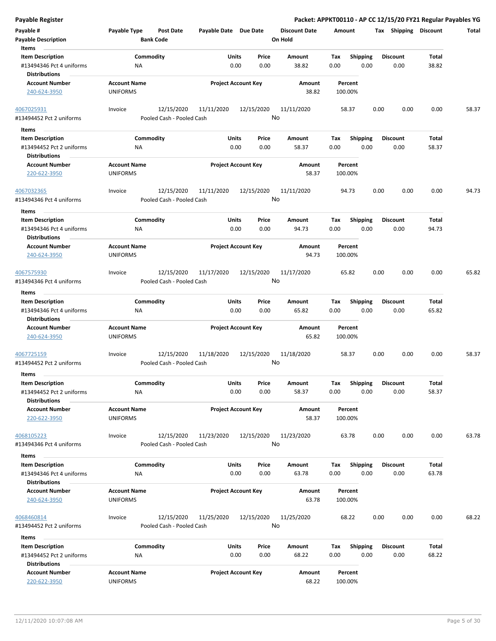| <b>Payable Register</b>                                                     |                                        |                                                       |                                |                                 | Packet: APPKT00110 - AP CC 12/15/20 FY21 Regular Payables YG |      |                         |                |       |
|-----------------------------------------------------------------------------|----------------------------------------|-------------------------------------------------------|--------------------------------|---------------------------------|--------------------------------------------------------------|------|-------------------------|----------------|-------|
| Payable #<br><b>Payable Description</b>                                     | Payable Type<br><b>Bank Code</b>       | <b>Post Date</b><br>Payable Date Due Date             |                                | <b>Discount Date</b><br>On Hold | Amount                                                       |      | Tax Shipping Discount   |                | Total |
| Items<br><b>Item Description</b>                                            | Commodity                              |                                                       | Price<br>Units                 | Amount                          | Tax<br><b>Shipping</b>                                       |      | <b>Discount</b>         | Total          |       |
| #13494346 Pct 4 uniforms<br><b>Distributions</b>                            | ΝA                                     |                                                       | 0.00<br>0.00                   | 38.82                           | 0.00<br>0.00                                                 |      | 0.00                    | 38.82          |       |
| <b>Account Number</b><br>240-624-3950                                       | <b>Account Name</b><br><b>UNIFORMS</b> |                                                       | <b>Project Account Key</b>     | Amount<br>38.82                 | Percent<br>100.00%                                           |      |                         |                |       |
| 4067025931<br>#13494452 Pct 2 uniforms                                      | Invoice                                | 12/15/2020<br>11/11/2020<br>Pooled Cash - Pooled Cash | 12/15/2020                     | 11/11/2020<br>No                | 58.37                                                        | 0.00 | 0.00                    | 0.00           | 58.37 |
| Items                                                                       |                                        |                                                       |                                |                                 |                                                              |      |                         |                |       |
| <b>Item Description</b><br>#13494452 Pct 2 uniforms                         | Commodity<br>ΝA                        |                                                       | Units<br>Price<br>0.00<br>0.00 | Amount<br>58.37                 | <b>Shipping</b><br>Tax<br>0.00<br>0.00                       |      | <b>Discount</b><br>0.00 | Total<br>58.37 |       |
| <b>Distributions</b>                                                        |                                        |                                                       |                                |                                 |                                                              |      |                         |                |       |
| <b>Account Number</b><br>220-622-3950                                       | <b>Account Name</b><br><b>UNIFORMS</b> |                                                       | <b>Project Account Key</b>     | Amount<br>58.37                 | Percent<br>100.00%                                           |      |                         |                |       |
| 4067032365<br>#13494346 Pct 4 uniforms                                      | Invoice                                | 12/15/2020<br>11/11/2020<br>Pooled Cash - Pooled Cash | 12/15/2020                     | 11/11/2020<br>No                | 94.73                                                        | 0.00 | 0.00                    | 0.00           | 94.73 |
| Items                                                                       |                                        |                                                       |                                |                                 |                                                              |      |                         |                |       |
| <b>Item Description</b><br>#13494346 Pct 4 uniforms<br><b>Distributions</b> | Commodity<br>NA                        |                                                       | Units<br>Price<br>0.00<br>0.00 | <b>Amount</b><br>94.73          | <b>Shipping</b><br>Tax<br>0.00<br>0.00                       |      | <b>Discount</b><br>0.00 | Total<br>94.73 |       |
| <b>Account Number</b><br>240-624-3950                                       | <b>Account Name</b><br><b>UNIFORMS</b> |                                                       | <b>Project Account Key</b>     | Amount<br>94.73                 | Percent<br>100.00%                                           |      |                         |                |       |
| 4067575930                                                                  | Invoice                                | 12/15/2020<br>11/17/2020                              | 12/15/2020                     | 11/17/2020                      | 65.82                                                        | 0.00 | 0.00                    | 0.00           | 65.82 |
| #13494346 Pct 4 uniforms                                                    |                                        | Pooled Cash - Pooled Cash                             |                                | No                              |                                                              |      |                         |                |       |
| Items                                                                       |                                        |                                                       |                                |                                 |                                                              |      |                         |                |       |
| <b>Item Description</b>                                                     | Commodity                              |                                                       | Units<br>Price                 | Amount                          | <b>Shipping</b><br>Tax                                       |      | <b>Discount</b>         | <b>Total</b>   |       |
| #13494346 Pct 4 uniforms<br><b>Distributions</b>                            | ΝA                                     |                                                       | 0.00<br>0.00                   | 65.82                           | 0.00<br>0.00                                                 |      | 0.00                    | 65.82          |       |
| <b>Account Number</b><br>240-624-3950                                       | <b>Account Name</b><br><b>UNIFORMS</b> |                                                       | <b>Project Account Key</b>     | <b>Amount</b><br>65.82          | Percent<br>100.00%                                           |      |                         |                |       |
| 4067725159                                                                  | Invoice                                | 12/15/2020<br>11/18/2020                              | 12/15/2020                     | 11/18/2020                      | 58.37                                                        | 0.00 | 0.00                    | 0.00           | 58.37 |
| #13494452 Pct 2 uniforms                                                    |                                        | Pooled Cash - Pooled Cash                             |                                | No                              |                                                              |      |                         |                |       |
| Items                                                                       |                                        |                                                       |                                |                                 |                                                              |      |                         |                |       |
| <b>Item Description</b>                                                     | Commodity                              |                                                       | Units<br>Price                 | Amount                          | Shipping<br>Tax                                              |      | <b>Discount</b>         | Total          |       |
| #13494452 Pct 2 uniforms<br><b>Distributions</b>                            | <b>NA</b>                              |                                                       | 0.00<br>0.00                   | 58.37                           | 0.00<br>0.00                                                 |      | 0.00                    | 58.37          |       |
| <b>Account Number</b><br>220-622-3950                                       | <b>Account Name</b><br><b>UNIFORMS</b> |                                                       | <b>Project Account Key</b>     | Amount<br>58.37                 | Percent<br>100.00%                                           |      |                         |                |       |
| 4068105223<br>#13494346 Pct 4 uniforms                                      | Invoice                                | 12/15/2020<br>11/23/2020<br>Pooled Cash - Pooled Cash | 12/15/2020                     | 11/23/2020<br>No                | 63.78                                                        | 0.00 | 0.00                    | 0.00           | 63.78 |
| Items                                                                       |                                        |                                                       |                                |                                 |                                                              |      |                         |                |       |
| <b>Item Description</b>                                                     | Commodity                              |                                                       | Units<br>Price                 | <b>Amount</b>                   | <b>Shipping</b><br>Tax                                       |      | <b>Discount</b>         | Total          |       |
| #13494346 Pct 4 uniforms<br><b>Distributions</b>                            | ΝA                                     |                                                       | 0.00<br>0.00                   | 63.78                           | 0.00<br>0.00                                                 |      | 0.00                    | 63.78          |       |
| <b>Account Number</b><br>240-624-3950                                       | <b>Account Name</b><br><b>UNIFORMS</b> |                                                       | <b>Project Account Key</b>     | Amount<br>63.78                 | Percent<br>100.00%                                           |      |                         |                |       |
| 4068460814<br>#13494452 Pct 2 uniforms                                      | Invoice                                | 12/15/2020<br>11/25/2020<br>Pooled Cash - Pooled Cash | 12/15/2020                     | 11/25/2020<br>No                | 68.22                                                        | 0.00 | 0.00                    | 0.00           | 68.22 |
| Items                                                                       |                                        |                                                       |                                |                                 |                                                              |      |                         |                |       |
| <b>Item Description</b><br>#13494452 Pct 2 uniforms<br><b>Distributions</b> | Commodity<br>ΝA                        |                                                       | Units<br>Price<br>0.00<br>0.00 | Amount<br>68.22                 | Tax<br><b>Shipping</b><br>0.00<br>0.00                       |      | <b>Discount</b><br>0.00 | Total<br>68.22 |       |
| <b>Account Number</b><br>220-622-3950                                       | <b>Account Name</b><br><b>UNIFORMS</b> |                                                       | <b>Project Account Key</b>     | Amount<br>68.22                 | Percent<br>100.00%                                           |      |                         |                |       |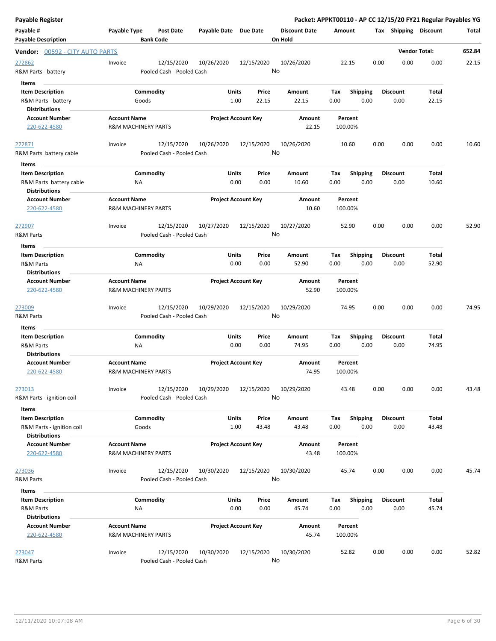| Payable Register                                                        |                                                       |                            |                |                                 |                    |                         |                         | Packet: APPKT00110 - AP CC 12/15/20 FY21 Regular Payables YG |        |
|-------------------------------------------------------------------------|-------------------------------------------------------|----------------------------|----------------|---------------------------------|--------------------|-------------------------|-------------------------|--------------------------------------------------------------|--------|
| Payable #<br><b>Payable Description</b>                                 | Payable Type<br><b>Post Date</b><br><b>Bank Code</b>  | Payable Date Due Date      |                | <b>Discount Date</b><br>On Hold | Amount             |                         | Tax Shipping Discount   |                                                              | Total  |
| <b>Vendor: 00592 - CITY AUTO PARTS</b>                                  |                                                       |                            |                |                                 |                    |                         |                         | <b>Vendor Total:</b>                                         | 652.84 |
| 272862<br>R&M Parts - battery<br>Items                                  | Invoice<br>12/15/2020<br>Pooled Cash - Pooled Cash    | 10/26/2020                 | 12/15/2020     | 10/26/2020<br>No                | 22.15              | 0.00                    | 0.00                    | 0.00                                                         | 22.15  |
| <b>Item Description</b><br>R&M Parts - battery<br><b>Distributions</b>  | Commodity<br>Goods                                    | Units<br>1.00              | Price<br>22.15 | Amount<br>22.15                 | Tax<br>0.00        | <b>Shipping</b><br>0.00 | <b>Discount</b><br>0.00 | Total<br>22.15                                               |        |
| <b>Account Number</b><br>220-622-4580                                   | <b>Account Name</b><br><b>R&amp;M MACHINERY PARTS</b> | <b>Project Account Key</b> |                | Amount<br>22.15                 | Percent<br>100.00% |                         |                         |                                                              |        |
| 272871<br>R&M Parts battery cable                                       | 12/15/2020<br>Invoice<br>Pooled Cash - Pooled Cash    | 10/26/2020                 | 12/15/2020     | 10/26/2020<br>No                | 10.60              | 0.00                    | 0.00                    | 0.00                                                         | 10.60  |
| Items<br><b>Item Description</b>                                        | Commodity                                             | Units                      | Price          | Amount                          | Tax                | <b>Shipping</b>         | <b>Discount</b>         | Total                                                        |        |
| R&M Parts battery cable<br><b>Distributions</b>                         | <b>NA</b>                                             | 0.00                       | 0.00           | 10.60                           | 0.00               | 0.00                    | 0.00                    | 10.60                                                        |        |
| <b>Account Number</b><br>220-622-4580                                   | <b>Account Name</b><br><b>R&amp;M MACHINERY PARTS</b> | <b>Project Account Key</b> |                | Amount<br>10.60                 | Percent<br>100.00% |                         |                         |                                                              |        |
| 272907<br>R&M Parts                                                     | 12/15/2020<br>Invoice<br>Pooled Cash - Pooled Cash    | 10/27/2020                 | 12/15/2020     | 10/27/2020<br>No                | 52.90              | 0.00                    | 0.00                    | 0.00                                                         | 52.90  |
| Items                                                                   |                                                       |                            |                |                                 |                    |                         |                         |                                                              |        |
| <b>Item Description</b><br><b>R&amp;M Parts</b><br><b>Distributions</b> | Commodity<br><b>NA</b>                                | Units<br>0.00              | Price<br>0.00  | Amount<br>52.90                 | Tax<br>0.00        | <b>Shipping</b><br>0.00 | <b>Discount</b><br>0.00 | Total<br>52.90                                               |        |
| <b>Account Number</b><br>220-622-4580                                   | <b>Account Name</b><br><b>R&amp;M MACHINERY PARTS</b> | <b>Project Account Key</b> |                | Amount<br>52.90                 | Percent<br>100.00% |                         |                         |                                                              |        |
| 273009<br>R&M Parts                                                     | 12/15/2020<br>Invoice<br>Pooled Cash - Pooled Cash    | 10/29/2020                 | 12/15/2020     | 10/29/2020<br>No                | 74.95              | 0.00                    | 0.00                    | 0.00                                                         | 74.95  |
| Items                                                                   |                                                       |                            |                |                                 |                    |                         |                         |                                                              |        |
| <b>Item Description</b>                                                 | Commodity                                             | Units                      | Price          | Amount                          | Tax                | <b>Shipping</b>         | <b>Discount</b>         | Total                                                        |        |
| R&M Parts<br><b>Distributions</b>                                       | <b>NA</b>                                             | 0.00                       | 0.00           | 74.95                           | 0.00               | 0.00                    | 0.00                    | 74.95                                                        |        |
| <b>Account Number</b><br>220-622-4580                                   | <b>Account Name</b><br><b>R&amp;M MACHINERY PARTS</b> | <b>Project Account Key</b> |                | Amount<br>74.95                 | Percent<br>100.00% |                         |                         |                                                              |        |
| 273013<br>R&M Parts - ignition coil                                     | 12/15/2020<br>Invoice<br>Pooled Cash - Pooled Cash    | 10/29/2020                 | 12/15/2020     | 10/29/2020<br>No                | 43.48              | 0.00                    | 0.00                    | 0.00                                                         | 43.48  |
| Items<br><b>Item Description</b><br>R&M Parts - ignition coil           | Commodity<br>Goods                                    | Units<br>1.00              | Price<br>43.48 | Amount<br>43.48                 | Tax<br>0.00        | <b>Shipping</b><br>0.00 | <b>Discount</b><br>0.00 | Total<br>43.48                                               |        |
| <b>Distributions</b><br><b>Account Number</b><br>220-622-4580           | <b>Account Name</b><br><b>R&amp;M MACHINERY PARTS</b> | <b>Project Account Key</b> |                | Amount<br>43.48                 | Percent<br>100.00% |                         |                         |                                                              |        |
| 273036<br>R&M Parts                                                     | 12/15/2020<br>Invoice<br>Pooled Cash - Pooled Cash    | 10/30/2020                 | 12/15/2020     | 10/30/2020<br>No                | 45.74              | 0.00                    | 0.00                    | 0.00                                                         | 45.74  |
| Items<br><b>Item Description</b><br>R&M Parts                           | Commodity<br>ΝA                                       | Units<br>0.00              | Price<br>0.00  | Amount<br>45.74                 | Tax<br>0.00        | <b>Shipping</b><br>0.00 | <b>Discount</b><br>0.00 | Total<br>45.74                                               |        |
| <b>Distributions</b><br><b>Account Number</b><br>220-622-4580           | <b>Account Name</b><br><b>R&amp;M MACHINERY PARTS</b> | <b>Project Account Key</b> |                | Amount<br>45.74                 | Percent<br>100.00% |                         |                         |                                                              |        |
| 273047<br>R&M Parts                                                     | 12/15/2020<br>Invoice<br>Pooled Cash - Pooled Cash    | 10/30/2020                 | 12/15/2020     | 10/30/2020<br>No                | 52.82              | 0.00                    | 0.00                    | 0.00                                                         | 52.82  |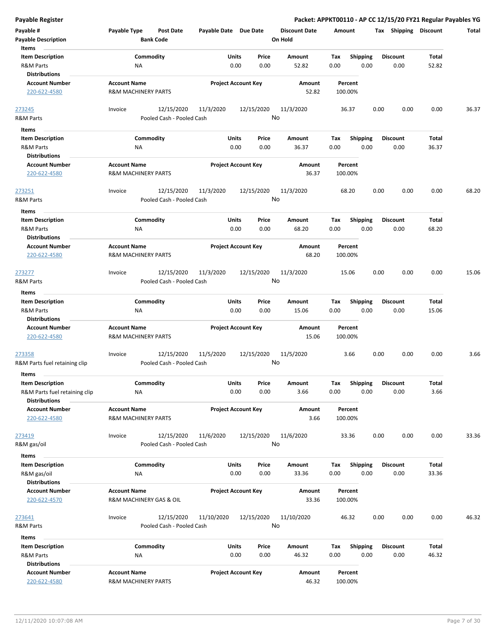| <b>Payable Register</b>               |                                                |                           |                       |                            |                      |             |                         |      |                       |              | Packet: APPKT00110 - AP CC 12/15/20 FY21 Regular Payables YG |
|---------------------------------------|------------------------------------------------|---------------------------|-----------------------|----------------------------|----------------------|-------------|-------------------------|------|-----------------------|--------------|--------------------------------------------------------------|
| Payable #                             | Payable Type                                   | <b>Post Date</b>          | Payable Date Due Date |                            | <b>Discount Date</b> | Amount      |                         |      | Tax Shipping Discount |              | Total                                                        |
| <b>Payable Description</b>            |                                                | <b>Bank Code</b>          |                       |                            | On Hold              |             |                         |      |                       |              |                                                              |
| Items                                 |                                                |                           |                       |                            |                      |             |                         |      |                       |              |                                                              |
| <b>Item Description</b>               |                                                | Commodity                 |                       | Price<br>Units             | Amount               | Tax         | Shipping                |      | <b>Discount</b>       | <b>Total</b> |                                                              |
| <b>R&amp;M Parts</b>                  | ΝA                                             |                           |                       | 0.00<br>0.00               | 52.82                | 0.00        | 0.00                    |      | 0.00                  | 52.82        |                                                              |
| <b>Distributions</b>                  |                                                |                           |                       |                            |                      |             |                         |      |                       |              |                                                              |
| <b>Account Number</b>                 | <b>Account Name</b>                            |                           |                       | <b>Project Account Key</b> | Amount               |             | Percent                 |      |                       |              |                                                              |
| 220-622-4580                          | <b>R&amp;M MACHINERY PARTS</b>                 |                           |                       |                            | 52.82                |             | 100.00%                 |      |                       |              |                                                              |
| 273245                                | Invoice                                        | 12/15/2020                | 11/3/2020             | 12/15/2020                 | 11/3/2020            |             | 36.37                   | 0.00 | 0.00                  | 0.00         | 36.37                                                        |
| R&M Parts                             |                                                | Pooled Cash - Pooled Cash |                       |                            | No                   |             |                         |      |                       |              |                                                              |
| Items                                 |                                                |                           |                       |                            |                      |             |                         |      |                       |              |                                                              |
| <b>Item Description</b>               | Commodity                                      |                           |                       | Units<br>Price             | Amount               | Tax         | <b>Shipping</b>         |      | <b>Discount</b>       | Total        |                                                              |
| <b>R&amp;M Parts</b>                  | ΝA                                             |                           |                       | 0.00<br>0.00               | 36.37                | 0.00        | 0.00                    |      | 0.00                  | 36.37        |                                                              |
| <b>Distributions</b>                  |                                                |                           |                       |                            |                      |             |                         |      |                       |              |                                                              |
| <b>Account Number</b>                 | <b>Account Name</b>                            |                           |                       | <b>Project Account Key</b> | Amount               |             | Percent                 |      |                       |              |                                                              |
| 220-622-4580                          | <b>R&amp;M MACHINERY PARTS</b>                 |                           |                       |                            | 36.37                |             | 100.00%                 |      |                       |              |                                                              |
| 273251                                | Invoice                                        | 12/15/2020                | 11/3/2020             | 12/15/2020                 | 11/3/2020            |             | 68.20                   | 0.00 | 0.00                  | 0.00         | 68.20                                                        |
| R&M Parts                             |                                                | Pooled Cash - Pooled Cash |                       |                            | No                   |             |                         |      |                       |              |                                                              |
| Items                                 |                                                |                           |                       |                            |                      |             |                         |      |                       |              |                                                              |
| <b>Item Description</b>               | Commodity                                      |                           |                       | <b>Units</b><br>Price      | Amount               | Tax         | <b>Shipping</b>         |      | <b>Discount</b>       | Total        |                                                              |
| <b>R&amp;M Parts</b>                  | ΝA                                             |                           |                       | 0.00<br>0.00               | 68.20                | 0.00        | 0.00                    |      | 0.00                  | 68.20        |                                                              |
| <b>Distributions</b>                  |                                                |                           |                       |                            |                      |             |                         |      |                       |              |                                                              |
| <b>Account Number</b>                 | <b>Account Name</b>                            |                           |                       | <b>Project Account Key</b> | Amount               |             | Percent                 |      |                       |              |                                                              |
| 220-622-4580                          | <b>R&amp;M MACHINERY PARTS</b>                 |                           |                       |                            | 68.20                |             | 100.00%                 |      |                       |              |                                                              |
| 273277                                | Invoice                                        | 12/15/2020                | 11/3/2020             | 12/15/2020                 | 11/3/2020            |             | 15.06                   | 0.00 | 0.00                  | 0.00         | 15.06                                                        |
| R&M Parts                             |                                                | Pooled Cash - Pooled Cash |                       |                            | No                   |             |                         |      |                       |              |                                                              |
| Items                                 |                                                |                           |                       |                            |                      |             |                         |      |                       |              |                                                              |
| <b>Item Description</b>               | Commodity                                      |                           |                       | Units<br>Price             | Amount               | Tax         | <b>Shipping</b>         |      | <b>Discount</b>       | Total        |                                                              |
| <b>R&amp;M Parts</b>                  | NA                                             |                           |                       | 0.00<br>0.00               | 15.06                | 0.00        | 0.00                    |      | 0.00                  | 15.06        |                                                              |
| <b>Distributions</b>                  |                                                |                           |                       |                            |                      |             |                         |      |                       |              |                                                              |
| <b>Account Number</b>                 | <b>Account Name</b>                            |                           |                       | <b>Project Account Key</b> | Amount               |             | Percent                 |      |                       |              |                                                              |
| 220-622-4580                          | <b>R&amp;M MACHINERY PARTS</b>                 |                           |                       |                            | 15.06                |             | 100.00%                 |      |                       |              |                                                              |
|                                       |                                                |                           |                       |                            |                      |             |                         |      |                       |              |                                                              |
| 273358                                | Invoice                                        | 12/15/2020                | 11/5/2020             | 12/15/2020                 | 11/5/2020            |             | 3.66                    | 0.00 | 0.00                  | 0.00         | 3.66                                                         |
| R&M Parts fuel retaining clip         |                                                | Pooled Cash - Pooled Cash |                       |                            | No                   |             |                         |      |                       |              |                                                              |
| Items                                 |                                                |                           |                       |                            |                      |             |                         |      |                       |              |                                                              |
| <b>Item Description</b>               |                                                | Commodity                 |                       | Units<br>Price             | Amount               | Tax         | Shipping                |      | <b>Discount</b>       | Total        |                                                              |
| R&M Parts fuel retaining clip         | NA                                             |                           |                       | 0.00<br>0.00               | 3.66                 | 0.00        | 0.00                    |      | 0.00                  | 3.66         |                                                              |
| <b>Distributions</b>                  |                                                |                           |                       |                            |                      |             |                         |      |                       |              |                                                              |
| <b>Account Number</b>                 | <b>Account Name</b>                            |                           |                       | <b>Project Account Key</b> | Amount               |             | Percent                 |      |                       |              |                                                              |
| 220-622-4580                          | <b>R&amp;M MACHINERY PARTS</b>                 |                           |                       |                            | 3.66                 |             | 100.00%                 |      |                       |              |                                                              |
| 273419                                | Invoice                                        | 12/15/2020                | 11/6/2020             | 12/15/2020                 | 11/6/2020            |             | 33.36                   | 0.00 | 0.00                  | 0.00         | 33.36                                                        |
| R&M gas/oil                           |                                                | Pooled Cash - Pooled Cash |                       |                            | No                   |             |                         |      |                       |              |                                                              |
|                                       |                                                |                           |                       |                            |                      |             |                         |      |                       |              |                                                              |
| Items                                 |                                                |                           |                       |                            |                      |             |                         |      |                       |              |                                                              |
| <b>Item Description</b>               | Commodity                                      |                           |                       | Units<br>Price             | Amount               | Tax         | <b>Shipping</b>         |      | <b>Discount</b>       | Total        |                                                              |
| R&M gas/oil                           | NA                                             |                           |                       | 0.00<br>0.00               | 33.36                | 0.00        | 0.00                    |      | 0.00                  | 33.36        |                                                              |
| <b>Distributions</b>                  |                                                |                           |                       |                            |                      |             |                         |      |                       |              |                                                              |
| <b>Account Number</b><br>220-622-4570 | <b>Account Name</b><br>R&M MACHINERY GAS & OIL |                           |                       | <b>Project Account Key</b> | Amount<br>33.36      |             | Percent<br>100.00%      |      |                       |              |                                                              |
|                                       |                                                |                           |                       |                            |                      |             |                         |      |                       |              |                                                              |
| 273641                                | Invoice                                        | 12/15/2020                | 11/10/2020            | 12/15/2020                 | 11/10/2020           |             | 46.32                   | 0.00 | 0.00                  | 0.00         | 46.32                                                        |
| R&M Parts                             |                                                | Pooled Cash - Pooled Cash |                       |                            | No                   |             |                         |      |                       |              |                                                              |
|                                       |                                                |                           |                       |                            |                      |             |                         |      |                       |              |                                                              |
| Items<br><b>Item Description</b>      |                                                |                           |                       | Units<br>Price             | Amount               |             |                         |      | <b>Discount</b>       | Total        |                                                              |
| <b>R&amp;M Parts</b>                  | ΝA                                             | Commodity                 |                       | 0.00<br>0.00               | 46.32                | Tax<br>0.00 | <b>Shipping</b><br>0.00 |      | 0.00                  | 46.32        |                                                              |
| <b>Distributions</b>                  |                                                |                           |                       |                            |                      |             |                         |      |                       |              |                                                              |
| <b>Account Number</b>                 | <b>Account Name</b>                            |                           |                       | <b>Project Account Key</b> | Amount               |             | Percent                 |      |                       |              |                                                              |
| 220-622-4580                          | R&M MACHINERY PARTS                            |                           |                       |                            | 46.32                |             | 100.00%                 |      |                       |              |                                                              |
|                                       |                                                |                           |                       |                            |                      |             |                         |      |                       |              |                                                              |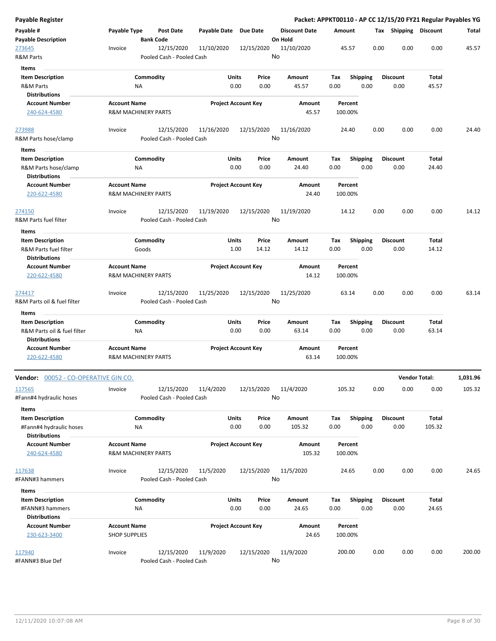| Payable Register                              |                      |                                         |                       |                            |       |                      |         |                 |      |                       | Packet: APPKT00110 - AP CC 12/15/20 FY21 Regular Payables YG |          |
|-----------------------------------------------|----------------------|-----------------------------------------|-----------------------|----------------------------|-------|----------------------|---------|-----------------|------|-----------------------|--------------------------------------------------------------|----------|
| Payable #                                     | Payable Type         | <b>Post Date</b>                        | Payable Date Due Date |                            |       | <b>Discount Date</b> | Amount  |                 |      | Tax Shipping Discount |                                                              | Total    |
| <b>Payable Description</b>                    |                      | <b>Bank Code</b>                        |                       |                            |       | On Hold              |         |                 |      |                       |                                                              |          |
| 273645<br>R&M Parts                           | Invoice              | 12/15/2020<br>Pooled Cash - Pooled Cash | 11/10/2020            | 12/15/2020                 | No    | 11/10/2020           |         | 45.57           | 0.00 | 0.00                  | 0.00                                                         | 45.57    |
| Items                                         |                      |                                         |                       |                            |       |                      |         |                 |      |                       |                                                              |          |
| <b>Item Description</b>                       |                      | Commodity                               |                       | Units                      | Price | Amount               | Tax     | <b>Shipping</b> |      | <b>Discount</b>       | Total                                                        |          |
| <b>R&amp;M Parts</b>                          |                      | ΝA                                      |                       | 0.00                       | 0.00  | 45.57                | 0.00    | 0.00            |      | 0.00                  | 45.57                                                        |          |
| <b>Distributions</b>                          |                      |                                         |                       |                            |       |                      |         |                 |      |                       |                                                              |          |
| <b>Account Number</b>                         | <b>Account Name</b>  |                                         |                       | <b>Project Account Key</b> |       | Amount               |         | Percent         |      |                       |                                                              |          |
| 240-624-4580                                  |                      | <b>R&amp;M MACHINERY PARTS</b>          |                       |                            |       | 45.57                | 100.00% |                 |      |                       |                                                              |          |
| 273988                                        | Invoice              | 12/15/2020                              | 11/16/2020            | 12/15/2020                 |       | 11/16/2020           |         | 24.40           | 0.00 | 0.00                  | 0.00                                                         | 24.40    |
| R&M Parts hose/clamp                          |                      | Pooled Cash - Pooled Cash               |                       |                            |       | No                   |         |                 |      |                       |                                                              |          |
| Items                                         |                      |                                         |                       |                            |       |                      |         |                 |      |                       |                                                              |          |
| <b>Item Description</b>                       |                      | Commodity                               |                       | Units                      | Price | Amount               | Tax     | Shipping        |      | <b>Discount</b>       | Total                                                        |          |
| R&M Parts hose/clamp<br><b>Distributions</b>  |                      | ΝA                                      |                       | 0.00                       | 0.00  | 24.40                | 0.00    | 0.00            |      | 0.00                  | 24.40                                                        |          |
| <b>Account Number</b>                         | <b>Account Name</b>  |                                         |                       | <b>Project Account Key</b> |       | Amount               |         | Percent         |      |                       |                                                              |          |
| 220-622-4580                                  |                      | R&M MACHINERY PARTS                     |                       |                            |       | 24.40                | 100.00% |                 |      |                       |                                                              |          |
| 274150                                        | Invoice              | 12/15/2020                              | 11/19/2020            | 12/15/2020                 |       | 11/19/2020           |         | 14.12           | 0.00 | 0.00                  | 0.00                                                         | 14.12    |
| R&M Parts fuel filter                         |                      | Pooled Cash - Pooled Cash               |                       |                            |       | No                   |         |                 |      |                       |                                                              |          |
| Items                                         |                      |                                         |                       |                            |       |                      |         |                 |      |                       |                                                              |          |
| <b>Item Description</b>                       |                      | Commodity                               |                       | Units                      | Price | Amount               | Tax     | <b>Shipping</b> |      | <b>Discount</b>       | Total                                                        |          |
| R&M Parts fuel filter<br><b>Distributions</b> |                      | Goods                                   |                       | 1.00                       | 14.12 | 14.12                | 0.00    | 0.00            |      | 0.00                  | 14.12                                                        |          |
| <b>Account Number</b>                         | <b>Account Name</b>  |                                         |                       | <b>Project Account Key</b> |       | Amount               |         | Percent         |      |                       |                                                              |          |
| 220-622-4580                                  |                      | <b>R&amp;M MACHINERY PARTS</b>          |                       |                            |       | 14.12                | 100.00% |                 |      |                       |                                                              |          |
| 274417                                        | Invoice              | 12/15/2020                              | 11/25/2020            | 12/15/2020                 |       | 11/25/2020           |         | 63.14           | 0.00 | 0.00                  | 0.00                                                         | 63.14    |
| R&M Parts oil & fuel filter                   |                      | Pooled Cash - Pooled Cash               |                       |                            |       | No                   |         |                 |      |                       |                                                              |          |
| Items                                         |                      |                                         |                       |                            |       |                      |         |                 |      |                       |                                                              |          |
| <b>Item Description</b>                       |                      | Commodity                               |                       | Units                      | Price | Amount               | Tax     | <b>Shipping</b> |      | <b>Discount</b>       | Total                                                        |          |
| R&M Parts oil & fuel filter                   |                      | NA                                      |                       | 0.00                       | 0.00  | 63.14                | 0.00    | 0.00            |      | 0.00                  | 63.14                                                        |          |
| <b>Distributions</b>                          |                      |                                         |                       |                            |       |                      |         |                 |      |                       |                                                              |          |
| <b>Account Number</b>                         | <b>Account Name</b>  |                                         |                       | <b>Project Account Key</b> |       | Amount               |         | Percent         |      |                       |                                                              |          |
| 220-622-4580                                  |                      | <b>R&amp;M MACHINERY PARTS</b>          |                       |                            |       | 63.14                | 100.00% |                 |      |                       |                                                              |          |
| Vendor: 00052 - CO-OPERATIVE GIN CO.          |                      |                                         |                       |                            |       |                      |         |                 |      |                       | <b>Vendor Total:</b>                                         | 1,031.96 |
| 117565                                        | Invoice              | 12/15/2020                              | 11/4/2020             | 12/15/2020                 |       | 11/4/2020            | 105.32  |                 | 0.00 | 0.00                  | 0.00                                                         | 105.32   |
| #Fann#4 hydraulic hoses                       |                      | Pooled Cash - Pooled Cash               |                       |                            |       | No                   |         |                 |      |                       |                                                              |          |
| Items                                         |                      |                                         |                       |                            |       |                      |         |                 |      |                       |                                                              |          |
| <b>Item Description</b>                       |                      | Commodity                               |                       | Units                      | Price | Amount               | Tax     | <b>Shipping</b> |      | <b>Discount</b>       | Total                                                        |          |
| #Fann#4 hydraulic hoses                       |                      | ΝA                                      |                       | 0.00                       | 0.00  | 105.32               | 0.00    | 0.00            |      | 0.00                  | 105.32                                                       |          |
| <b>Distributions</b>                          |                      |                                         |                       |                            |       |                      |         |                 |      |                       |                                                              |          |
| <b>Account Number</b>                         | <b>Account Name</b>  |                                         |                       | <b>Project Account Key</b> |       | Amount               |         | Percent         |      |                       |                                                              |          |
| 240-624-4580                                  |                      | <b>R&amp;M MACHINERY PARTS</b>          |                       |                            |       | 105.32               | 100.00% |                 |      |                       |                                                              |          |
| 117638                                        | Invoice              | 12/15/2020                              | 11/5/2020             | 12/15/2020                 |       | 11/5/2020            |         | 24.65           | 0.00 | 0.00                  | 0.00                                                         | 24.65    |
| #FANN#3 hammers                               |                      | Pooled Cash - Pooled Cash               |                       |                            | No    |                      |         |                 |      |                       |                                                              |          |
| Items                                         |                      |                                         |                       |                            |       |                      |         |                 |      |                       |                                                              |          |
| <b>Item Description</b>                       |                      | Commodity                               |                       | Units                      | Price | Amount               | Tax     | <b>Shipping</b> |      | <b>Discount</b>       | Total                                                        |          |
| #FANN#3 hammers                               |                      | NA                                      |                       | 0.00                       | 0.00  | 24.65                | 0.00    | 0.00            |      | 0.00                  | 24.65                                                        |          |
| <b>Distributions</b>                          |                      |                                         |                       |                            |       |                      |         |                 |      |                       |                                                              |          |
| <b>Account Number</b>                         | <b>Account Name</b>  |                                         |                       | <b>Project Account Key</b> |       | Amount               |         | Percent         |      |                       |                                                              |          |
| 230-623-3400                                  | <b>SHOP SUPPLIES</b> |                                         |                       |                            |       | 24.65                | 100.00% |                 |      |                       |                                                              |          |
| 117940                                        | Invoice              | 12/15/2020                              | 11/9/2020             | 12/15/2020                 |       | 11/9/2020            | 200.00  |                 | 0.00 | 0.00                  | 0.00                                                         | 200.00   |
| #FANN#3 Blue Def                              |                      | Pooled Cash - Pooled Cash               |                       |                            |       | No                   |         |                 |      |                       |                                                              |          |
|                                               |                      |                                         |                       |                            |       |                      |         |                 |      |                       |                                                              |          |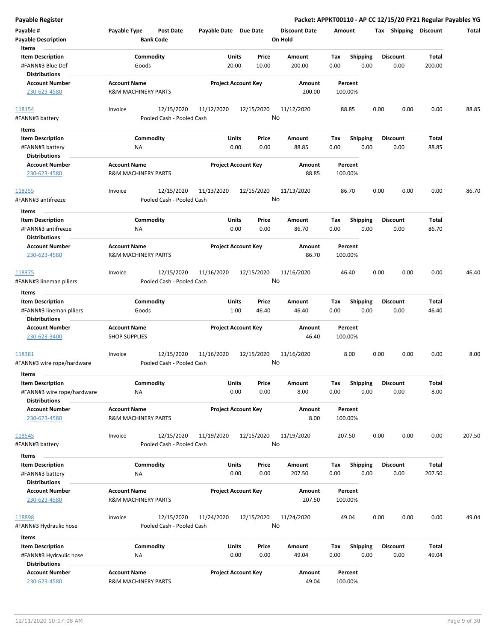| <b>Payable Register</b>                            |                                |                                         |                       |                            |                      |             |                  |      |                         |              | Packet: APPKT00110 - AP CC 12/15/20 FY21 Regular Payables YG |
|----------------------------------------------------|--------------------------------|-----------------------------------------|-----------------------|----------------------------|----------------------|-------------|------------------|------|-------------------------|--------------|--------------------------------------------------------------|
| Payable #                                          | Payable Type                   | <b>Post Date</b>                        | Payable Date Due Date |                            | <b>Discount Date</b> | Amount      |                  |      | Tax Shipping Discount   |              | <b>Total</b>                                                 |
| <b>Payable Description</b>                         |                                | <b>Bank Code</b>                        |                       |                            | On Hold              |             |                  |      |                         |              |                                                              |
| Items                                              |                                |                                         |                       |                            |                      |             |                  |      |                         |              |                                                              |
| <b>Item Description</b>                            | Commodity                      |                                         |                       | Units<br>Price             | Amount               | Tax         | <b>Shipping</b>  |      | <b>Discount</b>         | <b>Total</b> |                                                              |
| #FANN#3 Blue Def                                   | Goods                          |                                         |                       | 20.00<br>10.00             | 200.00               | 0.00        | 0.00             |      | 0.00                    | 200.00       |                                                              |
| <b>Distributions</b>                               |                                |                                         |                       |                            |                      |             |                  |      |                         |              |                                                              |
| <b>Account Number</b>                              | <b>Account Name</b>            |                                         |                       | <b>Project Account Key</b> | Amount               |             | Percent          |      |                         |              |                                                              |
| 230-623-4580                                       | <b>R&amp;M MACHINERY PARTS</b> |                                         |                       |                            | 200.00               |             | 100.00%          |      |                         |              |                                                              |
|                                                    |                                |                                         |                       |                            |                      |             |                  |      |                         |              |                                                              |
| 118154                                             | Invoice                        | 12/15/2020<br>Pooled Cash - Pooled Cash | 11/12/2020            | 12/15/2020                 | 11/12/2020<br>No     |             | 88.85            | 0.00 | 0.00                    | 0.00         | 88.85                                                        |
| #FANN#3 battery                                    |                                |                                         |                       |                            |                      |             |                  |      |                         |              |                                                              |
| Items                                              |                                |                                         |                       |                            |                      |             |                  |      |                         |              |                                                              |
| <b>Item Description</b>                            | Commodity                      |                                         |                       | Units<br>Price             | Amount               | Tax         | <b>Shipping</b>  |      | <b>Discount</b>         | Total        |                                                              |
| #FANN#3 battery                                    | ΝA                             |                                         |                       | 0.00<br>0.00               | 88.85                | 0.00        | 0.00             |      | 0.00                    | 88.85        |                                                              |
| <b>Distributions</b>                               |                                |                                         |                       |                            |                      |             |                  |      |                         |              |                                                              |
| <b>Account Number</b>                              | <b>Account Name</b>            |                                         |                       | <b>Project Account Key</b> | Amount               |             | Percent          |      |                         |              |                                                              |
| 230-623-4580                                       | <b>R&amp;M MACHINERY PARTS</b> |                                         |                       |                            | 88.85                |             | 100.00%          |      |                         |              |                                                              |
|                                                    | Invoice                        | 12/15/2020                              | 11/13/2020            | 12/15/2020                 | 11/13/2020           |             | 86.70            | 0.00 | 0.00                    | 0.00         | 86.70                                                        |
| 118255<br>#FANN#3 antifreeze                       |                                | Pooled Cash - Pooled Cash               |                       |                            | No                   |             |                  |      |                         |              |                                                              |
|                                                    |                                |                                         |                       |                            |                      |             |                  |      |                         |              |                                                              |
| Items                                              |                                |                                         |                       |                            |                      |             |                  |      |                         |              |                                                              |
| <b>Item Description</b>                            | Commodity                      |                                         |                       | Units<br>Price             | Amount               | Tax         | <b>Shipping</b>  |      | <b>Discount</b>         | Total        |                                                              |
| #FANN#3 antifreeze                                 | ΝA                             |                                         |                       | 0.00<br>0.00               | 86.70                | 0.00        | 0.00             |      | 0.00                    | 86.70        |                                                              |
| <b>Distributions</b>                               | <b>Account Name</b>            |                                         |                       |                            |                      |             | Percent          |      |                         |              |                                                              |
| <b>Account Number</b><br>230-623-4580              | <b>R&amp;M MACHINERY PARTS</b> |                                         |                       | <b>Project Account Key</b> | Amount<br>86.70      |             | 100.00%          |      |                         |              |                                                              |
|                                                    |                                |                                         |                       |                            |                      |             |                  |      |                         |              |                                                              |
| 118375                                             | Invoice                        | 12/15/2020                              | 11/16/2020            | 12/15/2020                 | 11/16/2020           |             | 46.40            | 0.00 | 0.00                    | 0.00         | 46.40                                                        |
| #FANN#3 lineman plliers                            |                                | Pooled Cash - Pooled Cash               |                       |                            | No                   |             |                  |      |                         |              |                                                              |
|                                                    |                                |                                         |                       |                            |                      |             |                  |      |                         |              |                                                              |
| Items                                              | Commodity                      |                                         |                       | Units<br>Price             | Amount               |             |                  |      |                         | Total        |                                                              |
| <b>Item Description</b><br>#FANN#3 lineman plliers | Goods                          |                                         |                       | 1.00<br>46.40              | 46.40                | Tax<br>0.00 | Shipping<br>0.00 |      | <b>Discount</b><br>0.00 | 46.40        |                                                              |
| <b>Distributions</b>                               |                                |                                         |                       |                            |                      |             |                  |      |                         |              |                                                              |
| <b>Account Number</b>                              | <b>Account Name</b>            |                                         |                       | <b>Project Account Key</b> | Amount               |             | Percent          |      |                         |              |                                                              |
| 230-623-3400                                       | <b>SHOP SUPPLIES</b>           |                                         |                       |                            | 46.40                |             | 100.00%          |      |                         |              |                                                              |
|                                                    |                                |                                         |                       |                            |                      |             |                  |      |                         |              |                                                              |
| 118381                                             | Invoice                        | 12/15/2020                              | 11/16/2020            | 12/15/2020                 | 11/16/2020           |             | 8.00             | 0.00 | 0.00                    | 0.00         | 8.00                                                         |
| #FANN#3 wire rope/hardware                         |                                | Pooled Cash - Pooled Cash               |                       |                            | No                   |             |                  |      |                         |              |                                                              |
| Items                                              |                                |                                         |                       |                            |                      |             |                  |      |                         |              |                                                              |
| <b>Item Description</b>                            | Commodity                      |                                         |                       | Units<br>Price             | Amount               | Tax         | <b>Shipping</b>  |      | <b>Discount</b>         | Total        |                                                              |
| #FANN#3 wire rope/hardware                         | <b>NA</b>                      |                                         |                       | 0.00<br>0.00               | 8.00                 | 0.00        | 0.00             |      | 0.00                    | 8.00         |                                                              |
| <b>Distributions</b>                               |                                |                                         |                       |                            |                      |             |                  |      |                         |              |                                                              |
| <b>Account Number</b>                              | <b>Account Name</b>            |                                         |                       | <b>Project Account Key</b> | <b>Amount</b>        |             | Percent          |      |                         |              |                                                              |
| 230-623-4580                                       | R&M MACHINERY PARTS            |                                         |                       |                            | 8.00                 |             | 100.00%          |      |                         |              |                                                              |
|                                                    |                                |                                         |                       |                            |                      |             |                  |      |                         |              |                                                              |
| 118545                                             | Invoice                        | 12/15/2020                              | 11/19/2020            | 12/15/2020                 | 11/19/2020           |             | 207.50           | 0.00 | 0.00                    | 0.00         | 207.50                                                       |
| #FANN#3 battery                                    |                                | Pooled Cash - Pooled Cash               |                       |                            | No                   |             |                  |      |                         |              |                                                              |
| Items                                              |                                |                                         |                       |                            |                      |             |                  |      |                         |              |                                                              |
| <b>Item Description</b>                            | Commodity                      |                                         |                       | Units<br>Price             | Amount               | Tax         | <b>Shipping</b>  |      | <b>Discount</b>         | <b>Total</b> |                                                              |
| #FANN#3 battery                                    | NA                             |                                         |                       | 0.00<br>0.00               | 207.50               | 0.00        | 0.00             |      | 0.00                    | 207.50       |                                                              |
| <b>Distributions</b>                               |                                |                                         |                       |                            |                      |             |                  |      |                         |              |                                                              |
| <b>Account Number</b>                              | <b>Account Name</b>            |                                         |                       | <b>Project Account Key</b> | Amount               |             | Percent          |      |                         |              |                                                              |
| 230-623-4580                                       | R&M MACHINERY PARTS            |                                         |                       |                            | 207.50               |             | 100.00%          |      |                         |              |                                                              |
|                                                    |                                |                                         |                       |                            |                      |             |                  |      |                         |              |                                                              |
| 118898                                             | Invoice                        | 12/15/2020                              | 11/24/2020            | 12/15/2020                 | 11/24/2020           |             | 49.04            | 0.00 | 0.00                    | 0.00         | 49.04                                                        |
| #FANN#3 Hydraulic hose                             |                                | Pooled Cash - Pooled Cash               |                       |                            | No                   |             |                  |      |                         |              |                                                              |
| Items                                              |                                |                                         |                       |                            |                      |             |                  |      |                         |              |                                                              |
| <b>Item Description</b>                            | Commodity                      |                                         |                       | Units<br>Price             | Amount               | Tax         | <b>Shipping</b>  |      | <b>Discount</b>         | Total        |                                                              |
| #FANN#3 Hydraulic hose                             | ΝA                             |                                         |                       | 0.00<br>0.00               | 49.04                | 0.00        | 0.00             |      | 0.00                    | 49.04        |                                                              |
| <b>Distributions</b>                               |                                |                                         |                       |                            |                      |             |                  |      |                         |              |                                                              |
| <b>Account Number</b>                              | <b>Account Name</b>            |                                         |                       | <b>Project Account Key</b> | Amount               |             | Percent          |      |                         |              |                                                              |
| 230-623-4580                                       | R&M MACHINERY PARTS            |                                         |                       |                            | 49.04                |             | 100.00%          |      |                         |              |                                                              |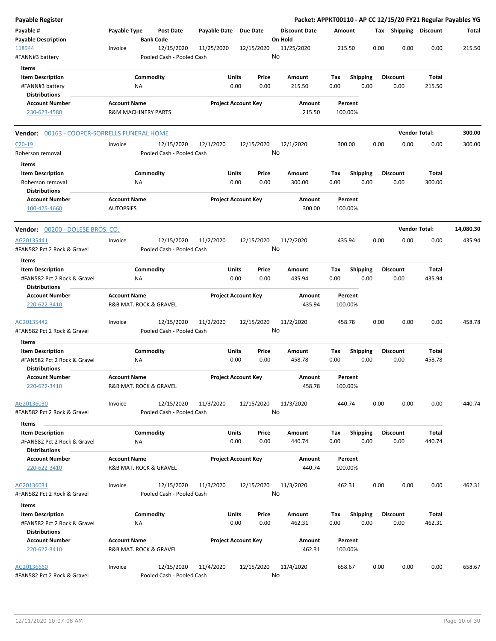| Payable Register                                                                        |                                               |                                |                                         |            |                                |         |                         |                    |                         |      |                         |                      | Packet: APPKT00110 - AP CC 12/15/20 FY21 Regular Payables YG |
|-----------------------------------------------------------------------------------------|-----------------------------------------------|--------------------------------|-----------------------------------------|------------|--------------------------------|---------|-------------------------|--------------------|-------------------------|------|-------------------------|----------------------|--------------------------------------------------------------|
| Payable #<br><b>Payable Description</b>                                                 | Payable Type                                  | <b>Bank Code</b>               | Post Date                               |            | Payable Date Due Date          | On Hold | <b>Discount Date</b>    | Amount             |                         |      | Tax Shipping Discount   |                      | Total                                                        |
| 118944<br>#FANN#3 battery                                                               | Invoice                                       |                                | 12/15/2020<br>Pooled Cash - Pooled Cash | 11/25/2020 | 12/15/2020                     | No      | 11/25/2020              | 215.50             |                         | 0.00 | 0.00                    | 0.00                 | 215.50                                                       |
| Items<br><b>Item Description</b><br>#FANN#3 battery<br><b>Distributions</b>             |                                               | Commodity<br>ΝA                |                                         |            | Units<br>Price<br>0.00<br>0.00 |         | Amount<br>215.50        | Тах<br>0.00        | <b>Shipping</b><br>0.00 |      | Discount<br>0.00        | Total<br>215.50      |                                                              |
| <b>Account Number</b><br>230-623-4580                                                   | <b>Account Name</b>                           | <b>R&amp;M MACHINERY PARTS</b> |                                         |            | <b>Project Account Key</b>     |         | Amount<br>215.50        | Percent<br>100.00% |                         |      |                         |                      |                                                              |
| Vendor: 00163 - COOPER-SORRELLS FUNERAL HOME                                            |                                               |                                |                                         |            |                                |         |                         |                    |                         |      |                         | <b>Vendor Total:</b> | 300.00                                                       |
| $C20-19$<br>Roberson removal<br>Items                                                   | Invoice                                       |                                | 12/15/2020<br>Pooled Cash - Pooled Cash | 12/1/2020  | 12/15/2020                     | No      | 12/1/2020               | 300.00             |                         | 0.00 | 0.00                    | 0.00                 | 300.00                                                       |
| <b>Item Description</b><br>Roberson removal<br><b>Distributions</b>                     |                                               | Commodity<br>ΝA                |                                         |            | Units<br>Price<br>0.00<br>0.00 |         | <b>Amount</b><br>300.00 | Тах<br>0.00        | Shipping<br>0.00        |      | <b>Discount</b><br>0.00 | Total<br>300.00      |                                                              |
| <b>Account Number</b><br>100-425-4660                                                   | <b>Account Name</b><br><b>AUTOPSIES</b>       |                                |                                         |            | <b>Project Account Key</b>     |         | Amount<br>300.00        | Percent<br>100.00% |                         |      |                         |                      |                                                              |
| <b>Vendor:</b> 00200 - DOLESE BROS. CO.                                                 |                                               |                                |                                         |            |                                |         |                         |                    |                         |      |                         | <b>Vendor Total:</b> | 14,080.30                                                    |
| AG20135441<br>#FAN582 Pct 2 Rock & Gravel                                               | Invoice                                       |                                | 12/15/2020<br>Pooled Cash - Pooled Cash | 11/2/2020  | 12/15/2020                     | No      | 11/2/2020               | 435.94             |                         | 0.00 | 0.00                    | 0.00                 | 435.94                                                       |
| Items                                                                                   |                                               | Commodity                      |                                         |            | Units<br>Price                 |         |                         |                    |                         |      |                         |                      |                                                              |
| <b>Item Description</b><br>#FAN582 Pct 2 Rock & Gravel<br><b>Distributions</b>          |                                               | ΝA                             |                                         |            | 0.00<br>0.00                   |         | Amount<br>435.94        | Tax<br>0.00        | <b>Shipping</b><br>0.00 |      | <b>Discount</b><br>0.00 | Total<br>435.94      |                                                              |
| <b>Account Number</b><br>220-622-3410                                                   | <b>Account Name</b><br>R&B MAT. ROCK & GRAVEL |                                |                                         |            | <b>Project Account Key</b>     |         | Amount<br>435.94        | Percent<br>100.00% |                         |      |                         |                      |                                                              |
| AG20135442<br>#FAN582 Pct 2 Rock & Gravel                                               | Invoice                                       |                                | 12/15/2020<br>Pooled Cash - Pooled Cash | 11/2/2020  | 12/15/2020                     | No      | 11/2/2020               | 458.78             |                         | 0.00 | 0.00                    | 0.00                 | 458.78                                                       |
| Items                                                                                   |                                               |                                |                                         |            |                                |         |                         |                    |                         |      |                         |                      |                                                              |
| <b>Item Description</b><br>#FAN582 Pct 2 Rock & Gravel<br><b>Distributions</b>          |                                               | Commodity<br><b>NA</b>         |                                         |            | Units<br>Price<br>0.00<br>0.00 |         | Amount<br>458.78        | Tax<br>0.00        | <b>Shipping</b><br>0.00 |      | <b>Discount</b><br>0.00 | Total<br>458.78      |                                                              |
| <b>Account Number</b><br>220-622-3410                                                   | <b>Account Name</b>                           | R&B MAT. ROCK & GRAVEL         |                                         |            | <b>Project Account Key</b>     |         | Amount<br>458.78        | Percent<br>100.00% |                         |      |                         |                      |                                                              |
| AG20136030<br>#FAN582 Pct 2 Rock & Gravel                                               | Invoice                                       |                                | 12/15/2020<br>Pooled Cash - Pooled Cash | 11/3/2020  | 12/15/2020                     | No      | 11/3/2020               | 440.74             |                         | 0.00 | 0.00                    | 0.00                 | 440.74                                                       |
| Items<br><b>Item Description</b><br>#FAN582 Pct 2 Rock & Gravel<br><b>Distributions</b> |                                               | Commodity<br>NA                |                                         |            | Units<br>Price<br>0.00<br>0.00 |         | Amount<br>440.74        | Tax<br>0.00        | <b>Shipping</b><br>0.00 |      | <b>Discount</b><br>0.00 | Total<br>440.74      |                                                              |
| <b>Account Number</b><br>220-622-3410                                                   | <b>Account Name</b>                           | R&B MAT. ROCK & GRAVEL         |                                         |            | <b>Project Account Key</b>     |         | Amount<br>440.74        | Percent<br>100.00% |                         |      |                         |                      |                                                              |
| AG20136031<br>#FAN582 Pct 2 Rock & Gravel                                               | Invoice                                       |                                | 12/15/2020<br>Pooled Cash - Pooled Cash | 11/3/2020  | 12/15/2020                     | No      | 11/3/2020               | 462.31             |                         | 0.00 | 0.00                    | 0.00                 | 462.31                                                       |
| Items                                                                                   |                                               |                                |                                         |            |                                |         |                         |                    |                         |      |                         |                      |                                                              |
| <b>Item Description</b><br>#FAN582 Pct 2 Rock & Gravel<br><b>Distributions</b>          |                                               | Commodity<br>ΝA                |                                         |            | Units<br>Price<br>0.00<br>0.00 |         | Amount<br>462.31        | Tax<br>0.00        | <b>Shipping</b><br>0.00 |      | <b>Discount</b><br>0.00 | Total<br>462.31      |                                                              |
| <b>Account Number</b><br>220-622-3410                                                   | <b>Account Name</b>                           | R&B MAT. ROCK & GRAVEL         |                                         |            | <b>Project Account Key</b>     |         | Amount<br>462.31        | Percent<br>100.00% |                         |      |                         |                      |                                                              |
| AG20136660<br>#FAN582 Pct 2 Rock & Gravel                                               | Invoice                                       |                                | 12/15/2020<br>Pooled Cash - Pooled Cash | 11/4/2020  | 12/15/2020                     | No      | 11/4/2020               | 658.67             |                         | 0.00 | 0.00                    | 0.00                 | 658.67                                                       |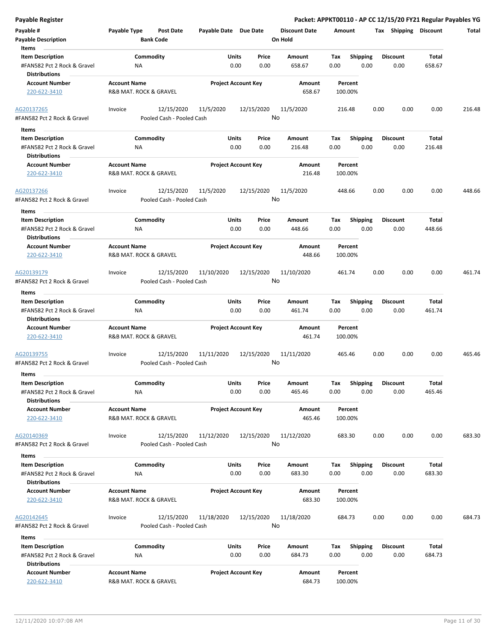| <b>Payable Register</b>                                                                 |                                               |                                                       |                            |                  |                                 |                    |                         |                         | Packet: APPKT00110 - AP CC 12/15/20 FY21 Regular Payables YG |        |
|-----------------------------------------------------------------------------------------|-----------------------------------------------|-------------------------------------------------------|----------------------------|------------------|---------------------------------|--------------------|-------------------------|-------------------------|--------------------------------------------------------------|--------|
| Payable #<br><b>Payable Description</b>                                                 | <b>Payable Type</b><br><b>Bank Code</b>       | <b>Post Date</b>                                      | Payable Date Due Date      |                  | <b>Discount Date</b><br>On Hold | Amount             |                         |                         | Tax Shipping Discount                                        | Total  |
| Items<br><b>Item Description</b><br>#FAN582 Pct 2 Rock & Gravel<br><b>Distributions</b> | Commodity<br>ΝA                               |                                                       | Units<br>0.00              | Price<br>0.00    | Amount<br>658.67                | Tax<br>0.00        | <b>Shipping</b><br>0.00 | <b>Discount</b><br>0.00 | Total<br>658.67                                              |        |
| <b>Account Number</b><br>220-622-3410                                                   | <b>Account Name</b><br>R&B MAT. ROCK & GRAVEL |                                                       | <b>Project Account Key</b> |                  | Amount<br>658.67                | Percent<br>100.00% |                         |                         |                                                              |        |
| AG20137265<br>#FAN582 Pct 2 Rock & Gravel                                               | Invoice                                       | 12/15/2020<br>11/5/2020<br>Pooled Cash - Pooled Cash  |                            | 12/15/2020<br>No | 11/5/2020                       | 216.48             |                         | 0.00                    | 0.00<br>0.00                                                 | 216.48 |
| Items                                                                                   |                                               |                                                       |                            |                  |                                 |                    |                         |                         |                                                              |        |
| <b>Item Description</b><br>#FAN582 Pct 2 Rock & Gravel<br><b>Distributions</b>          | Commodity<br>ΝA                               |                                                       | Units<br>0.00              | Price<br>0.00    | Amount<br>216.48                | Tax<br>0.00        | <b>Shipping</b><br>0.00 | <b>Discount</b><br>0.00 | Total<br>216.48                                              |        |
| <b>Account Number</b><br>220-622-3410                                                   | <b>Account Name</b><br>R&B MAT. ROCK & GRAVEL |                                                       | <b>Project Account Key</b> |                  | Amount<br>216.48                | Percent<br>100.00% |                         |                         |                                                              |        |
| AG20137266<br>#FAN582 Pct 2 Rock & Gravel                                               | Invoice                                       | 12/15/2020<br>11/5/2020<br>Pooled Cash - Pooled Cash  |                            | 12/15/2020<br>No | 11/5/2020                       | 448.66             |                         | 0.00                    | 0.00<br>0.00                                                 | 448.66 |
| Items<br><b>Item Description</b><br>#FAN582 Pct 2 Rock & Gravel<br><b>Distributions</b> | Commodity<br>NA                               |                                                       | Units<br>0.00              | Price<br>0.00    | Amount<br>448.66                | Tax<br>0.00        | <b>Shipping</b><br>0.00 | <b>Discount</b><br>0.00 | Total<br>448.66                                              |        |
| <b>Account Number</b><br>220-622-3410                                                   | <b>Account Name</b><br>R&B MAT. ROCK & GRAVEL |                                                       | <b>Project Account Key</b> |                  | Amount<br>448.66                | Percent<br>100.00% |                         |                         |                                                              |        |
| AG20139179<br>#FAN582 Pct 2 Rock & Gravel                                               | Invoice                                       | 12/15/2020<br>11/10/2020<br>Pooled Cash - Pooled Cash |                            | 12/15/2020<br>No | 11/10/2020                      | 461.74             |                         | 0.00                    | 0.00<br>0.00                                                 | 461.74 |
|                                                                                         |                                               |                                                       |                            |                  |                                 |                    |                         |                         |                                                              |        |
| Items                                                                                   |                                               |                                                       |                            |                  |                                 |                    |                         |                         |                                                              |        |
| <b>Item Description</b><br>#FAN582 Pct 2 Rock & Gravel<br><b>Distributions</b>          | Commodity<br>ΝA                               |                                                       | Units<br>0.00              | Price<br>0.00    | Amount<br>461.74                | Tax<br>0.00        | <b>Shipping</b><br>0.00 | <b>Discount</b><br>0.00 | Total<br>461.74                                              |        |
| <b>Account Number</b><br>220-622-3410                                                   | <b>Account Name</b><br>R&B MAT. ROCK & GRAVEL |                                                       | <b>Project Account Key</b> |                  | Amount<br>461.74                | Percent<br>100.00% |                         |                         |                                                              |        |
| AG20139755<br>#FAN582 Pct 2 Rock & Gravel                                               | Invoice                                       | 12/15/2020<br>11/11/2020<br>Pooled Cash - Pooled Cash |                            | 12/15/2020<br>No | 11/11/2020                      | 465.46             |                         | 0.00                    | 0.00<br>0.00                                                 | 465.46 |
| Items                                                                                   |                                               |                                                       |                            |                  |                                 |                    |                         |                         |                                                              |        |
| <b>Item Description</b><br>#FAN582 Pct 2 Rock & Gravel<br><b>Distributions</b>          | Commodity<br>ΝA                               |                                                       | Units<br>0.00              | Price<br>0.00    | Amount<br>465.46                | Tax<br>0.00        | Shipping<br>0.00        | <b>Discount</b><br>0.00 | <b>Total</b><br>465.46                                       |        |
| <b>Account Number</b><br>220-622-3410                                                   | <b>Account Name</b><br>R&B MAT. ROCK & GRAVEL |                                                       | <b>Project Account Key</b> |                  | Amount<br>465.46                | Percent<br>100.00% |                         |                         |                                                              |        |
| AG20140369<br>#FAN582 Pct 2 Rock & Gravel                                               | Invoice                                       | 12/15/2020<br>11/12/2020<br>Pooled Cash - Pooled Cash |                            | 12/15/2020<br>No | 11/12/2020                      | 683.30             |                         | 0.00                    | 0.00<br>0.00                                                 | 683.30 |
| Items                                                                                   |                                               |                                                       |                            |                  |                                 |                    |                         |                         |                                                              |        |
| <b>Item Description</b><br>#FAN582 Pct 2 Rock & Gravel<br><b>Distributions</b>          | Commodity<br>ΝA                               |                                                       | Units<br>0.00              | Price<br>0.00    | Amount<br>683.30                | Тах<br>0.00        | <b>Shipping</b><br>0.00 | <b>Discount</b><br>0.00 | Total<br>683.30                                              |        |
| <b>Account Number</b><br>220-622-3410                                                   | <b>Account Name</b><br>R&B MAT. ROCK & GRAVEL |                                                       | <b>Project Account Key</b> |                  | Amount<br>683.30                | Percent<br>100.00% |                         |                         |                                                              |        |
| AG20142645<br>#FAN582 Pct 2 Rock & Gravel                                               | Invoice                                       | 12/15/2020<br>11/18/2020<br>Pooled Cash - Pooled Cash |                            | 12/15/2020<br>No | 11/18/2020                      | 684.73             |                         | 0.00                    | 0.00<br>0.00                                                 | 684.73 |
| Items                                                                                   |                                               |                                                       |                            |                  |                                 |                    |                         |                         |                                                              |        |
| <b>Item Description</b><br>#FAN582 Pct 2 Rock & Gravel<br><b>Distributions</b>          | Commodity<br>ΝA                               |                                                       | Units<br>0.00              | Price<br>0.00    | Amount<br>684.73                | Tax<br>0.00        | <b>Shipping</b><br>0.00 | <b>Discount</b><br>0.00 | Total<br>684.73                                              |        |
| <b>Account Number</b><br>220-622-3410                                                   | <b>Account Name</b><br>R&B MAT. ROCK & GRAVEL |                                                       | <b>Project Account Key</b> |                  | Amount<br>684.73                | Percent<br>100.00% |                         |                         |                                                              |        |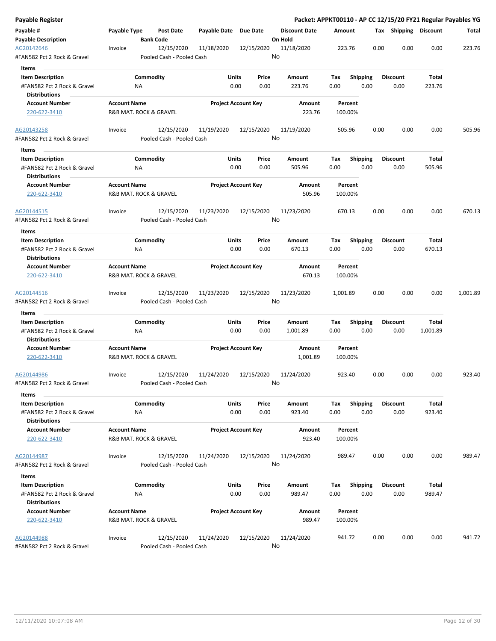| Payable Register                                    |                        |           |                                         |                            |              |                  |                      |          |                 |                 |      |                       |          | Packet: APPKT00110 - AP CC 12/15/20 FY21 Regular Payables YG |
|-----------------------------------------------------|------------------------|-----------|-----------------------------------------|----------------------------|--------------|------------------|----------------------|----------|-----------------|-----------------|------|-----------------------|----------|--------------------------------------------------------------|
| Payable #                                           | Payable Type           |           | Post Date                               | Payable Date Due Date      |              |                  | <b>Discount Date</b> | Amount   |                 |                 |      | Tax Shipping Discount |          | Total                                                        |
| <b>Payable Description</b>                          |                        |           | <b>Bank Code</b>                        |                            |              |                  | On Hold              |          |                 |                 |      |                       |          |                                                              |
| AG20142646<br>#FAN582 Pct 2 Rock & Gravel           | Invoice                |           | 12/15/2020<br>Pooled Cash - Pooled Cash | 11/18/2020                 |              | 12/15/2020<br>No | 11/18/2020           |          | 223.76          |                 | 0.00 | 0.00                  | 0.00     | 223.76                                                       |
| Items                                               |                        |           |                                         |                            |              |                  |                      |          |                 |                 |      |                       |          |                                                              |
| <b>Item Description</b>                             |                        | Commodity |                                         |                            | Units        | Price            | Amount               | Tax      | <b>Shipping</b> |                 |      | <b>Discount</b>       | Total    |                                                              |
| #FAN582 Pct 2 Rock & Gravel                         |                        | ΝA        |                                         |                            | 0.00         | 0.00             | 223.76               | 0.00     |                 | 0.00            |      | 0.00                  | 223.76   |                                                              |
| <b>Distributions</b>                                |                        |           |                                         |                            |              |                  |                      |          |                 |                 |      |                       |          |                                                              |
| <b>Account Number</b>                               | <b>Account Name</b>    |           |                                         | <b>Project Account Key</b> |              |                  | Amount               |          | Percent         |                 |      |                       |          |                                                              |
| 220-622-3410                                        | R&B MAT. ROCK & GRAVEL |           |                                         |                            |              |                  | 223.76               |          | 100.00%         |                 |      |                       |          |                                                              |
| AG20143258                                          | Invoice                |           | 12/15/2020                              | 11/19/2020                 |              | 12/15/2020       | 11/19/2020           |          | 505.96          |                 | 0.00 | 0.00                  | 0.00     | 505.96                                                       |
| #FAN582 Pct 2 Rock & Gravel                         |                        |           | Pooled Cash - Pooled Cash               |                            |              | No               |                      |          |                 |                 |      |                       |          |                                                              |
| Items                                               |                        |           |                                         |                            |              |                  |                      |          |                 |                 |      |                       |          |                                                              |
| <b>Item Description</b>                             |                        | Commodity |                                         |                            | Units        | Price            | Amount               | Tax      |                 | <b>Shipping</b> |      | <b>Discount</b>       | Total    |                                                              |
| #FAN582 Pct 2 Rock & Gravel<br><b>Distributions</b> |                        | NA        |                                         |                            | 0.00         | 0.00             | 505.96               | 0.00     |                 | 0.00            |      | 0.00                  | 505.96   |                                                              |
| <b>Account Number</b>                               | <b>Account Name</b>    |           |                                         | <b>Project Account Key</b> |              |                  | Amount               |          | Percent         |                 |      |                       |          |                                                              |
| 220-622-3410                                        | R&B MAT. ROCK & GRAVEL |           |                                         |                            |              |                  | 505.96               |          | 100.00%         |                 |      |                       |          |                                                              |
| AG20144515                                          | Invoice                |           | 12/15/2020                              | 11/23/2020                 |              | 12/15/2020       | 11/23/2020           |          | 670.13          |                 | 0.00 | 0.00                  | 0.00     | 670.13                                                       |
| #FAN582 Pct 2 Rock & Gravel                         |                        |           | Pooled Cash - Pooled Cash               |                            |              |                  | No                   |          |                 |                 |      |                       |          |                                                              |
| Items                                               |                        |           |                                         |                            |              |                  |                      |          |                 |                 |      |                       |          |                                                              |
| <b>Item Description</b>                             |                        | Commodity |                                         |                            | Units        | Price            | <b>Amount</b>        | Tax      |                 | <b>Shipping</b> |      | <b>Discount</b>       | Total    |                                                              |
| #FAN582 Pct 2 Rock & Gravel<br><b>Distributions</b> |                        | ΝA        |                                         |                            | 0.00         | 0.00             | 670.13               | 0.00     |                 | 0.00            |      | 0.00                  | 670.13   |                                                              |
| <b>Account Number</b>                               | <b>Account Name</b>    |           |                                         | <b>Project Account Key</b> |              |                  | Amount               |          | Percent         |                 |      |                       |          |                                                              |
| 220-622-3410                                        | R&B MAT. ROCK & GRAVEL |           |                                         |                            |              |                  | 670.13               |          | 100.00%         |                 |      |                       |          |                                                              |
| AG20144516<br>#FAN582 Pct 2 Rock & Gravel           | Invoice                |           | 12/15/2020<br>Pooled Cash - Pooled Cash | 11/23/2020                 |              | 12/15/2020<br>No | 11/23/2020           | 1,001.89 |                 |                 | 0.00 | 0.00                  | 0.00     | 1,001.89                                                     |
|                                                     |                        |           |                                         |                            |              |                  |                      |          |                 |                 |      |                       |          |                                                              |
| Items                                               |                        |           |                                         |                            |              |                  |                      |          |                 |                 |      |                       |          |                                                              |
| <b>Item Description</b>                             |                        | Commodity |                                         |                            | Units        | Price            | Amount               | Tax      |                 | Shipping        |      | <b>Discount</b>       | Total    |                                                              |
| #FAN582 Pct 2 Rock & Gravel<br>Distributions        |                        | ΝA        |                                         |                            | 0.00         | 0.00             | 1,001.89             | 0.00     |                 | 0.00            |      | 0.00                  | 1,001.89 |                                                              |
| <b>Account Number</b>                               | <b>Account Name</b>    |           |                                         | <b>Project Account Key</b> |              |                  | Amount               |          | Percent         |                 |      |                       |          |                                                              |
| 220-622-3410                                        | R&B MAT. ROCK & GRAVEL |           |                                         |                            |              |                  | 1,001.89             |          | 100.00%         |                 |      |                       |          |                                                              |
| AG20144986                                          | Invoice                |           | 12/15/2020                              | 11/24/2020                 |              | 12/15/2020       | 11/24/2020           |          | 923.40          |                 | 0.00 | 0.00                  | 0.00     | 923.40                                                       |
| #FAN582 Pct 2 Rock & Gravel<br>Items                |                        |           | Pooled Cash - Pooled Cash               |                            |              |                  | No                   |          |                 |                 |      |                       |          |                                                              |
| <b>Item Description</b>                             |                        | Commodity |                                         |                            | <b>Units</b> | Price            | Amount               | Tax      | <b>Shipping</b> |                 |      | <b>Discount</b>       | Total    |                                                              |
| #FAN582 Pct 2 Rock & Gravel                         |                        | <b>NA</b> |                                         |                            | 0.00         | 0.00             | 923.40               | 0.00     |                 | 0.00            |      | 0.00                  | 923.40   |                                                              |
| <b>Distributions</b><br><b>Account Number</b>       | <b>Account Name</b>    |           |                                         | <b>Project Account Key</b> |              |                  | Amount               |          | Percent         |                 |      |                       |          |                                                              |
| 220-622-3410                                        | R&B MAT. ROCK & GRAVEL |           |                                         |                            |              |                  | 923.40               |          | 100.00%         |                 |      |                       |          |                                                              |
| AG20144987                                          | Invoice                |           | 12/15/2020                              | 11/24/2020                 |              | 12/15/2020       | 11/24/2020           |          | 989.47          |                 | 0.00 | 0.00                  | 0.00     | 989.47                                                       |
| #FAN582 Pct 2 Rock & Gravel                         |                        |           | Pooled Cash - Pooled Cash               |                            |              | No               |                      |          |                 |                 |      |                       |          |                                                              |
| Items                                               |                        |           |                                         |                            |              |                  |                      |          |                 |                 |      |                       |          |                                                              |
| <b>Item Description</b>                             |                        | Commodity |                                         |                            | Units        | Price            | Amount               | Tax      | <b>Shipping</b> |                 |      | <b>Discount</b>       | Total    |                                                              |
| #FAN582 Pct 2 Rock & Gravel                         |                        | ΝA        |                                         |                            | 0.00         | 0.00             | 989.47               | 0.00     |                 | 0.00            |      | 0.00                  | 989.47   |                                                              |
| <b>Distributions</b>                                |                        |           |                                         |                            |              |                  |                      |          |                 |                 |      |                       |          |                                                              |
| <b>Account Number</b>                               | <b>Account Name</b>    |           |                                         | <b>Project Account Key</b> |              |                  | Amount               |          | Percent         |                 |      |                       |          |                                                              |
| 220-622-3410                                        | R&B MAT. ROCK & GRAVEL |           |                                         |                            |              |                  | 989.47               |          | 100.00%         |                 |      |                       |          |                                                              |
| AG20144988                                          | Invoice                |           | 12/15/2020                              | 11/24/2020                 |              | 12/15/2020       | 11/24/2020           |          | 941.72          |                 | 0.00 | 0.00                  | 0.00     | 941.72                                                       |
| #FAN582 Pct 2 Rock & Gravel                         |                        |           | Pooled Cash - Pooled Cash               |                            |              | No               |                      |          |                 |                 |      |                       |          |                                                              |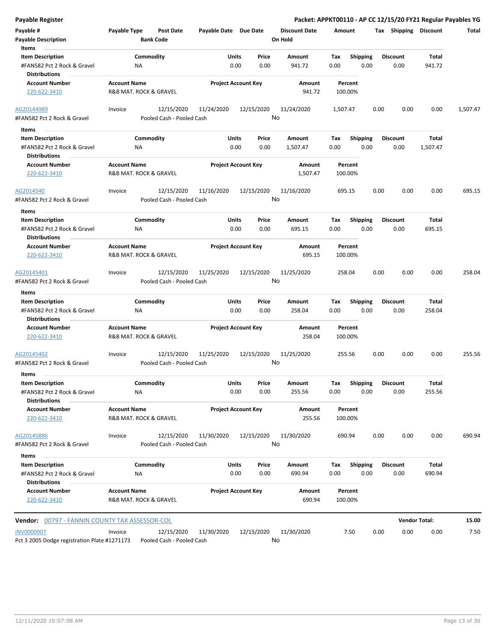| <b>Payable Register</b>                                                                     |                                               |                                         |                       |                            |               |                                 |             |                         |      |                         | Packet: APPKT00110 - AP CC 12/15/20 FY21 Regular Payables YG |          |
|---------------------------------------------------------------------------------------------|-----------------------------------------------|-----------------------------------------|-----------------------|----------------------------|---------------|---------------------------------|-------------|-------------------------|------|-------------------------|--------------------------------------------------------------|----------|
| Payable #<br><b>Payable Description</b>                                                     | Payable Type                                  | <b>Post Date</b><br><b>Bank Code</b>    | Payable Date Due Date |                            |               | <b>Discount Date</b><br>On Hold | Amount      |                         |      | Tax Shipping Discount   |                                                              | Total    |
| Items<br><b>Item Description</b><br>#FAN582 Pct 2 Rock & Gravel<br><b>Distributions</b>     | ΝA                                            | Commodity                               |                       | Units<br>0.00              | Price<br>0.00 | Amount<br>941.72                | Tax<br>0.00 | <b>Shipping</b><br>0.00 |      | <b>Discount</b><br>0.00 | <b>Total</b><br>941.72                                       |          |
| <b>Account Number</b><br>220-622-3410                                                       | <b>Account Name</b><br>R&B MAT. ROCK & GRAVEL |                                         |                       | <b>Project Account Key</b> |               | Amount<br>941.72                |             | Percent<br>100.00%      |      |                         |                                                              |          |
| AG20144989<br>#FAN582 Pct 2 Rock & Gravel                                                   | Invoice                                       | 12/15/2020<br>Pooled Cash - Pooled Cash | 11/24/2020            | 12/15/2020                 |               | 11/24/2020<br>No                | 1,507.47    |                         | 0.00 | 0.00                    | 0.00                                                         | 1,507.47 |
| Items                                                                                       |                                               |                                         |                       |                            |               |                                 |             |                         |      |                         |                                                              |          |
| <b>Item Description</b><br>#FAN582 Pct 2 Rock & Gravel<br><b>Distributions</b>              | ΝA                                            | Commodity                               |                       | Units<br>0.00              | Price<br>0.00 | Amount<br>1,507.47              | Тах<br>0.00 | Shipping<br>0.00        |      | <b>Discount</b><br>0.00 | Total<br>1,507.47                                            |          |
| <b>Account Number</b><br>220-622-3410                                                       | <b>Account Name</b><br>R&B MAT. ROCK & GRAVEL |                                         |                       | <b>Project Account Key</b> |               | Amount<br>1,507.47              |             | Percent<br>100.00%      |      |                         |                                                              |          |
| AG2014540<br>#FAN582 Pct 2 Rock & Gravel                                                    | Invoice                                       | 12/15/2020<br>Pooled Cash - Pooled Cash | 11/16/2020            | 12/15/2020                 |               | 11/16/2020<br>No                |             | 695.15                  | 0.00 | 0.00                    | 0.00                                                         | 695.15   |
| Items<br><b>Item Description</b>                                                            |                                               | Commodity                               |                       | Units                      | Price         | Amount                          | Tax         | <b>Shipping</b>         |      | <b>Discount</b>         | Total                                                        |          |
| #FAN582 Pct 2 Rock & Gravel<br><b>Distributions</b>                                         | ΝA                                            |                                         |                       | 0.00                       | 0.00          | 695.15                          | 0.00        | 0.00                    |      | 0.00                    | 695.15                                                       |          |
| <b>Account Number</b><br>220-622-3410                                                       | <b>Account Name</b><br>R&B MAT. ROCK & GRAVEL |                                         |                       | <b>Project Account Key</b> |               | Amount<br>695.15                |             | Percent<br>100.00%      |      |                         |                                                              |          |
| AG20145401<br>#FAN582 Pct 2 Rock & Gravel                                                   | Invoice                                       | 12/15/2020<br>Pooled Cash - Pooled Cash | 11/25/2020            | 12/15/2020                 |               | 11/25/2020<br>No                |             | 258.04                  | 0.00 | 0.00                    | 0.00                                                         | 258.04   |
| Items                                                                                       |                                               |                                         |                       |                            |               |                                 |             |                         |      |                         |                                                              |          |
| <b>Item Description</b><br>#FAN582 Pct 2 Rock & Gravel<br><b>Distributions</b>              | ΝA                                            | Commodity                               |                       | Units<br>0.00              | Price<br>0.00 | Amount<br>258.04                | Tax<br>0.00 | Shipping<br>0.00        |      | <b>Discount</b><br>0.00 | Total<br>258.04                                              |          |
| <b>Account Number</b><br>220-622-3410                                                       | <b>Account Name</b><br>R&B MAT. ROCK & GRAVEL |                                         |                       | <b>Project Account Key</b> |               | Amount<br>258.04                |             | Percent<br>100.00%      |      |                         |                                                              |          |
| AG20145402<br>#FAN582 Pct 2 Rock & Gravel                                                   | Invoice                                       | 12/15/2020<br>Pooled Cash - Pooled Cash | 11/25/2020            | 12/15/2020                 |               | 11/25/2020<br>No                |             | 255.56                  | 0.00 | 0.00                    | 0.00                                                         | 255.56   |
| Items                                                                                       |                                               |                                         |                       |                            |               |                                 |             |                         |      |                         |                                                              |          |
| <b>Item Description</b><br>#FAN582 Pct 2 Rock & Gravel<br><b>Distributions</b>              | NA                                            | Commodity                               |                       | Units<br>0.00              | Price<br>0.00 | Amount<br>255.56                | Tax<br>0.00 | Shipping<br>0.00        |      | <b>Discount</b><br>0.00 | Total<br>255.56                                              |          |
| <b>Account Number</b><br>220-622-3410                                                       | <b>Account Name</b><br>R&B MAT. ROCK & GRAVEL |                                         |                       | <b>Project Account Key</b> |               | Amount<br>255.56                |             | Percent<br>100.00%      |      |                         |                                                              |          |
| AG20145886<br>#FAN582 Pct 2 Rock & Gravel                                                   | Invoice                                       | 12/15/2020<br>Pooled Cash - Pooled Cash | 11/30/2020            | 12/15/2020                 |               | 11/30/2020<br>No                |             | 690.94                  | 0.00 | 0.00                    | 0.00                                                         | 690.94   |
| Items                                                                                       |                                               |                                         |                       |                            |               |                                 |             |                         |      |                         |                                                              |          |
| <b>Item Description</b>                                                                     |                                               | Commodity                               |                       | Units                      | Price         | Amount                          | Тах         | <b>Shipping</b>         |      | <b>Discount</b>         | Total                                                        |          |
| #FAN582 Pct 2 Rock & Gravel<br><b>Distributions</b>                                         | ΝA                                            |                                         |                       | 0.00                       | 0.00          | 690.94                          | 0.00        | 0.00                    |      | 0.00                    | 690.94                                                       |          |
| <b>Account Number</b><br>220-622-3410                                                       | <b>Account Name</b><br>R&B MAT. ROCK & GRAVEL |                                         |                       | <b>Project Account Key</b> |               | Amount<br>690.94                |             | Percent<br>100.00%      |      |                         |                                                              |          |
| <b>Vendor: 00797 - FANNIN COUNTY TAX ASSESSOR-COL</b>                                       |                                               |                                         |                       |                            |               |                                 |             |                         |      |                         | <b>Vendor Total:</b>                                         | 15.00    |
| <b>INV0000907</b><br>Pct 3 2005 Dodge registration Plate #1271173 Pooled Cash - Pooled Cash | Invoice                                       | 12/15/2020                              | 11/30/2020            | 12/15/2020                 |               | 11/30/2020<br>No                |             | 7.50                    | 0.00 | 0.00                    | 0.00                                                         | 7.50     |

Pct 3 2005 Dodge registration Plate #1271173 Pooled Cash - Pooled Cash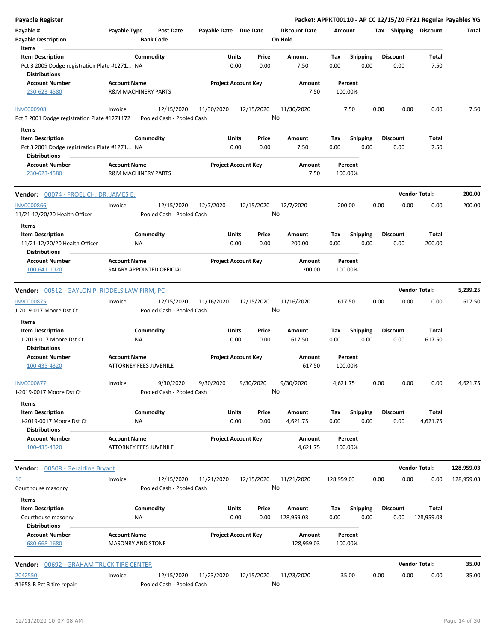| <b>Payable Register</b>                                  |                                                       |                                           |                                |                      |                    |                         | Packet: APPKT00110 - AP CC 12/15/20 FY21 Regular Payables YG |                      |            |
|----------------------------------------------------------|-------------------------------------------------------|-------------------------------------------|--------------------------------|----------------------|--------------------|-------------------------|--------------------------------------------------------------|----------------------|------------|
| Payable #                                                | Payable Type                                          | <b>Post Date</b><br>Payable Date Due Date |                                | <b>Discount Date</b> | Amount             |                         | Tax Shipping Discount                                        |                      | Total      |
| <b>Payable Description</b>                               | <b>Bank Code</b>                                      |                                           |                                | On Hold              |                    |                         |                                                              |                      |            |
| Items                                                    |                                                       |                                           |                                |                      |                    |                         |                                                              |                      |            |
| <b>Item Description</b>                                  | Commodity                                             |                                           | Units<br>Price                 | Amount               | Tax                | <b>Shipping</b>         | <b>Discount</b>                                              | Total                |            |
| Pct 3 2005 Dodge registration Plate #1271 NA             |                                                       |                                           | 0.00<br>0.00                   | 7.50                 | 0.00               | 0.00                    | 0.00                                                         | 7.50                 |            |
| <b>Distributions</b>                                     |                                                       |                                           |                                |                      |                    |                         |                                                              |                      |            |
| <b>Account Number</b><br>230-623-4580                    | <b>Account Name</b><br><b>R&amp;M MACHINERY PARTS</b> |                                           | <b>Project Account Key</b>     | Amount<br>7.50       | Percent<br>100.00% |                         |                                                              |                      |            |
|                                                          |                                                       |                                           |                                |                      |                    |                         |                                                              |                      |            |
| <b>INV0000908</b>                                        | Invoice                                               | 12/15/2020<br>11/30/2020                  | 12/15/2020                     | 11/30/2020           | 7.50               |                         | 0.00<br>0.00                                                 | 0.00                 | 7.50       |
| Pct 3 2001 Dodge registration Plate #1271172             |                                                       | Pooled Cash - Pooled Cash                 |                                | No                   |                    |                         |                                                              |                      |            |
| Items                                                    |                                                       |                                           |                                |                      |                    |                         |                                                              |                      |            |
| <b>Item Description</b>                                  | Commodity                                             |                                           | Units<br>Price                 | Amount               | Tax                | <b>Shipping</b>         | <b>Discount</b>                                              | Total                |            |
| Pct 3 2001 Dodge registration Plate #1271 NA             |                                                       |                                           | 0.00<br>0.00                   | 7.50                 | 0.00               | 0.00                    | 0.00                                                         | 7.50                 |            |
| <b>Distributions</b>                                     |                                                       |                                           |                                |                      |                    |                         |                                                              |                      |            |
| <b>Account Number</b>                                    | <b>Account Name</b>                                   |                                           | <b>Project Account Key</b>     | Amount               | Percent            |                         |                                                              |                      |            |
| 230-623-4580                                             | <b>R&amp;M MACHINERY PARTS</b>                        |                                           |                                | 7.50                 | 100.00%            |                         |                                                              |                      |            |
| Vendor: 00074 - FROELICH, DR. JAMES E.                   |                                                       |                                           |                                |                      |                    |                         |                                                              | <b>Vendor Total:</b> | 200.00     |
| <b>INV0000866</b>                                        | Invoice                                               | 12/15/2020<br>12/7/2020                   | 12/15/2020                     | 12/7/2020            | 200.00             |                         | 0.00<br>0.00                                                 | 0.00                 | 200.00     |
| 11/21-12/20/20 Health Officer                            |                                                       | Pooled Cash - Pooled Cash                 |                                | No                   |                    |                         |                                                              |                      |            |
| Items                                                    |                                                       |                                           |                                |                      |                    |                         |                                                              |                      |            |
| <b>Item Description</b><br>11/21-12/20/20 Health Officer | Commodity<br>ΝA                                       |                                           | Units<br>Price<br>0.00<br>0.00 | Amount<br>200.00     | Tax<br>0.00        | <b>Shipping</b><br>0.00 | <b>Discount</b><br>0.00                                      | Total<br>200.00      |            |
| <b>Distributions</b>                                     |                                                       |                                           |                                |                      |                    |                         |                                                              |                      |            |
| <b>Account Number</b>                                    | <b>Account Name</b>                                   |                                           | <b>Project Account Key</b>     | Amount               | Percent            |                         |                                                              |                      |            |
| 100-641-1020                                             | SALARY APPOINTED OFFICIAL                             |                                           |                                | 200.00               | 100.00%            |                         |                                                              |                      |            |
| <b>Vendor: 00512 - GAYLON P. RIDDELS LAW FIRM, PC</b>    |                                                       |                                           |                                |                      |                    |                         |                                                              | <b>Vendor Total:</b> | 5,239.25   |
|                                                          |                                                       |                                           |                                |                      |                    |                         |                                                              |                      |            |
| INV0000875                                               | Invoice                                               | 12/15/2020<br>11/16/2020                  | 12/15/2020                     | 11/16/2020<br>No     | 617.50             |                         | 0.00<br>0.00                                                 | 0.00                 | 617.50     |
| J-2019-017 Moore Dst Ct                                  |                                                       | Pooled Cash - Pooled Cash                 |                                |                      |                    |                         |                                                              |                      |            |
| Items                                                    |                                                       |                                           |                                |                      |                    |                         |                                                              |                      |            |
| <b>Item Description</b>                                  | Commodity                                             |                                           | Units<br>Price                 | Amount               | Tax                | <b>Shipping</b>         | <b>Discount</b>                                              | Total                |            |
| J-2019-017 Moore Dst Ct                                  | NA                                                    |                                           | 0.00<br>0.00                   | 617.50               | 0.00               | 0.00                    | 0.00                                                         | 617.50               |            |
| <b>Distributions</b>                                     |                                                       |                                           |                                |                      |                    |                         |                                                              |                      |            |
| <b>Account Number</b>                                    | <b>Account Name</b>                                   |                                           | <b>Project Account Key</b>     | Amount               | Percent            |                         |                                                              |                      |            |
| 100-435-4320                                             | <b>ATTORNEY FEES JUVENILE</b>                         |                                           |                                | 617.50               | 100.00%            |                         |                                                              |                      |            |
| <b>INV0000877</b>                                        | Invoice                                               | 9/30/2020<br>9/30/2020                    | 9/30/2020                      | 9/30/2020            | 4,621.75           |                         | 0.00<br>0.00                                                 | 0.00                 | 4,621.75   |
| J-2019-0017 Moore Dst Ct                                 |                                                       | Pooled Cash - Pooled Cash                 |                                | No                   |                    |                         |                                                              |                      |            |
| Items                                                    |                                                       |                                           |                                |                      |                    |                         |                                                              |                      |            |
| <b>Item Description</b>                                  | Commodity                                             |                                           | Units<br>Price                 | Amount               | Tax                | Shipping                | <b>Discount</b>                                              | Total                |            |
| J-2019-0017 Moore Dst Ct                                 | NA                                                    |                                           | 0.00<br>0.00                   | 4,621.75             | 0.00               | 0.00                    | 0.00                                                         | 4,621.75             |            |
| <b>Distributions</b>                                     |                                                       |                                           |                                |                      |                    |                         |                                                              |                      |            |
| <b>Account Number</b>                                    | <b>Account Name</b>                                   |                                           | <b>Project Account Key</b>     | Amount               | Percent            |                         |                                                              |                      |            |
| 100-435-4320                                             | <b>ATTORNEY FEES JUVENILE</b>                         |                                           |                                | 4,621.75             | 100.00%            |                         |                                                              |                      |            |
| Vendor: 00508 - Geraldine Bryant                         |                                                       |                                           |                                |                      |                    |                         |                                                              | <b>Vendor Total:</b> | 128,959.03 |
| <u>16</u>                                                | Invoice                                               | 12/15/2020<br>11/21/2020                  | 12/15/2020                     | 11/21/2020           | 128,959.03         |                         | 0.00<br>0.00                                                 | 0.00                 | 128,959.03 |
| Courthouse masonry                                       |                                                       | Pooled Cash - Pooled Cash                 |                                | No                   |                    |                         |                                                              |                      |            |
|                                                          |                                                       |                                           |                                |                      |                    |                         |                                                              |                      |            |
| Items                                                    |                                                       |                                           |                                |                      |                    |                         |                                                              |                      |            |
| <b>Item Description</b>                                  | Commodity                                             |                                           | Units<br>Price                 | Amount               | Тах                | <b>Shipping</b>         | <b>Discount</b>                                              | Total                |            |
| Courthouse masonry<br><b>Distributions</b>               | NA                                                    |                                           | 0.00<br>0.00                   | 128,959.03           | 0.00               | 0.00                    | 0.00                                                         | 128,959.03           |            |
|                                                          |                                                       |                                           |                                |                      |                    |                         |                                                              |                      |            |
| Account Number<br>680-668-1680                           | <b>Account Name</b><br><b>MASONRY AND STONE</b>       |                                           | <b>Project Account Key</b>     | Amount<br>128,959.03 | Percent<br>100.00% |                         |                                                              |                      |            |
|                                                          |                                                       |                                           |                                |                      |                    |                         |                                                              |                      |            |
| <b>Vendor: 00692 - GRAHAM TRUCK TIRE CENTER</b>          |                                                       |                                           |                                |                      |                    |                         |                                                              | <b>Vendor Total:</b> | 35.00      |
| 2042550                                                  | Invoice                                               | 12/15/2020<br>11/23/2020                  | 12/15/2020                     | 11/23/2020           | 35.00              |                         | 0.00<br>0.00                                                 | 0.00                 | 35.00      |
| #1658-B Pct 3 tire repair                                |                                                       | Pooled Cash - Pooled Cash                 |                                | No                   |                    |                         |                                                              |                      |            |
|                                                          |                                                       |                                           |                                |                      |                    |                         |                                                              |                      |            |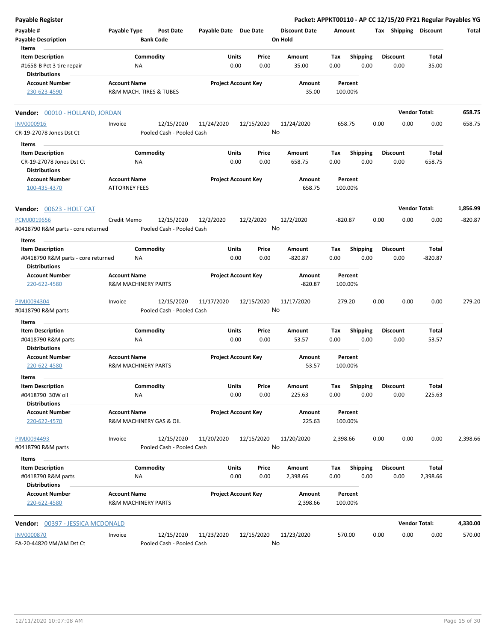| <b>Payable Register</b>                                    |                                                       |                                      |                       |                            |                                 |           |                 |      |                      | Packet: APPKT00110 - AP CC 12/15/20 FY21 Regular Payables YG |           |
|------------------------------------------------------------|-------------------------------------------------------|--------------------------------------|-----------------------|----------------------------|---------------------------------|-----------|-----------------|------|----------------------|--------------------------------------------------------------|-----------|
| Payable #<br><b>Payable Description</b>                    | Payable Type                                          | <b>Post Date</b><br><b>Bank Code</b> | Payable Date Due Date |                            | <b>Discount Date</b><br>On Hold | Amount    |                 |      |                      | Tax Shipping Discount                                        | Total     |
| Items<br><b>Item Description</b>                           | Commodity                                             |                                      | Units                 | Price                      | Amount                          | Tax       | <b>Shipping</b> |      | <b>Discount</b>      | Total                                                        |           |
| #1658-B Pct 3 tire repair<br><b>Distributions</b>          | ΝA                                                    |                                      |                       | 0.00<br>0.00               | 35.00                           | 0.00      | 0.00            |      | 0.00                 | 35.00                                                        |           |
| <b>Account Number</b>                                      | <b>Account Name</b>                                   |                                      |                       | <b>Project Account Key</b> | Amount                          | Percent   |                 |      |                      |                                                              |           |
| 230-623-4590                                               | R&M MACH. TIRES & TUBES                               |                                      |                       |                            | 35.00                           | 100.00%   |                 |      |                      |                                                              |           |
| Vendor: 00010 - HOLLAND, JORDAN                            |                                                       |                                      |                       |                            |                                 |           |                 |      | <b>Vendor Total:</b> |                                                              | 658.75    |
| INV0000916                                                 | Invoice                                               | 12/15/2020                           | 11/24/2020            | 12/15/2020                 | 11/24/2020                      | 658.75    |                 | 0.00 | 0.00                 | 0.00                                                         | 658.75    |
| CR-19-27078 Jones Dst Ct                                   |                                                       | Pooled Cash - Pooled Cash            |                       |                            | No                              |           |                 |      |                      |                                                              |           |
| Items                                                      |                                                       |                                      |                       |                            |                                 |           |                 |      |                      |                                                              |           |
| <b>Item Description</b>                                    | Commodity                                             |                                      | Units                 | Price                      | Amount                          | Tax       | <b>Shipping</b> |      | <b>Discount</b>      | Total                                                        |           |
| CR-19-27078 Jones Dst Ct<br><b>Distributions</b>           | ΝA                                                    |                                      |                       | 0.00<br>0.00               | 658.75                          | 0.00      | 0.00            |      | 0.00                 | 658.75                                                       |           |
| <b>Account Number</b>                                      | <b>Account Name</b>                                   |                                      |                       | <b>Project Account Key</b> | Amount                          | Percent   |                 |      |                      |                                                              |           |
| 100-435-4370                                               | <b>ATTORNEY FEES</b>                                  |                                      |                       |                            | 658.75                          | 100.00%   |                 |      |                      |                                                              |           |
| Vendor: 00623 - HOLT CAT                                   |                                                       |                                      |                       |                            |                                 |           |                 |      | <b>Vendor Total:</b> |                                                              | 1,856.99  |
| PCMJ0019656                                                | Credit Memo                                           | 12/15/2020                           | 12/2/2020             | 12/2/2020                  | 12/2/2020                       | $-820.87$ |                 | 0.00 | 0.00                 | 0.00                                                         | $-820.87$ |
| #0418790 R&M parts - core returned                         |                                                       | Pooled Cash - Pooled Cash            |                       |                            | No                              |           |                 |      |                      |                                                              |           |
| Items                                                      |                                                       |                                      |                       |                            |                                 |           |                 |      |                      |                                                              |           |
| <b>Item Description</b>                                    | Commodity                                             |                                      | Units                 | Price                      | Amount                          | Tax       | <b>Shipping</b> |      | <b>Discount</b>      | Total                                                        |           |
| #0418790 R&M parts - core returned<br><b>Distributions</b> | ΝA                                                    |                                      |                       | 0.00<br>0.00               | $-820.87$                       | 0.00      | 0.00            |      | 0.00                 | $-820.87$                                                    |           |
| <b>Account Number</b>                                      | <b>Account Name</b>                                   |                                      |                       | <b>Project Account Key</b> | Amount                          | Percent   |                 |      |                      |                                                              |           |
| 220-622-4580                                               | <b>R&amp;M MACHINERY PARTS</b>                        |                                      |                       |                            | $-820.87$                       | 100.00%   |                 |      |                      |                                                              |           |
| PIMJ0094304                                                | Invoice                                               | 12/15/2020                           | 11/17/2020            | 12/15/2020                 | 11/17/2020                      | 279.20    |                 | 0.00 | 0.00                 | 0.00                                                         | 279.20    |
| #0418790 R&M parts                                         |                                                       | Pooled Cash - Pooled Cash            |                       |                            | No                              |           |                 |      |                      |                                                              |           |
| Items                                                      |                                                       |                                      |                       |                            |                                 |           |                 |      |                      |                                                              |           |
| <b>Item Description</b>                                    | Commodity                                             |                                      | Units                 | Price                      | Amount                          | Tax       | <b>Shipping</b> |      | <b>Discount</b>      | Total                                                        |           |
| #0418790 R&M parts                                         | ΝA                                                    |                                      |                       | 0.00<br>0.00               | 53.57                           | 0.00      | 0.00            |      | 0.00                 | 53.57                                                        |           |
| <b>Distributions</b>                                       |                                                       |                                      |                       | <b>Project Account Key</b> |                                 | Percent   |                 |      |                      |                                                              |           |
| <b>Account Number</b><br>220-622-4580                      | <b>Account Name</b><br><b>R&amp;M MACHINERY PARTS</b> |                                      |                       |                            | Amount<br>53.57                 | 100.00%   |                 |      |                      |                                                              |           |
| items                                                      |                                                       |                                      |                       |                            |                                 |           |                 |      |                      |                                                              |           |
| <b>Item Description</b>                                    | Commodity                                             |                                      | Units                 | Price                      | Amount                          | Тах       | Shipping        |      | Discount             | Total                                                        |           |
| #0418790 30W oil                                           | NA                                                    |                                      |                       | 0.00<br>0.00               | 225.63                          | 0.00      | 0.00            |      | 0.00                 | 225.63                                                       |           |
| <b>Distributions</b>                                       |                                                       |                                      |                       |                            |                                 |           |                 |      |                      |                                                              |           |
| <b>Account Number</b>                                      | <b>Account Name</b>                                   |                                      |                       | <b>Project Account Key</b> | Amount                          | Percent   |                 |      |                      |                                                              |           |
| 220-622-4570                                               | R&M MACHINERY GAS & OIL                               |                                      |                       |                            | 225.63                          | 100.00%   |                 |      |                      |                                                              |           |
| PIMJ0094493                                                | Invoice                                               | 12/15/2020                           | 11/20/2020            | 12/15/2020                 | 11/20/2020                      | 2,398.66  |                 | 0.00 | 0.00                 | 0.00                                                         | 2,398.66  |
| #0418790 R&M parts                                         |                                                       | Pooled Cash - Pooled Cash            |                       |                            | No                              |           |                 |      |                      |                                                              |           |
| Items                                                      |                                                       |                                      |                       |                            |                                 |           |                 |      |                      |                                                              |           |
| <b>Item Description</b><br>#0418790 R&M parts              | Commodity                                             |                                      | Units                 | Price                      | Amount                          | Tax       | <b>Shipping</b> |      | Discount             | Total                                                        |           |
| <b>Distributions</b>                                       | ΝA                                                    |                                      |                       | 0.00<br>0.00               | 2,398.66                        | 0.00      | 0.00            |      | 0.00                 | 2,398.66                                                     |           |
| <b>Account Number</b>                                      | <b>Account Name</b>                                   |                                      |                       | <b>Project Account Key</b> | Amount                          | Percent   |                 |      |                      |                                                              |           |
| 220-622-4580                                               | <b>R&amp;M MACHINERY PARTS</b>                        |                                      |                       |                            | 2,398.66                        | 100.00%   |                 |      |                      |                                                              |           |
| Vendor: 00397 - JESSICA MCDONALD                           |                                                       |                                      |                       |                            |                                 |           |                 |      | <b>Vendor Total:</b> |                                                              | 4,330.00  |
| <b>INV0000870</b>                                          | Invoice                                               | 12/15/2020                           | 11/23/2020            | 12/15/2020                 | 11/23/2020                      | 570.00    |                 | 0.00 | 0.00                 | 0.00                                                         | 570.00    |
| FA-20-44820 VM/AM Dst Ct                                   |                                                       | Pooled Cash - Pooled Cash            |                       |                            | No                              |           |                 |      |                      |                                                              |           |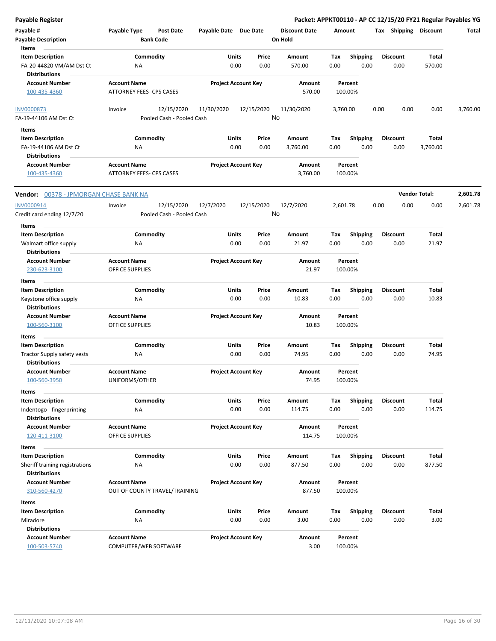**Payable # Payable Type Post Date Payable Date Due Date Payable Description Bank Code Discount Date Amount Tax Shipping Discount Total On Hold** 0.00 0.00 **Units** FA-20-44820 VM/AM Dst Ct 0.00 **Item Description** 570.00 **Price Amount Tax** 0.00 570.00 Commodity **Shipping Shipping Commodity Shipping Discount** Total NA **Items** 0.00 **Discount Account Number Account Name Project Account Key Amount Distributions Percent** 100-435-4360 ATTORNEY FEES- CPS CASES 570.00 100.00% 12/15/2020 11/30/2020 12/15/2020 FA-19-44106 AM Dst Ct Pooled Cash - Pooled Cash - Pooled Cash INV0000873 Invoice 11/30/2020 3,760.00 0.00 0.00 0.00 3,760.00 No 0.00 0.00 **Units** FA-19-44106 AM Dst Ct NA 0.00 0.00 3,760.00 0.00 **Item Description** 3,760.00 **Price Amount Tax** 0.00 3,760.00 Commodity **Shipping Shipping Commodity Shipping Discount** Total NA **Items** 0.00 **Discount Account Number Account Name Project Account Key Amount Distributions Percent** 100-435-4360 ATTORNEY FEES- CPS CASES 3,760.00 100.00% **Vendor:** 00378 - JPMORGAN CHASE BANK NA **Vendor Total: 2,601.78** 12/15/2020 12/7/2020 12/15/2020 Credit card ending 12/7/20 Pooled Cash - Pooled Cash INV0000914 1nvoice 12/15/2020 12/7/2020 12/15/2020 12/7/2020 2,601.78 0.00 0.00 0.00 2,601.78 No 0.00 0.00 **Units** Walmart office supply  $NA$  0.00  $0.00$  0.00  $21.97$  0.00 **Item Description** 21.97 **Price Amount Tax** 0.00 21.97 **Commodity Shipping Total** NA **Items** 0.00 **Discount Account Number Account Name Project Account Key Amount Distributions Percent** 230-623-3100 OFFICE SUPPLIES 21.97 100.00% 0.00 0.00 **Units** Keystone office supply 0.00 **Item Description** 10.83 **Price Amount Tax** 0.00 10.83 Commodity **Shipping Shipping Commodity Shipping Discount** Total NA **Items** 0.00 **Discount Account Number Account Name Project Account Key Amount Distributions Percent** 100-560-3100 OFFICE SUPPLIES 10.83 100.00% 0.00 0.00 **Units** Tractor Supply safety vests NA NA 2000 0.00 0.00 74.95 0.00 **Item Description** 74.95 **Price Amount Tax** 0.00 74.95 **Commodity Shipping Total** NA **Items** 0.00 **Discount Account Number Account Name Project Account Key Amount Distributions Percent** 100-560-3950 UNIFORMS/OTHER 74.95 100.00% 0.00 0.00 **Units** Indentogo - fingerprinting  $AA$  and  $0.00$   $0.00$   $114.75$   $0.00$ **Item Description** 114.75 **Price Amount Tax** 0.00 114.75 Commodity **Shipping Shipping Commodity Shipping Discount** Total NA **Items** 0.00 **Discount Account Number Account Name Project Account Key Amount Distributions Percent** 120-411-3100 OFFICE SUPPLIES 114.75 100.00% 0.00 0.00 **Units** Sheriff training registrations MA NA 0.00 0.00 877.50 0.00 **Item Description** 877.50 **Price Amount Tax** 0.00 877.50 **Commodity Shipping Total** NA **Items** 0.00 **Discount Account Number Account Name Project Account Key Amount Distributions Percent** 310-560-4270 OUT OF COUNTY TRAVEL/TRAINING 877.50 100.00% 0.00 0.00 **Units** Miradore 0.00 **Item Description** 3.00 **Price Amount Tax** 0.00 3.00 0.00 **Commodity Shipping Total** NA **Items Discount Account Number Account Name Project Account Key Amount Distributions Percent** 100-503-5740 COMPUTER/WEB SOFTWARE 3.00 100.00%

**Payable Register Packet: APPKT00110 - AP CC 12/15/20 FY21 Regular Payables YG**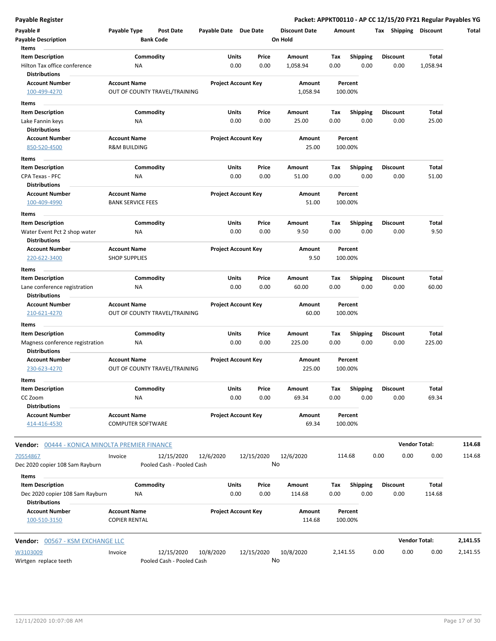### **Payable Register Packet: APPKT00110 - AP CC 12/15/20 FY21 Regular Payables YG**

| Payable #<br><b>Payable Description</b>                          | Payable Type                                    | <b>Post Date</b><br><b>Bank Code</b>    | Payable Date Due Date |                            | <b>Discount Date</b><br>On Hold | Amount      |                         | Shipping<br>Tax         | Discount                 | Total    |
|------------------------------------------------------------------|-------------------------------------------------|-----------------------------------------|-----------------------|----------------------------|---------------------------------|-------------|-------------------------|-------------------------|--------------------------|----------|
| Items<br><b>Item Description</b><br>Hilton Tax office conference | <b>NA</b>                                       | Commodity                               | Units                 | Price<br>0.00<br>0.00      | Amount<br>1,058.94              | Tax<br>0.00 | <b>Shipping</b><br>0.00 | Discount<br>0.00        | <b>Total</b><br>1,058.94 |          |
| <b>Distributions</b><br><b>Account Number</b><br>100-499-4270    | <b>Account Name</b>                             | OUT OF COUNTY TRAVEL/TRAINING           |                       | <b>Project Account Key</b> | Amount<br>1,058.94              |             | Percent<br>100.00%      |                         |                          |          |
| Items                                                            |                                                 |                                         |                       |                            |                                 |             |                         |                         |                          |          |
| <b>Item Description</b>                                          |                                                 | Commodity                               | Units                 | Price                      | Amount                          | Tax         | <b>Shipping</b>         | <b>Discount</b>         | Total                    |          |
| Lake Fannin keys                                                 | NA                                              |                                         |                       | 0.00<br>0.00               | 25.00                           | 0.00        | 0.00                    | 0.00                    | 25.00                    |          |
| <b>Distributions</b>                                             |                                                 |                                         |                       |                            |                                 |             |                         |                         |                          |          |
| <b>Account Number</b>                                            | <b>Account Name</b>                             |                                         |                       | <b>Project Account Key</b> | Amount                          |             | Percent                 |                         |                          |          |
| 850-520-4500                                                     | <b>R&amp;M BUILDING</b>                         |                                         |                       |                            | 25.00                           |             | 100.00%                 |                         |                          |          |
| Items                                                            |                                                 |                                         |                       |                            |                                 |             |                         |                         |                          |          |
| <b>Item Description</b>                                          |                                                 | Commodity                               | Units                 | Price                      | Amount                          | Tax         | <b>Shipping</b>         | <b>Discount</b>         | Total                    |          |
| CPA Texas - PFC                                                  | ΝA                                              |                                         |                       | 0.00<br>0.00               | 51.00                           | 0.00        | 0.00                    | 0.00                    | 51.00                    |          |
| <b>Distributions</b>                                             |                                                 |                                         |                       |                            |                                 |             |                         |                         |                          |          |
| <b>Account Number</b><br>100-409-4990                            | <b>Account Name</b><br><b>BANK SERVICE FEES</b> |                                         |                       | <b>Project Account Key</b> | Amount<br>51.00                 |             | Percent<br>100.00%      |                         |                          |          |
| Items                                                            |                                                 |                                         |                       |                            |                                 |             |                         |                         |                          |          |
| <b>Item Description</b>                                          |                                                 | Commodity                               | Units                 | Price                      | Amount                          | Tax         | <b>Shipping</b>         | Discount                | Total                    |          |
| Water Event Pct 2 shop water                                     | ΝA                                              |                                         |                       | 0.00<br>0.00               | 9.50                            | 0.00        | 0.00                    | 0.00                    | 9.50                     |          |
| <b>Distributions</b>                                             |                                                 |                                         |                       |                            |                                 |             |                         |                         |                          |          |
| <b>Account Number</b>                                            | <b>Account Name</b>                             |                                         |                       | <b>Project Account Key</b> | Amount                          |             | Percent                 |                         |                          |          |
| 220-622-3400                                                     | <b>SHOP SUPPLIES</b>                            |                                         |                       |                            | 9.50                            |             | 100.00%                 |                         |                          |          |
| Items                                                            |                                                 |                                         |                       |                            |                                 |             |                         |                         |                          |          |
| <b>Item Description</b>                                          |                                                 | Commodity                               | Units                 | Price                      | Amount                          | Tax         | <b>Shipping</b>         | Discount                | Total                    |          |
| Lane conference registration<br><b>Distributions</b>             | ΝA                                              |                                         |                       | 0.00<br>0.00               | 60.00                           | 0.00        | 0.00                    | 0.00                    | 60.00                    |          |
| <b>Account Number</b><br>210-621-4270                            | <b>Account Name</b>                             | OUT OF COUNTY TRAVEL/TRAINING           |                       | <b>Project Account Key</b> | Amount<br>60.00                 |             | Percent<br>100.00%      |                         |                          |          |
| Items                                                            |                                                 |                                         |                       |                            |                                 |             |                         |                         |                          |          |
| <b>Item Description</b><br>Magness conference registration       | <b>NA</b>                                       | Commodity                               | Units                 | Price<br>0.00<br>0.00      | Amount<br>225.00                | Tax<br>0.00 | <b>Shipping</b><br>0.00 | <b>Discount</b><br>0.00 | Total<br>225.00          |          |
| <b>Distributions</b><br><b>Account Number</b><br>230-623-4270    | <b>Account Name</b>                             | OUT OF COUNTY TRAVEL/TRAINING           |                       | <b>Project Account Key</b> | Amount<br>225.00                |             | Percent<br>100.00%      |                         |                          |          |
| Items                                                            |                                                 |                                         |                       |                            |                                 |             |                         |                         |                          |          |
| <b>Item Description</b><br>CC Zoom<br><b>Distributions</b>       | NA                                              | Commodity                               | Units                 | Price<br>0.00<br>0.00      | Amount<br>69.34                 | Тах<br>0.00 | Shipping<br>0.00        | Discount<br>0.00        | Total<br>69.34           |          |
| <b>Account Number</b><br>414-416-4530                            | <b>Account Name</b><br><b>COMPUTER SOFTWARE</b> |                                         |                       | <b>Project Account Key</b> | Amount<br>69.34                 |             | Percent<br>100.00%      |                         |                          |          |
| <b>Vendor:</b> 00444 - KONICA MINOLTA PREMIER FINANCE            |                                                 |                                         |                       |                            |                                 |             |                         |                         | <b>Vendor Total:</b>     | 114.68   |
| 70554867<br>Dec 2020 copier 108 Sam Rayburn                      | Invoice                                         | 12/15/2020<br>Pooled Cash - Pooled Cash | 12/6/2020             | 12/15/2020                 | 12/6/2020<br>No                 |             | 114.68                  | 0.00                    | 0.00<br>0.00             | 114.68   |
| Items                                                            |                                                 |                                         |                       |                            |                                 |             |                         |                         |                          |          |
| <b>Item Description</b>                                          |                                                 | Commodity                               | Units                 | Price                      | Amount                          | Tax         | <b>Shipping</b>         | <b>Discount</b>         | Total                    |          |
| Dec 2020 copier 108 Sam Rayburn                                  | ΝA                                              |                                         |                       | 0.00<br>0.00               | 114.68                          | 0.00        | 0.00                    | 0.00                    | 114.68                   |          |
| <b>Distributions</b><br><b>Account Number</b>                    | <b>Account Name</b>                             |                                         |                       | <b>Project Account Key</b> | Amount                          |             | Percent                 |                         |                          |          |
| 100-510-3150                                                     | <b>COPIER RENTAL</b>                            |                                         |                       |                            | 114.68                          |             | 100.00%                 |                         |                          |          |
| Vendor: 00567 - KSM EXCHANGE LLC                                 |                                                 |                                         |                       |                            |                                 |             |                         |                         | <b>Vendor Total:</b>     | 2,141.55 |
| W3103009<br>Wirtgen replace teeth                                | Invoice                                         | 12/15/2020<br>Pooled Cash - Pooled Cash | 10/8/2020             | 12/15/2020                 | 10/8/2020<br>No                 | 2,141.55    |                         | 0.00                    | 0.00<br>0.00             | 2,141.55 |

 $\overline{\phantom{0}}$ 

 $\frac{1}{2}$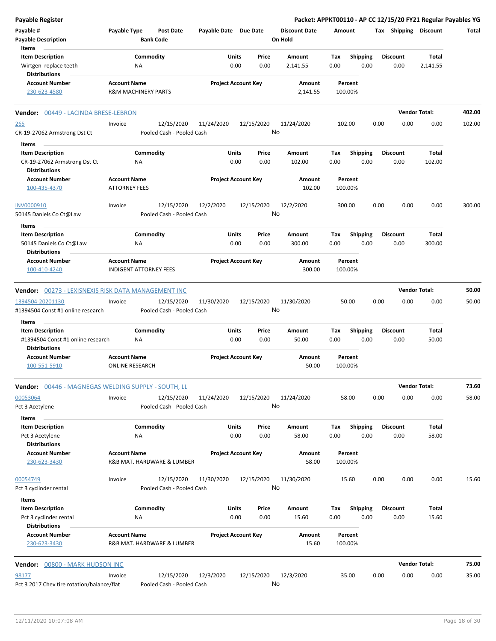| Payable Register                                    |                                                   |                                      |                       |                            |                                 |             |                         |      |                         | Packet: APPKT00110 - AP CC 12/15/20 FY21 Regular Payables YG |        |
|-----------------------------------------------------|---------------------------------------------------|--------------------------------------|-----------------------|----------------------------|---------------------------------|-------------|-------------------------|------|-------------------------|--------------------------------------------------------------|--------|
| Payable #<br><b>Payable Description</b>             | Payable Type                                      | <b>Post Date</b><br><b>Bank Code</b> | Payable Date Due Date |                            | <b>Discount Date</b><br>On Hold | Amount      |                         |      | Tax Shipping Discount   |                                                              | Total  |
| Items                                               |                                                   |                                      |                       |                            |                                 |             |                         |      |                         |                                                              |        |
| <b>Item Description</b><br>Wirtgen replace teeth    | Commodity<br>NA                                   |                                      | Units                 | Price<br>0.00<br>0.00      | Amount<br>2,141.55              | Tax<br>0.00 | <b>Shipping</b><br>0.00 |      | <b>Discount</b><br>0.00 | Total<br>2,141.55                                            |        |
| <b>Distributions</b>                                |                                                   |                                      |                       |                            |                                 |             |                         |      |                         |                                                              |        |
| <b>Account Number</b>                               | <b>Account Name</b>                               |                                      |                       | <b>Project Account Key</b> | Amount                          |             | Percent                 |      |                         |                                                              |        |
| 230-623-4580                                        | <b>R&amp;M MACHINERY PARTS</b>                    |                                      |                       |                            | 2,141.55                        |             | 100.00%                 |      |                         |                                                              |        |
| Vendor: 00449 - LACINDA BRESE-LEBRON                |                                                   |                                      |                       |                            |                                 |             |                         |      |                         | <b>Vendor Total:</b>                                         | 402.00 |
| 265                                                 | Invoice                                           | 12/15/2020                           | 11/24/2020            | 12/15/2020                 | 11/24/2020                      |             | 102.00                  | 0.00 | 0.00                    | 0.00                                                         | 102.00 |
| CR-19-27062 Armstrong Dst Ct                        |                                                   | Pooled Cash - Pooled Cash            |                       |                            | No                              |             |                         |      |                         |                                                              |        |
| Items                                               |                                                   |                                      |                       |                            |                                 |             |                         |      |                         |                                                              |        |
| <b>Item Description</b>                             | Commodity                                         |                                      | Units                 | Price                      | Amount                          | Tax         | <b>Shipping</b>         |      | <b>Discount</b>         | Total                                                        |        |
| CR-19-27062 Armstrong Dst Ct                        | NA                                                |                                      |                       | 0.00<br>0.00               | 102.00                          | 0.00        | 0.00                    |      | 0.00                    | 102.00                                                       |        |
| <b>Distributions</b><br><b>Account Number</b>       |                                                   |                                      |                       |                            |                                 |             |                         |      |                         |                                                              |        |
| 100-435-4370                                        | <b>Account Name</b><br><b>ATTORNEY FEES</b>       |                                      |                       | <b>Project Account Key</b> | Amount<br>102.00                |             | Percent<br>100.00%      |      |                         |                                                              |        |
| INV0000910                                          | Invoice                                           | 12/15/2020                           | 12/2/2020             | 12/15/2020                 | 12/2/2020                       |             | 300.00                  | 0.00 | 0.00                    | 0.00                                                         | 300.00 |
| 50145 Daniels Co Ct@Law                             |                                                   | Pooled Cash - Pooled Cash            |                       |                            | No                              |             |                         |      |                         |                                                              |        |
| Items                                               |                                                   |                                      |                       |                            |                                 |             |                         |      |                         |                                                              |        |
| <b>Item Description</b>                             | Commodity                                         |                                      | Units                 | Price                      | Amount                          | Tax         | <b>Shipping</b>         |      | <b>Discount</b>         | Total                                                        |        |
| 50145 Daniels Co Ct@Law                             | ΝA                                                |                                      |                       | 0.00<br>0.00               | 300.00                          | 0.00        | 0.00                    |      | 0.00                    | 300.00                                                       |        |
| <b>Distributions</b>                                |                                                   |                                      |                       |                            |                                 |             |                         |      |                         |                                                              |        |
| <b>Account Number</b>                               | <b>Account Name</b>                               |                                      |                       | <b>Project Account Key</b> | Amount                          |             | Percent                 |      |                         |                                                              |        |
| 100-410-4240                                        | <b>INDIGENT ATTORNEY FEES</b>                     |                                      |                       |                            | 300.00                          |             | 100.00%                 |      |                         |                                                              |        |
| Vendor: 00273 - LEXISNEXIS RISK DATA MANAGEMENT INC |                                                   |                                      |                       |                            |                                 |             |                         |      |                         | <b>Vendor Total:</b>                                         | 50.00  |
| 1394504-20201130                                    | Invoice                                           | 12/15/2020                           | 11/30/2020            | 12/15/2020                 | 11/30/2020                      |             | 50.00                   | 0.00 | 0.00                    | 0.00                                                         | 50.00  |
| #1394504 Const #1 online research                   |                                                   | Pooled Cash - Pooled Cash            |                       |                            | No                              |             |                         |      |                         |                                                              |        |
| Items                                               |                                                   |                                      |                       |                            |                                 |             |                         |      |                         |                                                              |        |
| <b>Item Description</b>                             | Commodity                                         |                                      | Units                 | Price                      | Amount                          | Tax         | <b>Shipping</b>         |      | <b>Discount</b>         | Total                                                        |        |
| #1394504 Const #1 online research                   | <b>NA</b>                                         |                                      |                       | 0.00<br>0.00               | 50.00                           | 0.00        | 0.00                    |      | 0.00                    | 50.00                                                        |        |
| <b>Distributions</b>                                |                                                   |                                      |                       |                            |                                 |             |                         |      |                         |                                                              |        |
| <b>Account Number</b><br>100-551-5910               | <b>Account Name</b><br><b>ONLINE RESEARCH</b>     |                                      |                       | <b>Project Account Key</b> | Amount<br>50.00                 |             | Percent<br>100.00%      |      |                         |                                                              |        |
| Vendor: 00446 - MAGNEGAS WELDING SUPPLY - SOUTH, LL |                                                   |                                      |                       |                            |                                 |             |                         |      |                         | <b>Vendor Total:</b>                                         | 73.60  |
| 00053064                                            | Invoice                                           | 12/15/2020                           | 11/24/2020            | 12/15/2020                 | 11/24/2020                      |             | 58.00                   | 0.00 | 0.00                    | 0.00                                                         | 58.00  |
| Pct 3 Acetylene                                     |                                                   | Pooled Cash - Pooled Cash            |                       |                            | No                              |             |                         |      |                         |                                                              |        |
| Items                                               |                                                   |                                      |                       |                            |                                 |             |                         |      |                         |                                                              |        |
| <b>Item Description</b><br>Pct 3 Acetylene          | Commodity<br>ΝA                                   |                                      | Units                 | Price<br>0.00<br>0.00      | Amount<br>58.00                 | Tax<br>0.00 | <b>Shipping</b><br>0.00 |      | <b>Discount</b><br>0.00 | Total<br>58.00                                               |        |
| <b>Distributions</b>                                |                                                   |                                      |                       |                            |                                 |             |                         |      |                         |                                                              |        |
| <b>Account Number</b><br>230-623-3430               | <b>Account Name</b><br>R&B MAT. HARDWARE & LUMBER |                                      |                       | <b>Project Account Key</b> | Amount<br>58.00                 |             | Percent<br>100.00%      |      |                         |                                                              |        |
| 00054749                                            | Invoice                                           | 12/15/2020                           | 11/30/2020            | 12/15/2020                 | 11/30/2020                      |             | 15.60                   | 0.00 | 0.00                    | 0.00                                                         | 15.60  |
| Pct 3 cyclinder rental                              |                                                   | Pooled Cash - Pooled Cash            |                       |                            | No                              |             |                         |      |                         |                                                              |        |
| Items                                               |                                                   |                                      |                       |                            |                                 |             |                         |      |                         |                                                              |        |
| <b>Item Description</b>                             | Commodity                                         |                                      | Units                 | Price                      | Amount                          | Tax         | <b>Shipping</b>         |      | <b>Discount</b>         | Total                                                        |        |
| Pct 3 cyclinder rental<br><b>Distributions</b>      | NA                                                |                                      |                       | 0.00<br>0.00               | 15.60                           | 0.00        | 0.00                    |      | 0.00                    | 15.60                                                        |        |
| <b>Account Number</b>                               | <b>Account Name</b>                               |                                      |                       | <b>Project Account Key</b> | Amount                          |             | Percent                 |      |                         |                                                              |        |
| 230-623-3430                                        | R&B MAT. HARDWARE & LUMBER                        |                                      |                       |                            | 15.60                           |             | 100.00%                 |      |                         |                                                              |        |
| Vendor: 00800 - MARK HUDSON INC                     |                                                   |                                      |                       |                            |                                 |             |                         |      |                         | <b>Vendor Total:</b>                                         | 75.00  |
| 98177                                               | Invoice                                           | 12/15/2020                           | 12/3/2020             | 12/15/2020                 | 12/3/2020                       |             | 35.00                   | 0.00 | 0.00                    | 0.00                                                         | 35.00  |
| Pct 3 2017 Chev tire rotation/balance/flat          |                                                   | Pooled Cash - Pooled Cash            |                       |                            | No                              |             |                         |      |                         |                                                              |        |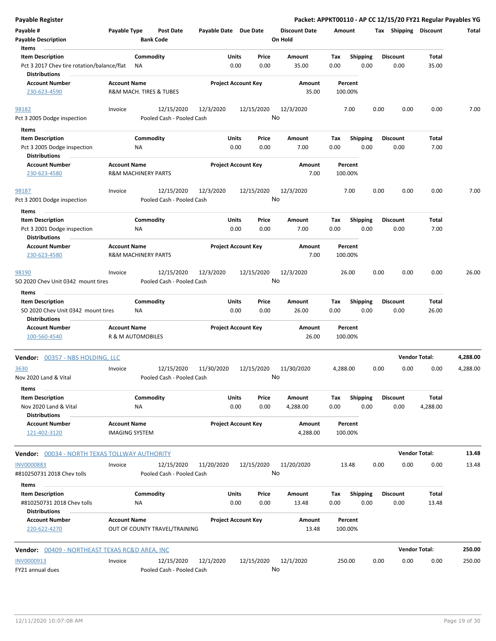| <b>Payable Register</b>                                                       |                     |                                |                               |                       |               |                            |                      |             |                         |      | Packet: APPKT00110 - AP CC 12/15/20 FY21 Regular Payables YG |                      |          |
|-------------------------------------------------------------------------------|---------------------|--------------------------------|-------------------------------|-----------------------|---------------|----------------------------|----------------------|-------------|-------------------------|------|--------------------------------------------------------------|----------------------|----------|
| Payable #                                                                     | Payable Type        |                                | <b>Post Date</b>              | Payable Date Due Date |               |                            | <b>Discount Date</b> | Amount      |                         |      | Tax Shipping Discount                                        |                      | Total    |
| <b>Payable Description</b>                                                    |                     | <b>Bank Code</b>               |                               |                       |               |                            | On Hold              |             |                         |      |                                                              |                      |          |
| Items                                                                         |                     |                                |                               |                       |               |                            |                      |             |                         |      |                                                              |                      |          |
| <b>Item Description</b>                                                       |                     | Commodity                      |                               |                       | Units         | Price                      | Amount               | Tax         | Shipping                |      | <b>Discount</b>                                              | Total                |          |
| Pct 3 2017 Chev tire rotation/balance/flat<br><b>Distributions</b>            |                     | ΝA                             |                               |                       | 0.00          | 0.00                       | 35.00                | 0.00        | 0.00                    |      | 0.00                                                         | 35.00                |          |
| <b>Account Number</b>                                                         | <b>Account Name</b> |                                |                               |                       |               | <b>Project Account Key</b> | Amount               |             | Percent                 |      |                                                              |                      |          |
| 230-623-4590                                                                  |                     | R&M MACH. TIRES & TUBES        |                               |                       |               |                            | 35.00                |             | 100.00%                 |      |                                                              |                      |          |
| 98182                                                                         | Invoice             |                                | 12/15/2020                    | 12/3/2020             |               | 12/15/2020                 | 12/3/2020            |             | 7.00                    | 0.00 | 0.00                                                         | 0.00                 | 7.00     |
| Pct 3 2005 Dodge inspection                                                   |                     |                                | Pooled Cash - Pooled Cash     |                       |               |                            | No                   |             |                         |      |                                                              |                      |          |
| Items                                                                         |                     |                                |                               |                       |               |                            |                      |             |                         |      |                                                              |                      |          |
| <b>Item Description</b>                                                       |                     | Commodity                      |                               |                       | Units         | Price                      | Amount               | Tax         | <b>Shipping</b>         |      | <b>Discount</b>                                              | Total                |          |
| Pct 3 2005 Dodge inspection                                                   |                     | ΝA                             |                               |                       | 0.00          | 0.00                       | 7.00                 | 0.00        | 0.00                    |      | 0.00                                                         | 7.00                 |          |
| <b>Distributions</b>                                                          |                     |                                |                               |                       |               |                            |                      |             |                         |      |                                                              |                      |          |
| <b>Account Number</b>                                                         | <b>Account Name</b> |                                |                               |                       |               | <b>Project Account Key</b> | Amount               |             | Percent                 |      |                                                              |                      |          |
| 230-623-4580                                                                  |                     | <b>R&amp;M MACHINERY PARTS</b> |                               |                       |               |                            | 7.00                 |             | 100.00%                 |      |                                                              |                      |          |
| 98187                                                                         | Invoice             |                                | 12/15/2020                    | 12/3/2020             |               | 12/15/2020                 | 12/3/2020            |             | 7.00                    | 0.00 | 0.00                                                         | 0.00                 | 7.00     |
| Pct 3 2001 Dodge inspection                                                   |                     |                                | Pooled Cash - Pooled Cash     |                       |               |                            | No                   |             |                         |      |                                                              |                      |          |
| Items                                                                         |                     |                                |                               |                       |               |                            |                      |             |                         |      |                                                              |                      |          |
| <b>Item Description</b>                                                       |                     | Commodity                      |                               |                       | Units         | Price                      | Amount               | Tax         | <b>Shipping</b>         |      | <b>Discount</b>                                              | Total                |          |
| Pct 3 2001 Dodge inspection                                                   |                     | ΝA                             |                               |                       | 0.00          | 0.00                       | 7.00                 | 0.00        | 0.00                    |      | 0.00                                                         | 7.00                 |          |
| <b>Distributions</b>                                                          |                     |                                |                               |                       |               |                            |                      |             |                         |      |                                                              |                      |          |
| <b>Account Number</b>                                                         | <b>Account Name</b> |                                |                               |                       |               | <b>Project Account Key</b> | Amount               |             | Percent                 |      |                                                              |                      |          |
| 230-623-4580                                                                  |                     | <b>R&amp;M MACHINERY PARTS</b> |                               |                       |               |                            | 7.00                 |             | 100.00%                 |      |                                                              |                      |          |
|                                                                               |                     |                                |                               |                       |               |                            |                      |             |                         |      |                                                              |                      |          |
| 98190                                                                         | Invoice             |                                | 12/15/2020                    | 12/3/2020             |               | 12/15/2020                 | 12/3/2020<br>No      |             | 26.00                   | 0.00 | 0.00                                                         | 0.00                 | 26.00    |
| SO 2020 Chev Unit 0342 mount tires                                            |                     |                                | Pooled Cash - Pooled Cash     |                       |               |                            |                      |             |                         |      |                                                              |                      |          |
| Items                                                                         |                     |                                |                               |                       |               |                            |                      |             |                         |      |                                                              |                      |          |
| <b>Item Description</b>                                                       |                     | Commodity                      |                               |                       | Units         | Price                      | Amount               | Tax         | <b>Shipping</b>         |      | <b>Discount</b>                                              | Total                |          |
| SO 2020 Chev Unit 0342 mount tires<br><b>Distributions</b>                    |                     | NA                             |                               |                       | 0.00          | 0.00                       | 26.00                | 0.00        | 0.00                    |      | 0.00                                                         | 26.00                |          |
| <b>Account Number</b>                                                         | <b>Account Name</b> |                                |                               |                       |               | <b>Project Account Key</b> | Amount               |             | Percent                 |      |                                                              |                      |          |
| 100-560-4540                                                                  |                     | R & M AUTOMOBILES              |                               |                       |               |                            | 26.00                |             | 100.00%                 |      |                                                              |                      |          |
| Vendor: 00357 - NBS HOLDING, LLC                                              |                     |                                |                               |                       |               |                            |                      |             |                         |      |                                                              | <b>Vendor Total:</b> | 4,288.00 |
| <u>3630</u>                                                                   | Invoice             |                                | 12/15/2020                    | 11/30/2020            |               | 12/15/2020                 | 11/30/2020           | 4,288.00    |                         | 0.00 | 0.00                                                         | 0.00                 | 4,288.00 |
| Nov 2020 Land & Vital<br>Items                                                |                     |                                | Pooled Cash - Pooled Cash     |                       |               |                            | No                   |             |                         |      |                                                              |                      |          |
| <b>Item Description</b>                                                       |                     | Commodity                      |                               |                       | Units         | Price                      | Amount               | Tax         | <b>Shipping</b>         |      | <b>Discount</b>                                              | Total                |          |
| Nov 2020 Land & Vital<br><b>Distributions</b>                                 |                     | ΝA                             |                               |                       | 0.00          | 0.00                       | 4,288.00             | 0.00        | 0.00                    |      | 0.00                                                         | 4,288.00             |          |
| <b>Account Number</b>                                                         | <b>Account Name</b> |                                |                               |                       |               | <b>Project Account Key</b> | Amount               |             | Percent                 |      |                                                              |                      |          |
| 121-402-3120                                                                  |                     | <b>IMAGING SYSTEM</b>          |                               |                       |               |                            | 4,288.00             |             | 100.00%                 |      |                                                              |                      |          |
| <b>Vendor:</b> 00034 - NORTH TEXAS TOLLWAY AUTHORITY                          |                     |                                |                               |                       |               |                            |                      |             |                         |      |                                                              | <b>Vendor Total:</b> | 13.48    |
| <b>INV0000883</b>                                                             | Invoice             |                                | 12/15/2020                    | 11/20/2020            |               | 12/15/2020                 | 11/20/2020           |             | 13.48                   | 0.00 | 0.00                                                         | 0.00                 | 13.48    |
| #810250731 2018 Chev tolls                                                    |                     |                                | Pooled Cash - Pooled Cash     |                       |               |                            | No                   |             |                         |      |                                                              |                      |          |
| Items                                                                         |                     |                                |                               |                       |               |                            |                      |             |                         |      |                                                              |                      |          |
| <b>Item Description</b><br>#810250731 2018 Chev tolls<br><b>Distributions</b> |                     | Commodity<br>NA                |                               |                       | Units<br>0.00 | Price<br>0.00              | Amount<br>13.48      | Tax<br>0.00 | <b>Shipping</b><br>0.00 |      | <b>Discount</b><br>0.00                                      | Total<br>13.48       |          |
| <b>Account Number</b>                                                         | <b>Account Name</b> |                                |                               |                       |               | <b>Project Account Key</b> | Amount               |             | Percent                 |      |                                                              |                      |          |
| 220-622-4270                                                                  |                     |                                | OUT OF COUNTY TRAVEL/TRAINING |                       |               |                            | 13.48                |             | 100.00%                 |      |                                                              |                      |          |
| <b>Vendor:</b> 00409 - NORTHEAST TEXAS RC&D AREA, INC                         |                     |                                |                               |                       |               |                            |                      |             |                         |      |                                                              | <b>Vendor Total:</b> | 250.00   |
| INV0000913                                                                    | Invoice             |                                | 12/15/2020                    | 12/1/2020             |               | 12/15/2020                 | 12/1/2020            |             | 250.00                  | 0.00 | 0.00                                                         | 0.00                 | 250.00   |
| FY21 annual dues                                                              |                     |                                | Pooled Cash - Pooled Cash     |                       |               |                            | No                   |             |                         |      |                                                              |                      |          |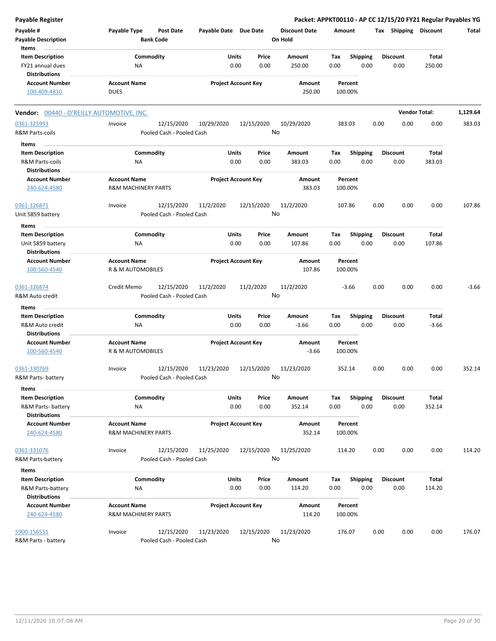| <b>Payable Register</b>                   |                                  |                            |            |                      |         |                 | Packet: APPKT00110 - AP CC 12/15/20 FY21 Regular Payables YG |                      |          |
|-------------------------------------------|----------------------------------|----------------------------|------------|----------------------|---------|-----------------|--------------------------------------------------------------|----------------------|----------|
| Payable #                                 | Payable Type<br><b>Post Date</b> | Payable Date Due Date      |            | <b>Discount Date</b> | Amount  |                 | Tax Shipping Discount                                        |                      | Total    |
| <b>Payable Description</b>                | <b>Bank Code</b>                 |                            |            | On Hold              |         |                 |                                                              |                      |          |
| Items                                     |                                  |                            |            |                      |         |                 |                                                              |                      |          |
| <b>Item Description</b>                   | Commodity                        | Units                      | Price      | <b>Amount</b>        | Tax     | <b>Shipping</b> | <b>Discount</b>                                              | Total                |          |
| FY21 annual dues                          | ΝA                               | 0.00                       | 0.00       | 250.00               | 0.00    | 0.00            | 0.00                                                         | 250.00               |          |
| <b>Distributions</b>                      |                                  |                            |            |                      |         |                 |                                                              |                      |          |
| <b>Account Number</b>                     | <b>Account Name</b>              | <b>Project Account Key</b> |            | Amount               | Percent |                 |                                                              |                      |          |
| 100-409-4810                              | <b>DUES</b>                      |                            |            | 250.00               | 100.00% |                 |                                                              |                      |          |
| Vendor: 00440 - O'REILLY AUTOMOTIVE, INC. |                                  |                            |            |                      |         |                 |                                                              | <b>Vendor Total:</b> | 1,129.64 |
| 0361-325993                               | 12/15/2020<br>Invoice            | 10/29/2020                 | 12/15/2020 | 10/29/2020           | 383.03  |                 | 0.00<br>0.00                                                 | 0.00                 | 383.03   |
| R&M Parts-coils                           | Pooled Cash - Pooled Cash        |                            |            | No                   |         |                 |                                                              |                      |          |
|                                           |                                  |                            |            |                      |         |                 |                                                              |                      |          |
| Items                                     |                                  |                            |            |                      |         |                 |                                                              |                      |          |
| <b>Item Description</b>                   | Commodity                        | Units                      | Price      | Amount               | Tax     | <b>Shipping</b> | <b>Discount</b>                                              | Total                |          |
| R&M Parts-coils                           | ΝA                               | 0.00                       | 0.00       | 383.03               | 0.00    | 0.00            | 0.00                                                         | 383.03               |          |
| <b>Distributions</b>                      |                                  |                            |            |                      |         |                 |                                                              |                      |          |
| <b>Account Number</b>                     | <b>Account Name</b>              | <b>Project Account Key</b> |            | Amount               | Percent |                 |                                                              |                      |          |
| 240-624-4580                              | <b>R&amp;M MACHINERY PARTS</b>   |                            |            | 383.03               | 100.00% |                 |                                                              |                      |          |
| 0361-326871                               | 12/15/2020<br>Invoice            | 11/2/2020                  | 12/15/2020 | 11/2/2020            | 107.86  |                 | 0.00<br>0.00                                                 | 0.00                 | 107.86   |
| Unit 5859 battery                         | Pooled Cash - Pooled Cash        |                            |            | No                   |         |                 |                                                              |                      |          |
|                                           |                                  |                            |            |                      |         |                 |                                                              |                      |          |
| Items                                     |                                  |                            |            |                      |         |                 |                                                              |                      |          |
| <b>Item Description</b>                   | Commodity                        | Units                      | Price      | Amount               | Tax     | <b>Shipping</b> | <b>Discount</b>                                              | Total                |          |
| Unit 5859 battery                         | NA                               | 0.00                       | 0.00       | 107.86               | 0.00    | 0.00            | 0.00                                                         | 107.86               |          |
| <b>Distributions</b>                      |                                  |                            |            |                      |         |                 |                                                              |                      |          |
| <b>Account Number</b>                     | <b>Account Name</b>              | <b>Project Account Key</b> |            | Amount               | Percent |                 |                                                              |                      |          |
| 100-560-4540                              | R & M AUTOMOBILES                |                            |            | 107.86               | 100.00% |                 |                                                              |                      |          |
| 0361-326874                               | Credit Memo<br>12/15/2020        | 11/2/2020                  | 11/2/2020  | 11/2/2020            | $-3.66$ |                 | 0.00<br>0.00                                                 | 0.00                 | $-3.66$  |
| R&M Auto credit                           | Pooled Cash - Pooled Cash        |                            |            | No                   |         |                 |                                                              |                      |          |
|                                           |                                  |                            |            |                      |         |                 |                                                              |                      |          |
| Items                                     |                                  |                            |            |                      |         |                 |                                                              |                      |          |
| <b>Item Description</b>                   | Commodity                        | Units                      | Price      | Amount               | Tax     | <b>Shipping</b> | <b>Discount</b>                                              | Total                |          |
| R&M Auto credit                           | ΝA                               | 0.00                       | 0.00       | $-3.66$              | 0.00    | 0.00            | 0.00                                                         | $-3.66$              |          |
| <b>Distributions</b>                      |                                  |                            |            |                      |         |                 |                                                              |                      |          |
| <b>Account Number</b>                     | <b>Account Name</b>              | <b>Project Account Key</b> |            | <b>Amount</b>        | Percent |                 |                                                              |                      |          |
| 100-560-4540                              | R & M AUTOMOBILES                |                            |            | $-3.66$              | 100.00% |                 |                                                              |                      |          |
| 0361-330769                               | 12/15/2020<br>Invoice            | 11/23/2020                 | 12/15/2020 | 11/23/2020           | 352.14  |                 | 0.00<br>0.00                                                 | 0.00                 | 352.14   |
| R&M Parts- battery                        | Pooled Cash - Pooled Cash        |                            |            | No                   |         |                 |                                                              |                      |          |
| Items                                     |                                  |                            |            |                      |         |                 |                                                              |                      |          |
| <b>Item Description</b>                   | Commodity                        | Units                      | Price      | Amount               | Tax     | <b>Shipping</b> | <b>Discount</b>                                              | Total                |          |
| R&M Parts- battery                        | NA                               | 0.00                       | 0.00       | 352.14               | 0.00    | 0.00            | 0.00                                                         | 352.14               |          |
| <b>Distributions</b>                      |                                  |                            |            |                      |         |                 |                                                              |                      |          |
| <b>Account Number</b>                     | <b>Account Name</b>              |                            |            | Amount               |         |                 |                                                              |                      |          |
|                                           |                                  | <b>Project Account Key</b> |            |                      | Percent |                 |                                                              |                      |          |
| 240-624-4580                              | <b>R&amp;M MACHINERY PARTS</b>   |                            |            | 352.14               | 100.00% |                 |                                                              |                      |          |
| 0361-331076                               | 12/15/2020<br>Invoice            | 11/25/2020                 | 12/15/2020 | 11/25/2020           | 114.20  |                 | 0.00<br>0.00                                                 | 0.00                 | 114.20   |
| R&M Parts-battery                         | Pooled Cash - Pooled Cash        |                            |            | No                   |         |                 |                                                              |                      |          |
|                                           |                                  |                            |            |                      |         |                 |                                                              |                      |          |
| Items                                     |                                  |                            |            |                      |         |                 |                                                              |                      |          |
| <b>Item Description</b>                   | Commodity                        | <b>Units</b>               | Price      | Amount               | Tax     | Shipping        | <b>Discount</b>                                              | Total                |          |
| R&M Parts-battery                         | ΝA                               | 0.00                       | 0.00       | 114.20               | 0.00    | 0.00            | 0.00                                                         | 114.20               |          |
| <b>Distributions</b>                      |                                  |                            |            |                      |         |                 |                                                              |                      |          |
| <b>Account Number</b>                     | <b>Account Name</b>              | <b>Project Account Key</b> |            | Amount               | Percent |                 |                                                              |                      |          |
| 240-624-4580                              | <b>R&amp;M MACHINERY PARTS</b>   |                            |            | 114.20               | 100.00% |                 |                                                              |                      |          |
|                                           |                                  |                            |            |                      |         |                 |                                                              |                      |          |
| 5900-156551                               | Invoice<br>12/15/2020            | 11/23/2020                 | 12/15/2020 | 11/23/2020           | 176.07  |                 | 0.00<br>0.00                                                 | 0.00                 | 176.07   |
| R&M Parts - battery                       | Pooled Cash - Pooled Cash        |                            |            | No                   |         |                 |                                                              |                      |          |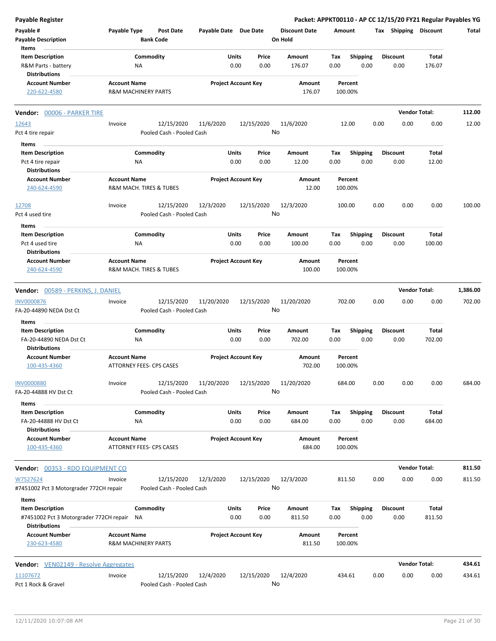| Payable Register                                                           |                     |                                      |                       |                            |                                 |             |                         |      |                         | Packet: APPKT00110 - AP CC 12/15/20 FY21 Regular Payables YG |          |
|----------------------------------------------------------------------------|---------------------|--------------------------------------|-----------------------|----------------------------|---------------------------------|-------------|-------------------------|------|-------------------------|--------------------------------------------------------------|----------|
| Payable #<br><b>Payable Description</b>                                    | Payable Type        | <b>Post Date</b><br><b>Bank Code</b> | Payable Date Due Date |                            | <b>Discount Date</b><br>On Hold | Amount      |                         |      |                         | Tax Shipping Discount                                        | Total    |
| Items                                                                      |                     |                                      |                       |                            |                                 |             |                         |      |                         |                                                              |          |
| <b>Item Description</b>                                                    |                     | Commodity                            | Units                 | Price                      | Amount                          | Tax         | <b>Shipping</b>         |      | <b>Discount</b>         | Total                                                        |          |
| R&M Parts - battery<br><b>Distributions</b>                                |                     | ΝA                                   |                       | 0.00<br>0.00               | 176.07                          | 0.00        | 0.00                    |      | 0.00                    | 176.07                                                       |          |
| <b>Account Number</b>                                                      | <b>Account Name</b> |                                      |                       | <b>Project Account Key</b> | Amount                          |             | Percent                 |      |                         |                                                              |          |
| 220-622-4580                                                               |                     | <b>R&amp;M MACHINERY PARTS</b>       |                       |                            | 176.07                          | 100.00%     |                         |      |                         |                                                              |          |
| Vendor: 00006 - PARKER TIRE                                                |                     |                                      |                       |                            |                                 |             |                         |      |                         | <b>Vendor Total:</b>                                         | 112.00   |
| 12643                                                                      | Invoice             | 12/15/2020                           | 11/6/2020             | 12/15/2020                 | 11/6/2020                       |             | 12.00                   | 0.00 | 0.00                    | 0.00                                                         | 12.00    |
| Pct 4 tire repair                                                          |                     | Pooled Cash - Pooled Cash            |                       |                            | No                              |             |                         |      |                         |                                                              |          |
| Items                                                                      |                     |                                      |                       |                            |                                 |             |                         |      |                         |                                                              |          |
| <b>Item Description</b>                                                    |                     | Commodity                            | Units                 | Price                      | Amount                          | Tax         | <b>Shipping</b>         |      | <b>Discount</b>         | Total                                                        |          |
| Pct 4 tire repair                                                          |                     | <b>NA</b>                            |                       | 0.00<br>0.00               | 12.00                           | 0.00        | 0.00                    |      | 0.00                    | 12.00                                                        |          |
| <b>Distributions</b>                                                       |                     |                                      |                       |                            |                                 |             |                         |      |                         |                                                              |          |
| <b>Account Number</b>                                                      | <b>Account Name</b> |                                      |                       | <b>Project Account Key</b> | Amount                          |             | Percent                 |      |                         |                                                              |          |
| 240-624-4590                                                               |                     | R&M MACH. TIRES & TUBES              |                       |                            | 12.00                           | 100.00%     |                         |      |                         |                                                              |          |
| 12708                                                                      | Invoice             | 12/15/2020                           | 12/3/2020             | 12/15/2020                 | 12/3/2020                       | 100.00      |                         | 0.00 | 0.00                    | 0.00                                                         | 100.00   |
| Pct 4 used tire                                                            |                     | Pooled Cash - Pooled Cash            |                       |                            | No                              |             |                         |      |                         |                                                              |          |
| Items                                                                      |                     |                                      |                       |                            |                                 |             |                         |      |                         |                                                              |          |
| <b>Item Description</b>                                                    |                     | Commodity                            | Units                 | Price                      | Amount                          | Tax         | <b>Shipping</b>         |      | <b>Discount</b>         | Total                                                        |          |
| Pct 4 used tire<br><b>Distributions</b>                                    |                     | NA                                   |                       | 0.00<br>0.00               | 100.00                          | 0.00        | 0.00                    |      | 0.00                    | 100.00                                                       |          |
| <b>Account Number</b>                                                      | <b>Account Name</b> |                                      |                       | <b>Project Account Key</b> | Amount                          |             | Percent                 |      |                         |                                                              |          |
| 240-624-4590                                                               |                     | R&M MACH. TIRES & TUBES              |                       |                            | 100.00                          | 100.00%     |                         |      |                         |                                                              |          |
| Vendor: 00589 - PERKINS, J. DANIEL                                         |                     |                                      |                       |                            |                                 |             |                         |      |                         | <b>Vendor Total:</b>                                         | 1,386.00 |
| <b>INV0000876</b>                                                          | Invoice             | 12/15/2020                           | 11/20/2020            | 12/15/2020                 | 11/20/2020                      | 702.00      |                         | 0.00 | 0.00                    | 0.00                                                         | 702.00   |
| FA-20-44890 NEDA Dst Ct                                                    |                     | Pooled Cash - Pooled Cash            |                       |                            | No                              |             |                         |      |                         |                                                              |          |
| Items                                                                      |                     |                                      |                       |                            |                                 |             |                         |      |                         |                                                              |          |
| <b>Item Description</b><br>FA-20-44890 NEDA Dst Ct<br><b>Distributions</b> |                     | Commodity<br>NA                      | Units                 | Price<br>0.00<br>0.00      | Amount<br>702.00                | Tax<br>0.00 | <b>Shipping</b><br>0.00 |      | <b>Discount</b><br>0.00 | Total<br>702.00                                              |          |
| <b>Account Number</b>                                                      | <b>Account Name</b> |                                      |                       | <b>Project Account Key</b> | Amount                          |             | Percent                 |      |                         |                                                              |          |
| 100-435-4360                                                               |                     | <b>ATTORNEY FEES- CPS CASES</b>      |                       |                            | 702.00                          | 100.00%     |                         |      |                         |                                                              |          |
| <b>INV0000880</b>                                                          | Invoice             | 12/15/2020                           | 11/20/2020            | 12/15/2020                 | 11/20/2020                      | 684.00      |                         | 0.00 | 0.00                    | 0.00                                                         | 684.00   |
| FA-20-44888 HV Dst Ct                                                      |                     | Pooled Cash - Pooled Cash            |                       |                            | No                              |             |                         |      |                         |                                                              |          |
| Items                                                                      |                     |                                      |                       |                            |                                 |             |                         |      |                         |                                                              |          |
| <b>Item Description</b>                                                    |                     | Commodity                            | Units                 | Price                      | Amount                          | Tax         | <b>Shipping</b>         |      | <b>Discount</b>         | Total                                                        |          |
| FA-20-44888 HV Dst Ct                                                      |                     | NA                                   |                       | 0.00<br>0.00               | 684.00                          | 0.00        | 0.00                    |      | 0.00                    | 684.00                                                       |          |
| <b>Distributions</b>                                                       |                     |                                      |                       |                            |                                 |             |                         |      |                         |                                                              |          |
| <b>Account Number</b><br>100-435-4360                                      | <b>Account Name</b> | ATTORNEY FEES- CPS CASES             |                       | <b>Project Account Key</b> | Amount<br>684.00                | 100.00%     | Percent                 |      |                         |                                                              |          |
| Vendor: 00353 - RDO EQUIPMENT CO                                           |                     |                                      |                       |                            |                                 |             |                         |      |                         | <b>Vendor Total:</b>                                         | 811.50   |
| W7527624                                                                   | Invoice             | 12/15/2020                           | 12/3/2020             | 12/15/2020                 | 12/3/2020                       | 811.50      |                         | 0.00 | 0.00                    | 0.00                                                         | 811.50   |
| #7451002 Pct 3 Motorgrader 772CH repair                                    |                     | Pooled Cash - Pooled Cash            |                       |                            | No                              |             |                         |      |                         |                                                              |          |
| Items                                                                      |                     |                                      |                       |                            |                                 |             |                         |      |                         |                                                              |          |
| <b>Item Description</b><br>#7451002 Pct 3 Motorgrader 772CH repair NA      |                     | Commodity                            | Units                 | Price<br>0.00<br>0.00      | Amount<br>811.50                | Tax<br>0.00 | <b>Shipping</b><br>0.00 |      | <b>Discount</b><br>0.00 | Total<br>811.50                                              |          |
| <b>Distributions</b><br><b>Account Number</b>                              | <b>Account Name</b> |                                      |                       | <b>Project Account Key</b> | Amount                          |             | Percent                 |      |                         |                                                              |          |
| 230-623-4580                                                               |                     | <b>R&amp;M MACHINERY PARTS</b>       |                       |                            | 811.50                          | 100.00%     |                         |      |                         |                                                              |          |
| <b>Vendor:</b> VEN02149 - Resolve Aggregates                               |                     |                                      |                       |                            |                                 |             |                         |      |                         | <b>Vendor Total:</b>                                         | 434.61   |
| 11107672                                                                   | Invoice             | 12/15/2020                           | 12/4/2020             | 12/15/2020                 | 12/4/2020                       | 434.61      |                         | 0.00 | 0.00                    | 0.00                                                         | 434.61   |
| Pct 1 Rock & Gravel                                                        |                     | Pooled Cash - Pooled Cash            |                       |                            | No                              |             |                         |      |                         |                                                              |          |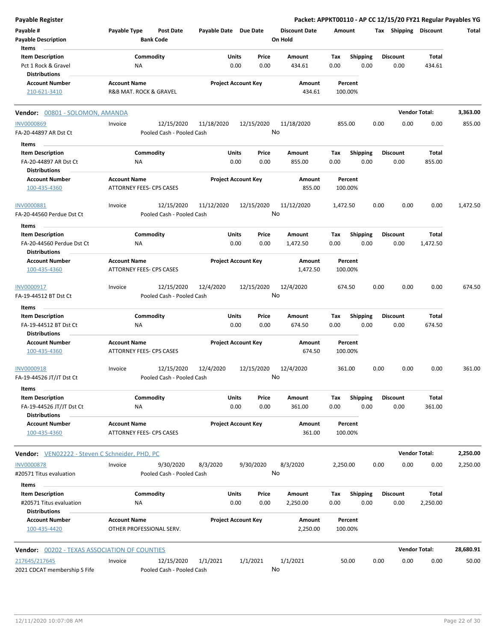| Payable Register                                      |                     |                               |                       |                            |               |                                 |                    |                  |      |                         |                      | Packet: APPKT00110 - AP CC 12/15/20 FY21 Regular Payables YG |
|-------------------------------------------------------|---------------------|-------------------------------|-----------------------|----------------------------|---------------|---------------------------------|--------------------|------------------|------|-------------------------|----------------------|--------------------------------------------------------------|
| Payable #<br><b>Payable Description</b>               | Payable Type        | Post Date<br><b>Bank Code</b> | Payable Date Due Date |                            |               | <b>Discount Date</b><br>On Hold | Amount             |                  |      | Tax Shipping Discount   |                      | Total                                                        |
| Items                                                 |                     |                               |                       |                            |               |                                 |                    |                  |      |                         |                      |                                                              |
| <b>Item Description</b><br>Pct 1 Rock & Gravel        |                     | Commodity<br>ΝA               |                       | Units<br>0.00              | Price<br>0.00 | Amount                          | Tax<br>0.00        | Shipping<br>0.00 |      | <b>Discount</b><br>0.00 | Total                |                                                              |
| <b>Distributions</b>                                  |                     |                               |                       |                            |               | 434.61                          |                    |                  |      |                         | 434.61               |                                                              |
| <b>Account Number</b>                                 | <b>Account Name</b> |                               |                       | <b>Project Account Key</b> |               | Amount                          | Percent            |                  |      |                         |                      |                                                              |
| 210-621-3410                                          |                     | R&B MAT. ROCK & GRAVEL        |                       |                            |               | 434.61                          | 100.00%            |                  |      |                         |                      |                                                              |
| Vendor: 00801 - SOLOMON, AMANDA                       |                     |                               |                       |                            |               |                                 |                    |                  |      |                         | <b>Vendor Total:</b> | 3,363.00                                                     |
| <b>INV0000869</b>                                     | Invoice             | 12/15/2020                    | 11/18/2020            | 12/15/2020                 |               | 11/18/2020                      | 855.00             |                  | 0.00 | 0.00                    | 0.00                 | 855.00                                                       |
| FA-20-44897 AR Dst Ct                                 |                     | Pooled Cash - Pooled Cash     |                       |                            |               | No                              |                    |                  |      |                         |                      |                                                              |
| Items                                                 |                     |                               |                       |                            |               |                                 |                    |                  |      |                         |                      |                                                              |
| <b>Item Description</b>                               |                     | Commodity                     |                       | Units                      | Price         | Amount                          | Tax                | <b>Shipping</b>  |      | <b>Discount</b>         | Total                |                                                              |
| FA-20-44897 AR Dst Ct                                 |                     | ΝA                            |                       | 0.00                       | 0.00          | 855.00                          | 0.00               | 0.00             |      | 0.00                    | 855.00               |                                                              |
| <b>Distributions</b>                                  |                     |                               |                       |                            |               |                                 |                    |                  |      |                         |                      |                                                              |
| <b>Account Number</b>                                 | <b>Account Name</b> |                               |                       | <b>Project Account Key</b> |               | Amount                          | Percent            |                  |      |                         |                      |                                                              |
| 100-435-4360                                          |                     | ATTORNEY FEES- CPS CASES      |                       |                            |               | 855.00                          | 100.00%            |                  |      |                         |                      |                                                              |
| <b>INV0000881</b>                                     | Invoice             | 12/15/2020                    | 11/12/2020            | 12/15/2020                 |               | 11/12/2020                      | 1,472.50           |                  | 0.00 | 0.00                    | 0.00                 | 1,472.50                                                     |
| FA-20-44560 Perdue Dst Ct                             |                     | Pooled Cash - Pooled Cash     |                       |                            |               | No                              |                    |                  |      |                         |                      |                                                              |
| Items                                                 |                     |                               |                       |                            |               |                                 |                    |                  |      |                         |                      |                                                              |
| <b>Item Description</b>                               |                     | Commodity                     |                       | Units                      | Price         | Amount                          | Tax                | <b>Shipping</b>  |      | <b>Discount</b>         | Total                |                                                              |
| FA-20-44560 Perdue Dst Ct                             |                     | ΝA                            |                       | 0.00                       | 0.00          | 1,472.50                        | 0.00               | 0.00             |      | 0.00                    | 1,472.50             |                                                              |
| <b>Distributions</b>                                  |                     |                               |                       |                            |               |                                 |                    |                  |      |                         |                      |                                                              |
| <b>Account Number</b>                                 | <b>Account Name</b> |                               |                       | <b>Project Account Key</b> |               | Amount                          | Percent            |                  |      |                         |                      |                                                              |
| 100-435-4360                                          |                     | ATTORNEY FEES- CPS CASES      |                       |                            |               | 1,472.50                        | 100.00%            |                  |      |                         |                      |                                                              |
| INV0000917                                            | Invoice             | 12/15/2020                    | 12/4/2020             | 12/15/2020                 |               | 12/4/2020                       | 674.50             |                  | 0.00 | 0.00                    | 0.00                 | 674.50                                                       |
| FA-19-44512 BT Dst Ct                                 |                     | Pooled Cash - Pooled Cash     |                       |                            |               | No                              |                    |                  |      |                         |                      |                                                              |
| Items                                                 |                     |                               |                       |                            |               |                                 |                    |                  |      |                         |                      |                                                              |
| <b>Item Description</b>                               |                     | Commodity                     |                       | <b>Units</b>               | Price         | Amount                          | Tax                | <b>Shipping</b>  |      | <b>Discount</b>         | Total                |                                                              |
| FA-19-44512 BT Dst Ct                                 |                     | NA                            |                       | 0.00                       | 0.00          | 674.50                          | 0.00               | 0.00             |      | 0.00                    | 674.50               |                                                              |
| <b>Distributions</b>                                  |                     |                               |                       |                            |               |                                 |                    |                  |      |                         |                      |                                                              |
| <b>Account Number</b>                                 | <b>Account Name</b> |                               |                       | <b>Project Account Key</b> |               | Amount                          | Percent            |                  |      |                         |                      |                                                              |
| 100-435-4360                                          |                     | ATTORNEY FEES- CPS CASES      |                       |                            |               | 674.50                          | 100.00%            |                  |      |                         |                      |                                                              |
| INV0000918                                            | Invoice             | 12/15/2020                    | 12/4/2020             | 12/15/2020                 |               | 12/4/2020                       | 361.00             |                  | 0.00 | 0.00                    | 0.00                 | 361.00                                                       |
| FA-19-44526 JT/JT Dst Ct                              |                     | Pooled Cash - Pooled Cash     |                       |                            | No            |                                 |                    |                  |      |                         |                      |                                                              |
| Items                                                 |                     |                               |                       |                            |               |                                 |                    |                  |      |                         |                      |                                                              |
| <b>Item Description</b>                               |                     | Commodity                     |                       | <b>Units</b>               | Price         | Amount                          | Тах                | <b>Shipping</b>  |      | <b>Discount</b>         | <b>Total</b>         |                                                              |
| FA-19-44526 JT/JT Dst Ct                              |                     | NA.                           |                       | 0.00                       | 0.00          | 361.00                          | 0.00               | 0.00             |      | 0.00                    | 361.00               |                                                              |
| <b>Distributions</b>                                  |                     |                               |                       |                            |               |                                 |                    |                  |      |                         |                      |                                                              |
| <b>Account Number</b><br>100-435-4360                 | <b>Account Name</b> | ATTORNEY FEES- CPS CASES      |                       | <b>Project Account Key</b> |               | Amount<br>361.00                | Percent<br>100.00% |                  |      |                         |                      |                                                              |
| <b>Vendor:</b> VEN02222 - Steven C Schneider, PHD, PC |                     |                               |                       |                            |               |                                 |                    |                  |      |                         | <b>Vendor Total:</b> | 2,250.00                                                     |
| <b>INV0000878</b>                                     | Invoice             | 9/30/2020                     | 8/3/2020              | 9/30/2020                  |               | 8/3/2020                        | 2,250.00           |                  | 0.00 | 0.00                    | 0.00                 | 2,250.00                                                     |
| #20571 Titus evaluation                               |                     | Pooled Cash - Pooled Cash     |                       |                            | No            |                                 |                    |                  |      |                         |                      |                                                              |
| Items                                                 |                     |                               |                       |                            |               |                                 |                    |                  |      |                         |                      |                                                              |
| <b>Item Description</b>                               |                     | Commodity                     |                       | Units                      | Price         | Amount                          | Tax                | <b>Shipping</b>  |      | <b>Discount</b>         | Total                |                                                              |
| #20571 Titus evaluation                               |                     | NA                            |                       | 0.00                       | 0.00          | 2,250.00                        | 0.00               | 0.00             |      | 0.00                    | 2,250.00             |                                                              |
| <b>Distributions</b>                                  |                     |                               |                       |                            |               |                                 |                    |                  |      |                         |                      |                                                              |
| <b>Account Number</b>                                 | <b>Account Name</b> |                               |                       | <b>Project Account Key</b> |               | Amount                          | Percent            |                  |      |                         |                      |                                                              |
| 100-435-4420                                          |                     | OTHER PROFESSIONAL SERV.      |                       |                            |               | 2,250.00                        | 100.00%            |                  |      |                         |                      |                                                              |
| <b>Vendor: 00202 - TEXAS ASSOCIATION OF COUNTIES</b>  |                     |                               |                       |                            |               |                                 |                    |                  |      |                         | <b>Vendor Total:</b> | 28,680.91                                                    |
| 217645/217645                                         | Invoice             | 12/15/2020                    | 1/1/2021              | 1/1/2021                   |               | 1/1/2021                        | 50.00              |                  | 0.00 | 0.00                    | 0.00                 | 50.00                                                        |
| 2021 CDCAT membership S Fife                          |                     | Pooled Cash - Pooled Cash     |                       |                            |               | No                              |                    |                  |      |                         |                      |                                                              |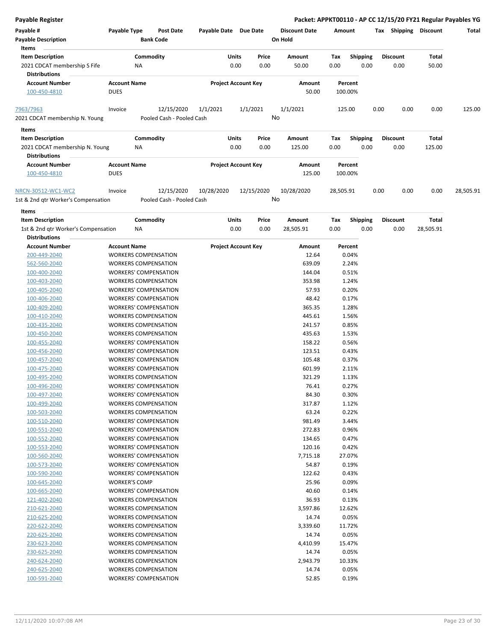### **Payable Register Packet: APPKT00110 - AP CC 12/15/20 FY21 Regular Payables YG**

| Payable #                                              | Payable Type                       |           | <b>Post Date</b>          | Payable Date |              | Due Date                   |       | <b>Discount Date</b> | Amount    |                    | Tax  | Shipping        | <b>Discount</b> | Total     |
|--------------------------------------------------------|------------------------------------|-----------|---------------------------|--------------|--------------|----------------------------|-------|----------------------|-----------|--------------------|------|-----------------|-----------------|-----------|
| <b>Payable Description</b><br>Items                    |                                    |           | <b>Bank Code</b>          |              |              |                            |       | On Hold              |           |                    |      |                 |                 |           |
| <b>Item Description</b>                                |                                    | Commodity |                           |              | <b>Units</b> |                            | Price | Amount               | Tax       | <b>Shipping</b>    |      | <b>Discount</b> | Total           |           |
| 2021 CDCAT membership S Fife<br><b>Distributions</b>   |                                    | <b>NA</b> |                           |              | 0.00         |                            | 0.00  | 50.00                | 0.00      | 0.00               |      | 0.00            | 50.00           |           |
| <b>Account Number</b><br>100-450-4810                  | <b>Account Name</b><br><b>DUES</b> |           |                           |              |              | <b>Project Account Key</b> |       | Amount<br>50.00      |           | Percent<br>100.00% |      |                 |                 |           |
| 7963/7963                                              | Invoice                            |           | 12/15/2020                | 1/1/2021     |              | 1/1/2021                   |       | 1/1/2021             |           | 125.00             | 0.00 | 0.00            | 0.00            | 125.00    |
| 2021 CDCAT membership N. Young                         |                                    |           | Pooled Cash - Pooled Cash |              |              |                            |       | No                   |           |                    |      |                 |                 |           |
| Items                                                  |                                    |           |                           |              |              |                            |       |                      |           |                    |      |                 |                 |           |
| <b>Item Description</b>                                |                                    | Commodity |                           |              | <b>Units</b> |                            | Price | Amount               | Tax       | <b>Shipping</b>    |      | <b>Discount</b> | Total           |           |
| 2021 CDCAT membership N. Young<br><b>Distributions</b> |                                    | <b>NA</b> |                           |              | 0.00         |                            | 0.00  | 125.00               | 0.00      | 0.00               |      | 0.00            | 125.00          |           |
| <b>Account Number</b>                                  | <b>Account Name</b>                |           |                           |              |              | <b>Project Account Key</b> |       | Amount               |           | Percent            |      |                 |                 |           |
| 100-450-4810                                           | <b>DUES</b>                        |           |                           |              |              |                            |       | 125.00               |           | 100.00%            |      |                 |                 |           |
| NRCN-30512-WC1-WC2                                     | Invoice                            |           | 12/15/2020                | 10/28/2020   |              | 12/15/2020                 |       | 10/28/2020           | 28,505.91 |                    | 0.00 | 0.00            | 0.00            | 28,505.91 |
| 1st & 2nd gtr Worker's Compensation                    |                                    |           | Pooled Cash - Pooled Cash |              |              |                            |       | No                   |           |                    |      |                 |                 |           |

**Items**

| ltems                               |                              |                            |       |           |      |                 |                 |           |
|-------------------------------------|------------------------------|----------------------------|-------|-----------|------|-----------------|-----------------|-----------|
| <b>Item Description</b>             | Commodity                    | Units                      | Price | Amount    | Tax  | <b>Shipping</b> | <b>Discount</b> | Total     |
| 1st & 2nd gtr Worker's Compensation | NA                           | 0.00                       | 0.00  | 28,505.91 | 0.00 | 0.00            | 0.00            | 28,505.91 |
| <b>Distributions</b>                |                              |                            |       |           |      |                 |                 |           |
| <b>Account Number</b>               | <b>Account Name</b>          | <b>Project Account Key</b> |       | Amount    |      | Percent         |                 |           |
| 200-449-2040                        | <b>WORKERS COMPENSATION</b>  |                            |       | 12.64     |      | 0.04%           |                 |           |
| 562-560-2040                        | <b>WORKERS COMPENSATION</b>  |                            |       | 639.09    |      | 2.24%           |                 |           |
| 100-400-2040                        | <b>WORKERS' COMPENSATION</b> |                            |       | 144.04    |      | 0.51%           |                 |           |
| 100-403-2040                        | <b>WORKERS COMPENSATION</b>  |                            |       | 353.98    |      | 1.24%           |                 |           |
| 100-405-2040                        | <b>WORKERS' COMPENSATION</b> |                            |       | 57.93     |      | 0.20%           |                 |           |
| 100-406-2040                        | <b>WORKERS' COMPENSATION</b> |                            |       | 48.42     |      | 0.17%           |                 |           |
| 100-409-2040                        | <b>WORKERS' COMPENSATION</b> |                            |       | 365.35    |      | 1.28%           |                 |           |
| 100-410-2040                        | <b>WORKERS COMPENSATION</b>  |                            |       | 445.61    |      | 1.56%           |                 |           |
| 100-435-2040                        | <b>WORKERS COMPENSATION</b>  |                            |       | 241.57    |      | 0.85%           |                 |           |
| 100-450-2040                        | <b>WORKERS COMPENSATION</b>  |                            |       | 435.63    |      | 1.53%           |                 |           |
| 100-455-2040                        | <b>WORKERS' COMPENSATION</b> |                            |       | 158.22    |      | 0.56%           |                 |           |
| 100-456-2040                        | <b>WORKERS' COMPENSATION</b> |                            |       | 123.51    |      | 0.43%           |                 |           |
| 100-457-2040                        | <b>WORKERS' COMPENSATION</b> |                            |       | 105.48    |      | 0.37%           |                 |           |
| 100-475-2040                        | <b>WORKERS' COMPENSATION</b> |                            |       | 601.99    |      | 2.11%           |                 |           |
| 100-495-2040                        | <b>WORKERS COMPENSATION</b>  |                            |       | 321.29    |      | 1.13%           |                 |           |
| 100-496-2040                        | <b>WORKERS' COMPENSATION</b> |                            |       | 76.41     |      | 0.27%           |                 |           |
| 100-497-2040                        | <b>WORKERS' COMPENSATION</b> |                            |       | 84.30     |      | 0.30%           |                 |           |
| 100-499-2040                        | <b>WORKERS COMPENSATION</b>  |                            |       | 317.87    |      | 1.12%           |                 |           |
| 100-503-2040                        | <b>WORKERS COMPENSATION</b>  |                            |       | 63.24     |      | 0.22%           |                 |           |
| 100-510-2040                        | <b>WORKERS' COMPENSATION</b> |                            |       | 981.49    |      | 3.44%           |                 |           |
| 100-551-2040                        | <b>WORKERS' COMPENSATION</b> |                            |       | 272.83    |      | 0.96%           |                 |           |
| 100-552-2040                        | <b>WORKERS' COMPENSATION</b> |                            |       | 134.65    |      | 0.47%           |                 |           |
| 100-553-2040                        | <b>WORKERS' COMPENSATION</b> |                            |       | 120.16    |      | 0.42%           |                 |           |
| 100-560-2040                        | <b>WORKERS' COMPENSATION</b> |                            |       | 7,715.18  |      | 27.07%          |                 |           |
| 100-573-2040                        | <b>WORKERS' COMPENSATION</b> |                            |       | 54.87     |      | 0.19%           |                 |           |
| 100-590-2040                        | <b>WORKERS' COMPENSATION</b> |                            |       | 122.62    |      | 0.43%           |                 |           |
| 100-645-2040                        | <b>WORKER'S COMP</b>         |                            |       | 25.96     |      | 0.09%           |                 |           |
| 100-665-2040                        | <b>WORKERS' COMPENSATION</b> |                            |       | 40.60     |      | 0.14%           |                 |           |
| 121-402-2040                        | <b>WORKERS COMPENSATION</b>  |                            |       | 36.93     |      | 0.13%           |                 |           |
| 210-621-2040                        | <b>WORKERS COMPENSATION</b>  |                            |       | 3,597.86  |      | 12.62%          |                 |           |
| 210-625-2040                        | <b>WORKERS COMPENSATION</b>  |                            |       | 14.74     |      | 0.05%           |                 |           |
| 220-622-2040                        | <b>WORKERS COMPENSATION</b>  |                            |       | 3,339.60  |      | 11.72%          |                 |           |
| 220-625-2040                        | <b>WORKERS COMPENSATION</b>  |                            |       | 14.74     |      | 0.05%           |                 |           |

230-623-2040 WORKERS COMPENSATION 4,410.99 15.47% 230-625-2040 WORKERS COMPENSATION 14.74 0.05%

240-625-2040 WORKERS COMPENSATION 14.74 0.05% 100-591-2040 WORKERS' COMPENSATION 52.85 0.19%

240-624-2040 WORKERS COMPENSATION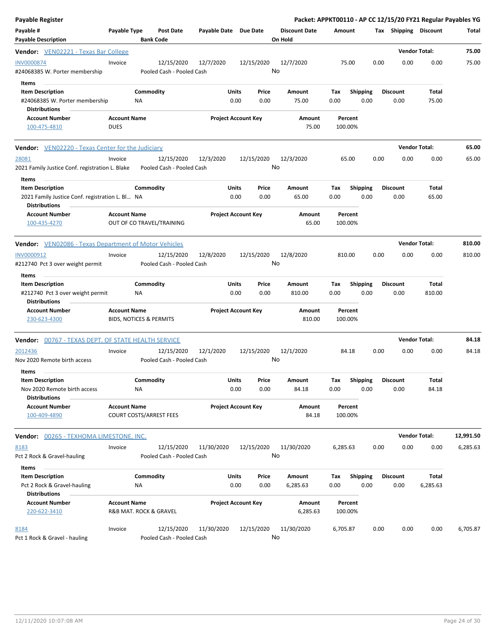| <b>Payable Register</b>                                                                            |                                    |                                         |                       |                            |                  |                                 |                    |                         |      |                         |                        | Packet: APPKT00110 - AP CC 12/15/20 FY21 Regular Payables YG |
|----------------------------------------------------------------------------------------------------|------------------------------------|-----------------------------------------|-----------------------|----------------------------|------------------|---------------------------------|--------------------|-------------------------|------|-------------------------|------------------------|--------------------------------------------------------------|
| Payable #<br><b>Payable Description</b>                                                            | Payable Type                       | <b>Post Date</b><br><b>Bank Code</b>    | Payable Date Due Date |                            |                  | <b>Discount Date</b><br>On Hold | Amount             |                         |      | Tax Shipping Discount   |                        | Total                                                        |
| <b>Vendor:</b> VEN02221 - Texas Bar College                                                        |                                    |                                         |                       |                            |                  |                                 |                    |                         |      |                         | <b>Vendor Total:</b>   | 75.00                                                        |
| INV0000874<br>#24068385 W. Porter membership                                                       | Invoice                            | 12/15/2020<br>Pooled Cash - Pooled Cash | 12/7/2020             |                            | 12/15/2020<br>No | 12/7/2020                       | 75.00              |                         | 0.00 | 0.00                    | 0.00                   | 75.00                                                        |
| Items<br><b>Item Description</b><br>#24068385 W. Porter membership<br><b>Distributions</b>         |                                    | Commodity<br>NA                         |                       | Units<br>0.00              | Price<br>0.00    | Amount<br>75.00                 | Tax<br>0.00        | <b>Shipping</b><br>0.00 |      | <b>Discount</b><br>0.00 | Total<br>75.00         |                                                              |
| <b>Account Number</b><br>100-475-4810                                                              | <b>Account Name</b><br><b>DUES</b> |                                         |                       | <b>Project Account Key</b> |                  | Amount<br>75.00                 | Percent<br>100.00% |                         |      |                         |                        |                                                              |
| <b>Vendor:</b> VEN02220 - Texas Center for the Judiciary                                           |                                    |                                         |                       |                            |                  |                                 |                    |                         |      |                         | <b>Vendor Total:</b>   | 65.00                                                        |
| 28081<br>2021 Family Justice Conf. registration L. Blake<br>Items                                  | Invoice                            | 12/15/2020<br>Pooled Cash - Pooled Cash | 12/3/2020             |                            | 12/15/2020<br>No | 12/3/2020                       | 65.00              |                         | 0.00 | 0.00                    | 0.00                   | 65.00                                                        |
| <b>Item Description</b><br>2021 Family Justice Conf. registration L. Bl NA<br><b>Distributions</b> |                                    | Commodity                               |                       | Units<br>0.00              | Price<br>0.00    | Amount<br>65.00                 | Tax<br>0.00        | <b>Shipping</b><br>0.00 |      | <b>Discount</b><br>0.00 | Total<br>65.00         |                                                              |
| <b>Account Number</b><br>100-435-4270                                                              | <b>Account Name</b>                | OUT OF CO TRAVEL/TRAINING               |                       | <b>Project Account Key</b> |                  | Amount<br>65.00                 | Percent<br>100.00% |                         |      |                         |                        |                                                              |
| <b>Vendor:</b> VEN02086 - Texas Department of Motor Vehicles                                       |                                    |                                         |                       |                            |                  |                                 |                    |                         |      |                         | <b>Vendor Total:</b>   | 810.00                                                       |
| INV0000912                                                                                         | Invoice                            | 12/15/2020                              | 12/8/2020             |                            | 12/15/2020       | 12/8/2020                       | 810.00             |                         | 0.00 | 0.00                    | 0.00                   | 810.00                                                       |
| #212740 Pct 3 over weight permit                                                                   |                                    | Pooled Cash - Pooled Cash               |                       |                            | No               |                                 |                    |                         |      |                         |                        |                                                              |
| Items                                                                                              |                                    |                                         |                       |                            |                  |                                 |                    |                         |      |                         |                        |                                                              |
| <b>Item Description</b><br>#212740 Pct 3 over weight permit<br><b>Distributions</b>                |                                    | Commodity<br><b>NA</b>                  |                       | Units<br>0.00              | Price<br>0.00    | Amount<br>810.00                | Tax<br>0.00        | <b>Shipping</b><br>0.00 |      | <b>Discount</b><br>0.00 | <b>Total</b><br>810.00 |                                                              |
| <b>Account Number</b><br>230-623-4300                                                              | <b>Account Name</b>                | BIDS, NOTICES & PERMITS                 |                       | <b>Project Account Key</b> |                  | Amount<br>810.00                | Percent<br>100.00% |                         |      |                         |                        |                                                              |
| <b>Vendor: 00767 - TEXAS DEPT. OF STATE HEALTH SERVICE</b>                                         |                                    |                                         |                       |                            |                  |                                 |                    |                         |      |                         | <b>Vendor Total:</b>   | 84.18                                                        |
| 2012436<br>Nov 2020 Remote birth access                                                            | Invoice                            | 12/15/2020<br>Pooled Cash - Pooled Cash | 12/1/2020             |                            | 12/15/2020<br>No | 12/1/2020                       | 84.18              |                         | 0.00 | 0.00                    | 0.00                   | 84.18                                                        |
| Items<br><b>Item Description</b><br>Nov 2020 Remote birth access<br><b>Distributions</b>           |                                    | Commodity<br>NA                         |                       | <b>Units</b><br>0.00       | Price<br>0.00    | Amount<br>84.18                 | Tax<br>0.00        | Shipping<br>0.00        |      | Discount<br>0.00        | Total<br>84.18         |                                                              |
| <b>Account Number</b><br>100-409-4890                                                              | <b>Account Name</b>                | <b>COURT COSTS/ARREST FEES</b>          |                       | <b>Project Account Key</b> |                  | Amount<br>84.18                 | Percent<br>100.00% |                         |      |                         |                        |                                                              |
| <b>Vendor: 00265 - TEXHOMA LIMESTONE, INC.</b>                                                     |                                    |                                         |                       |                            |                  |                                 |                    |                         |      |                         | <b>Vendor Total:</b>   | 12,991.50                                                    |
| 8183<br>Pct 2 Rock & Gravel-hauling                                                                | Invoice                            | 12/15/2020<br>Pooled Cash - Pooled Cash | 11/30/2020            |                            | 12/15/2020<br>No | 11/30/2020                      | 6,285.63           |                         | 0.00 | 0.00                    | 0.00                   | 6,285.63                                                     |
| Items<br><b>Item Description</b><br>Pct 2 Rock & Gravel-hauling                                    |                                    | Commodity<br>NA                         |                       | Units<br>0.00              | Price<br>0.00    | Amount<br>6,285.63              | Tax<br>0.00        | <b>Shipping</b><br>0.00 |      | <b>Discount</b><br>0.00 | Total<br>6,285.63      |                                                              |
| <b>Distributions</b><br><b>Account Number</b><br>220-622-3410                                      | <b>Account Name</b>                | R&B MAT. ROCK & GRAVEL                  |                       | <b>Project Account Key</b> |                  | Amount<br>6,285.63              | Percent<br>100.00% |                         |      |                         |                        |                                                              |
| 8184<br>Pct 1 Rock & Gravel - hauling                                                              | Invoice                            | 12/15/2020<br>Pooled Cash - Pooled Cash | 11/30/2020            |                            | 12/15/2020<br>No | 11/30/2020                      | 6,705.87           |                         | 0.00 | 0.00                    | 0.00                   | 6,705.87                                                     |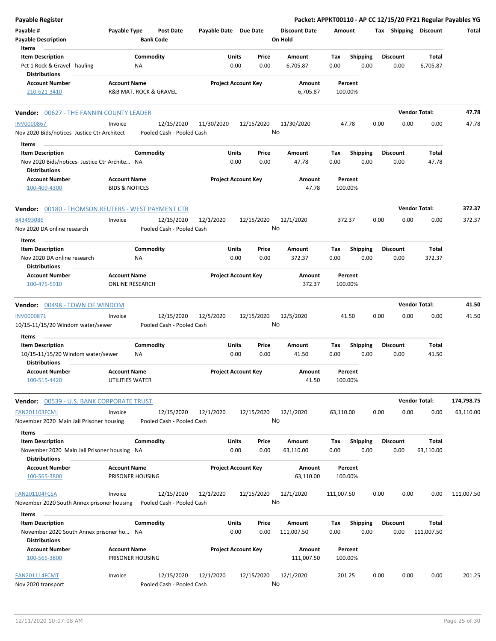| <b>Payable Register</b>                                                  |                                               |                                         |                       |                                |                                 |             |                         |      |                         |                       | Packet: APPKT00110 - AP CC 12/15/20 FY21 Regular Payables YG |
|--------------------------------------------------------------------------|-----------------------------------------------|-----------------------------------------|-----------------------|--------------------------------|---------------------------------|-------------|-------------------------|------|-------------------------|-----------------------|--------------------------------------------------------------|
| Payable #<br><b>Payable Description</b>                                  | Payable Type                                  | <b>Post Date</b><br><b>Bank Code</b>    | Payable Date Due Date |                                | <b>Discount Date</b><br>On Hold | Amount      |                         |      |                         | Tax Shipping Discount | Total                                                        |
| Items                                                                    |                                               |                                         |                       |                                |                                 |             |                         |      |                         |                       |                                                              |
| <b>Item Description</b>                                                  |                                               | Commodity                               |                       | Units<br>Price                 | Amount                          | Tax         | <b>Shipping</b>         |      | <b>Discount</b>         | Total                 |                                                              |
| Pct 1 Rock & Gravel - hauling<br><b>Distributions</b>                    | NA                                            |                                         |                       | 0.00<br>0.00                   | 6,705.87                        | 0.00        | 0.00                    |      | 0.00                    | 6,705.87              |                                                              |
| <b>Account Number</b><br>210-621-3410                                    | <b>Account Name</b>                           | R&B MAT. ROCK & GRAVEL                  |                       | <b>Project Account Key</b>     | Amount<br>6,705.87              |             | Percent<br>100.00%      |      |                         |                       |                                                              |
| <b>Vendor: 00627 - THE FANNIN COUNTY LEADER</b>                          |                                               |                                         |                       |                                |                                 |             |                         |      |                         | <b>Vendor Total:</b>  | 47.78                                                        |
| <b>INV0000867</b>                                                        | Invoice                                       | 12/15/2020                              | 11/30/2020            | 12/15/2020                     | 11/30/2020                      |             | 47.78                   | 0.00 | 0.00                    | 0.00                  | 47.78                                                        |
| Nov 2020 Bids/notices-Justice Ctr Architect                              |                                               | Pooled Cash - Pooled Cash               |                       |                                | No                              |             |                         |      |                         |                       |                                                              |
| Items                                                                    |                                               |                                         |                       |                                |                                 |             |                         |      |                         |                       |                                                              |
| <b>Item Description</b><br>Nov 2020 Bids/notices- Justice Ctr Archite NA |                                               | Commodity                               |                       | Units<br>Price<br>0.00<br>0.00 | Amount<br>47.78                 | Tax<br>0.00 | <b>Shipping</b><br>0.00 |      | <b>Discount</b><br>0.00 | Total<br>47.78        |                                                              |
| <b>Distributions</b>                                                     |                                               |                                         |                       |                                |                                 |             |                         |      |                         |                       |                                                              |
| <b>Account Number</b>                                                    | <b>Account Name</b>                           |                                         |                       | <b>Project Account Key</b>     | Amount                          |             | Percent                 |      |                         |                       |                                                              |
| 100-409-4300                                                             | <b>BIDS &amp; NOTICES</b>                     |                                         |                       |                                | 47.78                           |             | 100.00%                 |      |                         |                       |                                                              |
| <b>Vendor:</b> 00180 - THOMSON REUTERS - WEST PAYMENT CTR                |                                               |                                         |                       |                                |                                 |             |                         |      |                         | <b>Vendor Total:</b>  | 372.37                                                       |
| 843493086                                                                | Invoice                                       | 12/15/2020                              | 12/1/2020             | 12/15/2020                     | 12/1/2020                       |             | 372.37                  | 0.00 | 0.00                    | 0.00                  | 372.37                                                       |
| Nov 2020 DA online research                                              |                                               | Pooled Cash - Pooled Cash               |                       |                                | No                              |             |                         |      |                         |                       |                                                              |
| Items<br><b>Item Description</b>                                         |                                               | Commodity                               |                       | Units<br>Price                 | Amount                          | Tax         | <b>Shipping</b>         |      | <b>Discount</b>         | Total                 |                                                              |
| Nov 2020 DA online research                                              | NA                                            |                                         |                       | 0.00<br>0.00                   | 372.37                          | 0.00        | 0.00                    |      | 0.00                    | 372.37                |                                                              |
| <b>Distributions</b>                                                     |                                               |                                         |                       |                                |                                 |             |                         |      |                         |                       |                                                              |
| <b>Account Number</b><br>100-475-5910                                    | <b>Account Name</b><br><b>ONLINE RESEARCH</b> |                                         |                       | <b>Project Account Key</b>     | Amount<br>372.37                |             | Percent<br>100.00%      |      |                         |                       |                                                              |
|                                                                          |                                               |                                         |                       |                                |                                 |             |                         |      |                         |                       |                                                              |
| <b>Vendor: 00498 - TOWN OF WINDOM</b>                                    |                                               |                                         |                       |                                |                                 |             |                         |      |                         | <b>Vendor Total:</b>  | 41.50                                                        |
| INV0000871                                                               | Invoice                                       | 12/15/2020                              | 12/5/2020             | 12/15/2020                     | 12/5/2020                       |             | 41.50                   | 0.00 | 0.00                    | 0.00                  | 41.50                                                        |
| 10/15-11/15/20 Windom water/sewer                                        |                                               | Pooled Cash - Pooled Cash               |                       |                                | No                              |             |                         |      |                         |                       |                                                              |
| Items                                                                    |                                               |                                         |                       |                                |                                 |             |                         |      |                         |                       |                                                              |
| <b>Item Description</b>                                                  |                                               | Commodity                               |                       | Units<br>Price                 | Amount                          | Tax         | <b>Shipping</b>         |      | <b>Discount</b>         | Total                 |                                                              |
| 10/15-11/15/20 Windom water/sewer<br><b>Distributions</b>                | ΝA                                            |                                         |                       | 0.00<br>0.00                   | 41.50                           | 0.00        | 0.00                    |      | 0.00                    | 41.50                 |                                                              |
| <b>Account Number</b>                                                    | <b>Account Name</b>                           |                                         |                       | <b>Project Account Key</b>     | Amount                          |             | Percent                 |      |                         |                       |                                                              |
| 100-515-4420                                                             | UTILITIES WATER                               |                                         |                       |                                | 41.50                           |             | 100.00%                 |      |                         |                       |                                                              |
| Vendor: 00539 - U.S. BANK CORPORATE TRUST                                |                                               |                                         |                       |                                |                                 |             |                         |      |                         | <b>Vendor Total:</b>  | 174,798.75                                                   |
| <b>FAN201103FCMJ</b>                                                     | Invoice                                       | 12/15/2020                              | 12/1/2020             | 12/15/2020                     | 12/1/2020                       | 63,110.00   |                         | 0.00 | 0.00                    | 0.00                  | 63,110.00                                                    |
| November 2020 Main Jail Prisoner housing                                 |                                               | Pooled Cash - Pooled Cash               |                       |                                | No                              |             |                         |      |                         |                       |                                                              |
| Items                                                                    |                                               |                                         |                       |                                |                                 |             |                         |      |                         |                       |                                                              |
| <b>Item Description</b><br>November 2020 Main Jail Prisoner housing NA   |                                               | Commodity                               |                       | Units<br>Price<br>0.00<br>0.00 | Amount<br>63,110.00             | Тах<br>0.00 | <b>Shipping</b><br>0.00 |      | <b>Discount</b><br>0.00 | Total<br>63,110.00    |                                                              |
| <b>Distributions</b>                                                     |                                               |                                         |                       |                                |                                 |             |                         |      |                         |                       |                                                              |
| <b>Account Number</b><br>100-565-3800                                    | <b>Account Name</b><br>PRISONER HOUSING       |                                         |                       | <b>Project Account Key</b>     | Amount<br>63,110.00             |             | Percent<br>100.00%      |      |                         |                       |                                                              |
|                                                                          |                                               |                                         |                       |                                |                                 |             |                         |      |                         |                       |                                                              |
| FAN201104FCSA<br>November 2020 South Annex prisoner housing              | Invoice                                       | 12/15/2020<br>Pooled Cash - Pooled Cash | 12/1/2020             | 12/15/2020                     | 12/1/2020<br>No                 | 111,007.50  |                         | 0.00 | 0.00                    | 0.00                  | 111,007.50                                                   |
| Items                                                                    |                                               |                                         |                       |                                |                                 |             |                         |      |                         |                       |                                                              |
| <b>Item Description</b>                                                  |                                               | Commodity                               |                       | Units<br>Price                 | Amount                          | Tax         | <b>Shipping</b>         |      | <b>Discount</b>         | <b>Total</b>          |                                                              |
| November 2020 South Annex prisoner ho NA<br><b>Distributions</b>         |                                               |                                         |                       | 0.00<br>0.00                   | 111,007.50                      | 0.00        | 0.00                    |      | 0.00                    | 111,007.50            |                                                              |
| <b>Account Number</b><br>100-565-3800                                    | <b>Account Name</b><br>PRISONER HOUSING       |                                         |                       | <b>Project Account Key</b>     | Amount<br>111,007.50            |             | Percent<br>100.00%      |      |                         |                       |                                                              |
|                                                                          |                                               |                                         |                       |                                |                                 |             |                         |      |                         |                       |                                                              |
| FAN201114FCMT<br>Nov 2020 transport                                      | Invoice                                       | 12/15/2020<br>Pooled Cash - Pooled Cash | 12/1/2020             | 12/15/2020                     | 12/1/2020<br>No                 |             | 201.25                  | 0.00 | 0.00                    | 0.00                  | 201.25                                                       |
|                                                                          |                                               |                                         |                       |                                |                                 |             |                         |      |                         |                       |                                                              |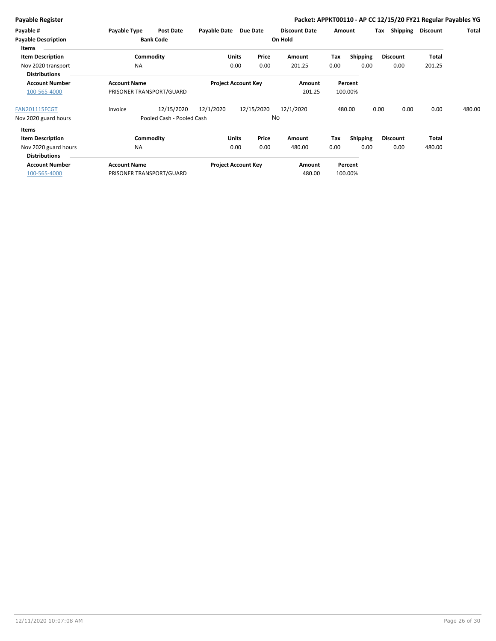|  | Payable Register |  |
|--|------------------|--|
|  |                  |  |

### Packet: APPKT00110 - AP CC 12/15/20 FY21 Regular Payables YG

| Payable #                                  | Payable Type                                    | <b>Post Date</b>          | Payable Date | Due Date                   | <b>Discount Date</b> |      | Amount             | Tax  | Shipping        | Discount     | Total  |
|--------------------------------------------|-------------------------------------------------|---------------------------|--------------|----------------------------|----------------------|------|--------------------|------|-----------------|--------------|--------|
| <b>Payable Description</b><br>Items        |                                                 | <b>Bank Code</b>          |              |                            | On Hold              |      |                    |      |                 |              |        |
| <b>Item Description</b>                    |                                                 | Commodity                 |              | <b>Units</b><br>Price      | Amount               | Tax  | Shipping           |      | <b>Discount</b> | <b>Total</b> |        |
| Nov 2020 transport<br><b>Distributions</b> | <b>NA</b>                                       |                           |              | 0.00<br>0.00               | 201.25               | 0.00 | 0.00               |      | 0.00            | 201.25       |        |
| <b>Account Number</b><br>100-565-4000      | <b>Account Name</b><br>PRISONER TRANSPORT/GUARD |                           |              | <b>Project Account Key</b> | Amount<br>201.25     |      | Percent<br>100.00% |      |                 |              |        |
| FAN201115FCGT                              | Invoice                                         | 12/15/2020                | 12/1/2020    | 12/15/2020                 | 12/1/2020            |      | 480.00             | 0.00 | 0.00            | 0.00         | 480.00 |
| Nov 2020 guard hours                       |                                                 | Pooled Cash - Pooled Cash |              |                            | No                   |      |                    |      |                 |              |        |
| Items                                      |                                                 |                           |              |                            |                      |      |                    |      |                 |              |        |
| <b>Item Description</b>                    |                                                 | Commodity                 |              | Price<br><b>Units</b>      | Amount               | Tax  | Shipping           |      | <b>Discount</b> | <b>Total</b> |        |
| Nov 2020 guard hours                       | <b>NA</b>                                       |                           |              | 0.00<br>0.00               | 480.00               | 0.00 | 0.00               |      | 0.00            | 480.00       |        |
| <b>Distributions</b>                       |                                                 |                           |              |                            |                      |      |                    |      |                 |              |        |
| <b>Account Number</b>                      | <b>Account Name</b>                             |                           |              | <b>Project Account Key</b> | Amount               |      | Percent            |      |                 |              |        |
| 100-565-4000                               | PRISONER TRANSPORT/GUARD                        |                           |              |                            | 480.00               |      | 100.00%            |      |                 |              |        |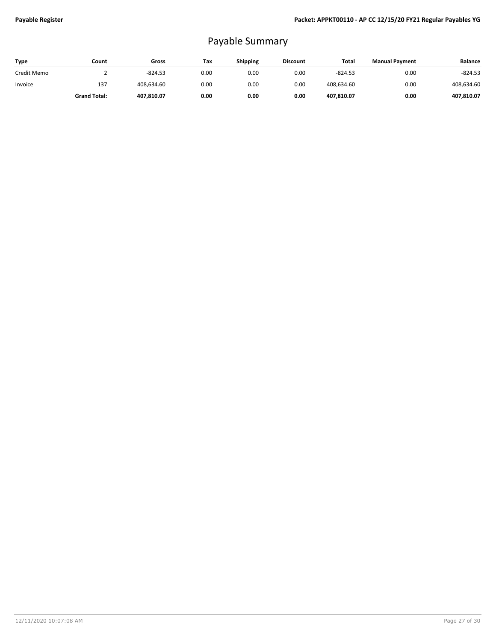## Payable Summary

| Type        | Count               | Gross      | Tax  | <b>Shipping</b> | <b>Discount</b> | Total      | <b>Manual Payment</b> | <b>Balance</b> |
|-------------|---------------------|------------|------|-----------------|-----------------|------------|-----------------------|----------------|
| Credit Memo |                     | $-824.53$  | 0.00 | 0.00            | 0.00            | $-824.53$  | 0.00                  | $-824.53$      |
| Invoice     | 137                 | 408.634.60 | 0.00 | 0.00            | 0.00            | 408,634.60 | 0.00                  | 408,634.60     |
|             | <b>Grand Total:</b> | 407,810.07 | 0.00 | 0.00            | 0.00            | 407,810.07 | 0.00                  | 407,810.07     |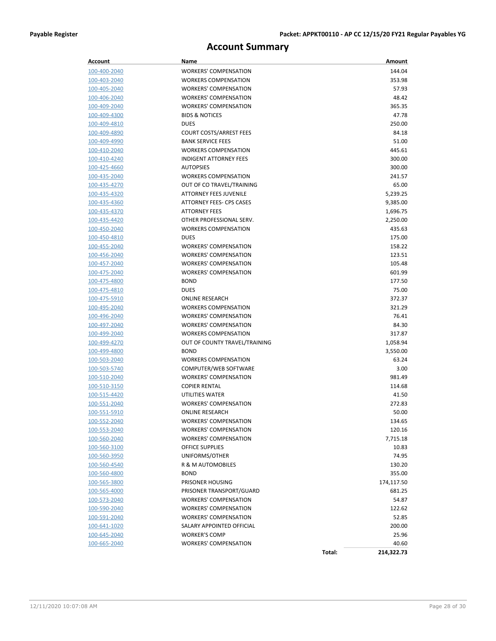## **Account Summary**

| Account                      | Name                                         |        | Amount            |
|------------------------------|----------------------------------------------|--------|-------------------|
| 100-400-2040                 | <b>WORKERS' COMPENSATION</b>                 |        | 144.04            |
| 100-403-2040                 | <b>WORKERS COMPENSATION</b>                  |        | 353.98            |
| 100-405-2040                 | <b>WORKERS' COMPENSATION</b>                 |        | 57.93             |
| 100-406-2040                 | <b>WORKERS' COMPENSATION</b>                 |        | 48.42             |
| 100-409-2040                 | <b>WORKERS' COMPENSATION</b>                 |        | 365.35            |
| 100-409-4300                 | <b>BIDS &amp; NOTICES</b>                    |        | 47.78             |
| 100-409-4810                 | <b>DUES</b>                                  |        | 250.00            |
| <u>100-409-4890</u>          | <b>COURT COSTS/ARREST FEES</b>               |        | 84.18             |
| 100-409-4990                 | <b>BANK SERVICE FEES</b>                     |        | 51.00             |
| 100-410-2040                 | <b>WORKERS COMPENSATION</b>                  |        | 445.61            |
| 100-410-4240                 | <b>INDIGENT ATTORNEY FEES</b>                |        | 300.00            |
| 100-425-4660                 | <b>AUTOPSIES</b>                             |        | 300.00            |
| 100-435-2040                 | <b>WORKERS COMPENSATION</b>                  |        | 241.57            |
| 100-435-4270                 | OUT OF CO TRAVEL/TRAINING                    |        | 65.00             |
| 100-435-4320                 | ATTORNEY FEES JUVENILE                       |        | 5,239.25          |
| 100-435-4360                 | ATTORNEY FEES- CPS CASES                     |        | 9,385.00          |
| 100-435-4370                 | <b>ATTORNEY FEES</b>                         |        | 1,696.75          |
| 100-435-4420                 | OTHER PROFESSIONAL SERV.                     |        | 2,250.00          |
| 100-450-2040                 | <b>WORKERS COMPENSATION</b>                  |        | 435.63            |
| 100-450-4810                 | <b>DUES</b>                                  |        | 175.00            |
| 100-455-2040                 | <b>WORKERS' COMPENSATION</b>                 |        | 158.22            |
| 100-456-2040                 | <b>WORKERS' COMPENSATION</b>                 |        | 123.51            |
| 100-457-2040                 | <b>WORKERS' COMPENSATION</b>                 |        | 105.48            |
| 100-475-2040                 | <b>WORKERS' COMPENSATION</b>                 |        | 601.99            |
| 100-475-4800                 | <b>BOND</b>                                  |        | 177.50            |
| 100-475-4810                 | <b>DUES</b>                                  |        | 75.00             |
| 100-475-5910                 | <b>ONLINE RESEARCH</b>                       |        | 372.37            |
| 100-495-2040                 | <b>WORKERS COMPENSATION</b>                  |        | 321.29            |
| <u>100-496-2040</u>          | <b>WORKERS' COMPENSATION</b>                 |        | 76.41             |
| 100-497-2040                 | <b>WORKERS' COMPENSATION</b>                 |        | 84.30             |
| 100-499-2040                 | <b>WORKERS COMPENSATION</b>                  |        | 317.87            |
| 100-499-4270<br>100-499-4800 | OUT OF COUNTY TRAVEL/TRAINING<br><b>BOND</b> |        | 1,058.94          |
| 100-503-2040                 | <b>WORKERS COMPENSATION</b>                  |        | 3,550.00<br>63.24 |
| <u>100-503-5740</u>          | COMPUTER/WEB SOFTWARE                        |        | 3.00              |
| 100-510-2040                 | <b>WORKERS' COMPENSATION</b>                 |        | 981.49            |
| 100-510-3150                 | <b>COPIER RENTAL</b>                         |        | 114.68            |
| 100-515-4420                 | UTILITIES WATER                              |        | 41.50             |
| 100-551-2040                 | <b>WORKERS' COMPENSATION</b>                 |        | 272.83            |
| <u>100-551-5910</u>          | <b>ONLINE RESEARCH</b>                       |        | 50.00             |
| 100-552-2040                 | <b>WORKERS' COMPENSATION</b>                 |        | 134.65            |
| 100-553-2040                 | WORKERS' COMPENSATION                        |        | 120.16            |
| <u>100-560-2040</u>          | <b>WORKERS' COMPENSATION</b>                 |        | 7,715.18          |
| 100-560-3100                 | <b>OFFICE SUPPLIES</b>                       |        | 10.83             |
| <u>100-560-3950</u>          | UNIFORMS/OTHER                               |        | 74.95             |
| 100-560-4540                 | R & M AUTOMOBILES                            |        | 130.20            |
| 100-560-4800                 | <b>BOND</b>                                  |        | 355.00            |
| 100-565-3800                 | PRISONER HOUSING                             |        | 174,117.50        |
| 100-565-4000                 | PRISONER TRANSPORT/GUARD                     |        | 681.25            |
| 100-573-2040                 | <b>WORKERS' COMPENSATION</b>                 |        | 54.87             |
| 100-590-2040                 | <b>WORKERS' COMPENSATION</b>                 |        | 122.62            |
| 100-591-2040                 | <b>WORKERS' COMPENSATION</b>                 |        | 52.85             |
| <u>100-641-1020</u>          | SALARY APPOINTED OFFICIAL                    |        | 200.00            |
| 100-645-2040                 | <b>WORKER'S COMP</b>                         |        | 25.96             |
| 100-665-2040                 | <b>WORKERS' COMPENSATION</b>                 |        | 40.60             |
|                              |                                              | Total: | 214,322.73        |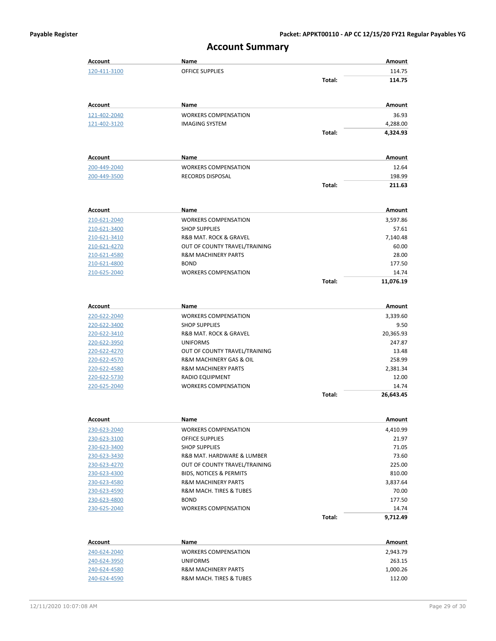| Account        | Name                                  |        | Amount    |
|----------------|---------------------------------------|--------|-----------|
| 120-411-3100   | <b>OFFICE SUPPLIES</b>                |        | 114.75    |
|                |                                       | Total: | 114.75    |
| Account        | Name                                  |        | Amount    |
| 121-402-2040   | <b>WORKERS COMPENSATION</b>           |        | 36.93     |
| 121-402-3120   | <b>IMAGING SYSTEM</b>                 |        | 4,288.00  |
|                |                                       | Total: | 4,324.93  |
| Account        | Name                                  |        | Amount    |
| 200-449-2040   | <b>WORKERS COMPENSATION</b>           |        | 12.64     |
| 200-449-3500   | RECORDS DISPOSAL                      |        | 198.99    |
|                |                                       | Total: | 211.63    |
| Account        | Name                                  |        | Amount    |
| 210-621-2040   | <b>WORKERS COMPENSATION</b>           |        | 3,597.86  |
| 210-621-3400   | <b>SHOP SUPPLIES</b>                  |        | 57.61     |
| 210-621-3410   | R&B MAT. ROCK & GRAVEL                |        | 7,140.48  |
| 210-621-4270   | OUT OF COUNTY TRAVEL/TRAINING         |        | 60.00     |
| 210-621-4580   | <b>R&amp;M MACHINERY PARTS</b>        |        | 28.00     |
| 210-621-4800   | <b>BOND</b>                           |        | 177.50    |
| 210-625-2040   | <b>WORKERS COMPENSATION</b>           |        | 14.74     |
|                |                                       | Total: | 11,076.19 |
| <b>Account</b> | Name                                  |        | Amount    |
| 220-622-2040   | <b>WORKERS COMPENSATION</b>           |        | 3,339.60  |
| 220-622-3400   | <b>SHOP SUPPLIES</b>                  |        | 9.50      |
| 220-622-3410   | <b>R&amp;B MAT. ROCK &amp; GRAVEL</b> |        | 20,365.93 |
| 220-622-3950   | <b>UNIFORMS</b>                       |        | 247.87    |
| 220-622-4270   | OUT OF COUNTY TRAVEL/TRAINING         |        | 13.48     |
| 220-622-4570   | R&M MACHINERY GAS & OIL               |        | 258.99    |
| 220-622-4580   | <b>R&amp;M MACHINERY PARTS</b>        |        | 2,381.34  |
| 220-622-5730   | RADIO EQUIPMENT                       |        | 12.00     |
| 220-625-2040   | <b>WORKERS COMPENSATION</b>           |        | 14.74     |
|                |                                       | Total: | 26,643.45 |
|                |                                       |        |           |

## **Account Summary**

| Account      | Name                                   |        | Amount   |
|--------------|----------------------------------------|--------|----------|
| 230-623-2040 | <b>WORKERS COMPENSATION</b>            |        | 4,410.99 |
| 230-623-3100 | <b>OFFICE SUPPLIES</b>                 |        | 21.97    |
| 230-623-3400 | <b>SHOP SUPPLIES</b>                   |        | 71.05    |
| 230-623-3430 | R&B MAT, HARDWARE & LUMBER             |        | 73.60    |
| 230-623-4270 | OUT OF COUNTY TRAVEL/TRAINING          |        | 225.00   |
| 230-623-4300 | <b>BIDS. NOTICES &amp; PERMITS</b>     |        | 810.00   |
| 230-623-4580 | <b>R&amp;M MACHINERY PARTS</b>         |        | 3.837.64 |
| 230-623-4590 | <b>R&amp;M MACH. TIRES &amp; TUBES</b> |        | 70.00    |
| 230-623-4800 | <b>BOND</b>                            |        | 177.50   |
| 230-625-2040 | <b>WORKERS COMPENSATION</b>            |        | 14.74    |
|              |                                        | Total: | 9.712.49 |

| Account      | Name                                   | Amount   |
|--------------|----------------------------------------|----------|
| 240-624-2040 | <b>WORKERS COMPENSATION</b>            | 2,943.79 |
| 240-624-3950 | <b>UNIFORMS</b>                        | 263.15   |
| 240-624-4580 | <b>R&amp;M MACHINERY PARTS</b>         | 1,000.26 |
| 240-624-4590 | <b>R&amp;M MACH. TIRES &amp; TUBES</b> | 112.00   |